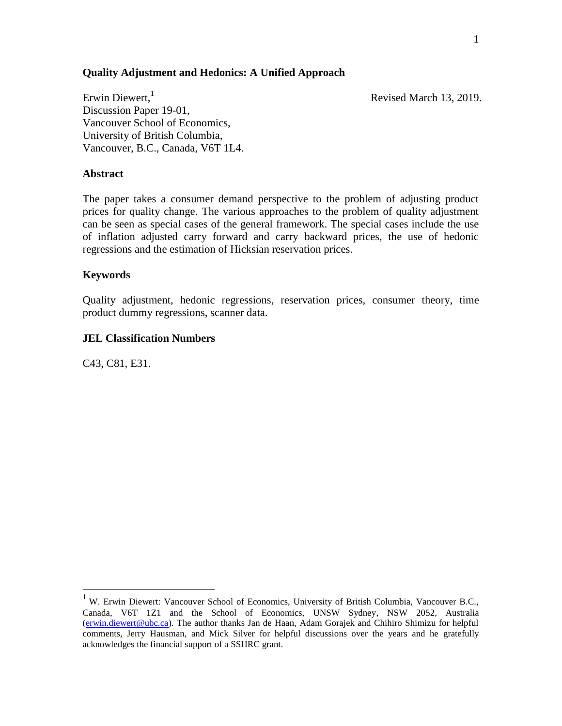## **Quality Adjustment and Hedonics: A Unified Approach**

Revised March 13, 2019.

Erwin Diewert, $<sup>1</sup>$ </sup> Discussion Paper 19-01, Vancouver School of Economics, University of British Columbia, Vancouver, B.C., Canada, V6T 1L4.

#### **Abstract**

The paper takes a consumer demand perspective to the problem of adjusting product prices for quality change. The various approaches to the problem of quality adjustment can be seen as special cases of the general framework. The special cases include the use of inflation adjusted carry forward and carry backward prices, the use of hedonic regressions and the estimation of Hicksian reservation prices.

## **Keywords**

Quality adjustment, hedonic regressions, reservation prices, consumer theory, time product dummy regressions, scanner data.

## **JEL Classification Numbers**

C43, C81, E31.

<sup>&</sup>lt;sup>1</sup> W. Erwin Diewert: Vancouver School of Economics, University of British Columbia, Vancouver B.C., Canada, V6T 1Z1 and the School of Economics, UNSW Sydney, NSW 2052, Australia [\(erwin.diewert@ubc.ca\)](mailto:erwin.diewert@ubc.ca). The author thanks Jan de Haan, Adam Gorajek and Chihiro Shimizu for helpful comments, Jerry Hausman, and Mick Silver for helpful discussions over the years and he gratefully acknowledges the financial support of a SSHRC grant.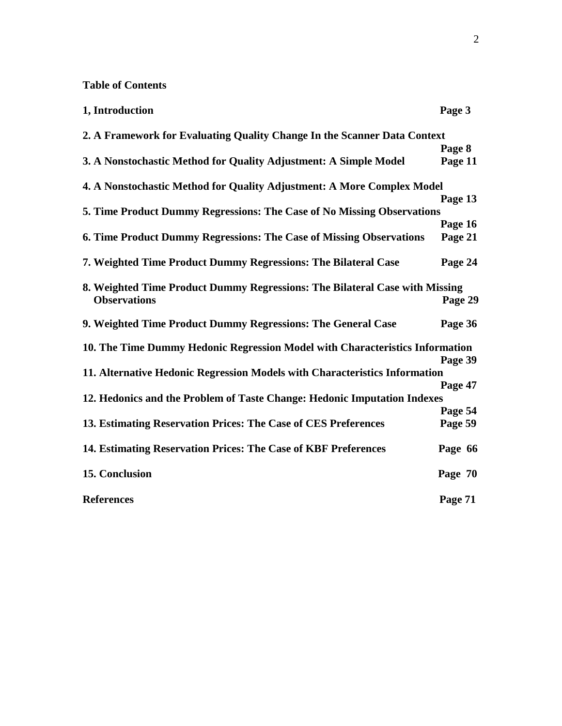# **Table of Contents**

| 1, Introduction                                                              | Page 3  |
|------------------------------------------------------------------------------|---------|
| 2. A Framework for Evaluating Quality Change In the Scanner Data Context     |         |
|                                                                              | Page 8  |
| 3. A Nonstochastic Method for Quality Adjustment: A Simple Model             | Page 11 |
| 4. A Nonstochastic Method for Quality Adjustment: A More Complex Model       |         |
|                                                                              | Page 13 |
| 5. Time Product Dummy Regressions: The Case of No Missing Observations       |         |
|                                                                              | Page 16 |
| 6. Time Product Dummy Regressions: The Case of Missing Observations          | Page 21 |
| 7. Weighted Time Product Dummy Regressions: The Bilateral Case               | Page 24 |
| 8. Weighted Time Product Dummy Regressions: The Bilateral Case with Missing  |         |
| <b>Observations</b>                                                          | Page 29 |
| 9. Weighted Time Product Dummy Regressions: The General Case                 | Page 36 |
| 10. The Time Dummy Hedonic Regression Model with Characteristics Information |         |
|                                                                              | Page 39 |
| 11. Alternative Hedonic Regression Models with Characteristics Information   |         |
|                                                                              | Page 47 |
| 12. Hedonics and the Problem of Taste Change: Hedonic Imputation Indexes     |         |
|                                                                              | Page 54 |
| 13. Estimating Reservation Prices: The Case of CES Preferences               | Page 59 |
| 14. Estimating Reservation Prices: The Case of KBF Preferences               | Page 66 |
| 15. Conclusion                                                               | Page 70 |
| <b>References</b>                                                            | Page 71 |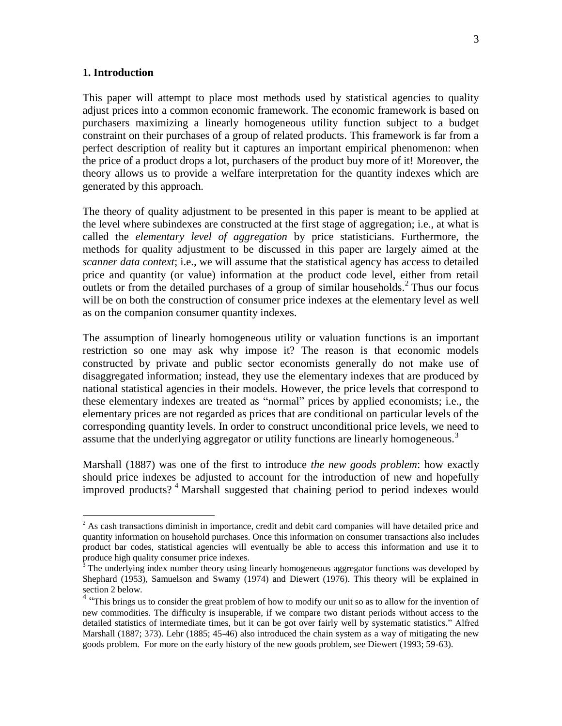#### **1. Introduction**

 $\overline{a}$ 

This paper will attempt to place most methods used by statistical agencies to quality adjust prices into a common economic framework. The economic framework is based on purchasers maximizing a linearly homogeneous utility function subject to a budget constraint on their purchases of a group of related products. This framework is far from a perfect description of reality but it captures an important empirical phenomenon: when the price of a product drops a lot, purchasers of the product buy more of it! Moreover, the theory allows us to provide a welfare interpretation for the quantity indexes which are generated by this approach.

The theory of quality adjustment to be presented in this paper is meant to be applied at the level where subindexes are constructed at the first stage of aggregation; i.e., at what is called the *elementary level of aggregation* by price statisticians. Furthermore, the methods for quality adjustment to be discussed in this paper are largely aimed at the *scanner data context*; i.e., we will assume that the statistical agency has access to detailed price and quantity (or value) information at the product code level, either from retail outlets or from the detailed purchases of a group of similar households.<sup>2</sup> Thus our focus will be on both the construction of consumer price indexes at the elementary level as well as on the companion consumer quantity indexes.

The assumption of linearly homogeneous utility or valuation functions is an important restriction so one may ask why impose it? The reason is that economic models constructed by private and public sector economists generally do not make use of disaggregated information; instead, they use the elementary indexes that are produced by national statistical agencies in their models. However, the price levels that correspond to these elementary indexes are treated as "normal" prices by applied economists; i.e., the elementary prices are not regarded as prices that are conditional on particular levels of the corresponding quantity levels. In order to construct unconditional price levels, we need to assume that the underlying aggregator or utility functions are linearly homogeneous.<sup>3</sup>

Marshall (1887) was one of the first to introduce *the new goods problem*: how exactly should price indexes be adjusted to account for the introduction of new and hopefully improved products? <sup>4</sup> Marshall suggested that chaining period to period indexes would

<sup>&</sup>lt;sup>2</sup> As cash transactions diminish in importance, credit and debit card companies will have detailed price and quantity information on household purchases. Once this information on consumer transactions also includes product bar codes, statistical agencies will eventually be able to access this information and use it to produce high quality consumer price indexes.

<sup>&</sup>lt;sup>3</sup> The underlying index number theory using linearly homogeneous aggregator functions was developed by Shephard (1953), Samuelson and Swamy (1974) and Diewert (1976). This theory will be explained in section 2 below.

<sup>&</sup>lt;sup>4</sup> "This brings us to consider the great problem of how to modify our unit so as to allow for the invention of new commodities. The difficulty is insuperable, if we compare two distant periods without access to the detailed statistics of intermediate times, but it can be got over fairly well by systematic statistics." Alfred Marshall (1887; 373). Lehr (1885; 45-46) also introduced the chain system as a way of mitigating the new goods problem. For more on the early history of the new goods problem, see Diewert (1993; 59-63).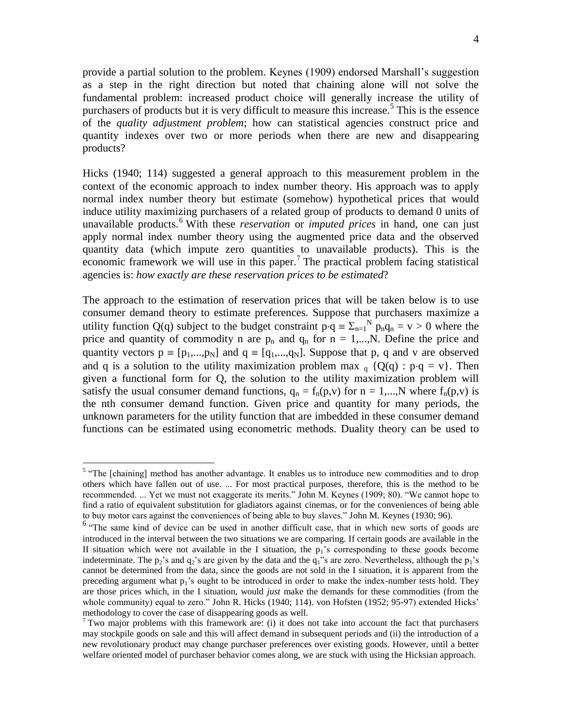provide a partial solution to the problem. Keynes (1909) endorsed Marshall's suggestion as a step in the right direction but noted that chaining alone will not solve the fundamental problem: increased product choice will generally increase the utility of purchasers of products but it is very difficult to measure this increase.<sup>5</sup> This is the essence of the *quality adjustment problem*; how can statistical agencies construct price and quantity indexes over two or more periods when there are new and disappearing products?

Hicks (1940; 114) suggested a general approach to this measurement problem in the context of the economic approach to index number theory. His approach was to apply normal index number theory but estimate (somehow) hypothetical prices that would induce utility maximizing purchasers of a related group of products to demand 0 units of unavailable products.<sup>6</sup> With these *reservation* or *imputed prices* in hand, one can just apply normal index number theory using the augmented price data and the observed quantity data (which impute zero quantities to unavailable products). This is the economic framework we will use in this paper.<sup>7</sup> The practical problem facing statistical agencies is: *how exactly are these reservation prices to be estimated*?

The approach to the estimation of reservation prices that will be taken below is to use consumer demand theory to estimate preferences. Suppose that purchasers maximize a utility function Q(q) subject to the budget constraint  $p \cdot q = \sum_{n=1}^{N} p_n q_n = v > 0$  where the price and quantity of commodity n are  $p_n$  and  $q_n$  for  $n = 1,...,N$ . Define the price and quantity vectors  $p \equiv [p_1,...,p_N]$  and  $q \equiv [q_1,...,q_N]$ . Suppose that p, q and v are observed and q is a solution to the utility maximization problem max  $_q \{Q(q) : p \cdot q = v\}$ . Then given a functional form for Q, the solution to the utility maximization problem will satisfy the usual consumer demand functions,  $q_n = f_n(p,v)$  for  $n = 1,...,N$  where  $f_n(p,v)$  is the nth consumer demand function. Given price and quantity for many periods, the unknown parameters for the utility function that are imbedded in these consumer demand functions can be estimated using econometric methods. Duality theory can be used to

<sup>&</sup>lt;sup>5</sup> "The [chaining] method has another advantage. It enables us to introduce new commodities and to drop others which have fallen out of use. ... For most practical purposes, therefore, this is the method to be recommended. ... Yet we must not exaggerate its merits." John M. Keynes (1909; 80). "We cannot hope to find a ratio of equivalent substitution for gladiators against cinemas, or for the conveniences of being able to buy motor cars against the conveniences of being able to buy slaves." John M. Keynes (1930; 96).

<sup>&</sup>lt;sup>6</sup> "The same kind of device can be used in another difficult case, that in which new sorts of goods are introduced in the interval between the two situations we are comparing. If certain goods are available in the II situation which were not available in the I situation, the  $p_1$ 's corresponding to these goods become indeterminate. The  $p_2$ 's and  $q_2$ 's are given by the data and the  $q_1$ "s are zero. Nevertheless, although the  $p_1$ 's cannot be determined from the data, since the goods are not sold in the I situation, it is apparent from the preceding argument what  $p_1$ 's ought to be introduced in order to make the index-number tests hold. They are those prices which, in the I situation, would *just* make the demands for these commodities (from the whole community) equal to zero." John R. Hicks (1940; 114). von Hofsten (1952; 95-97) extended Hicks' methodology to cover the case of disappearing goods as well.

<sup>&</sup>lt;sup>7</sup> Two major problems with this framework are: (i) it does not take into account the fact that purchasers may stockpile goods on sale and this will affect demand in subsequent periods and (ii) the introduction of a new revolutionary product may change purchaser preferences over existing goods. However, until a better welfare oriented model of purchaser behavior comes along, we are stuck with using the Hicksian approach.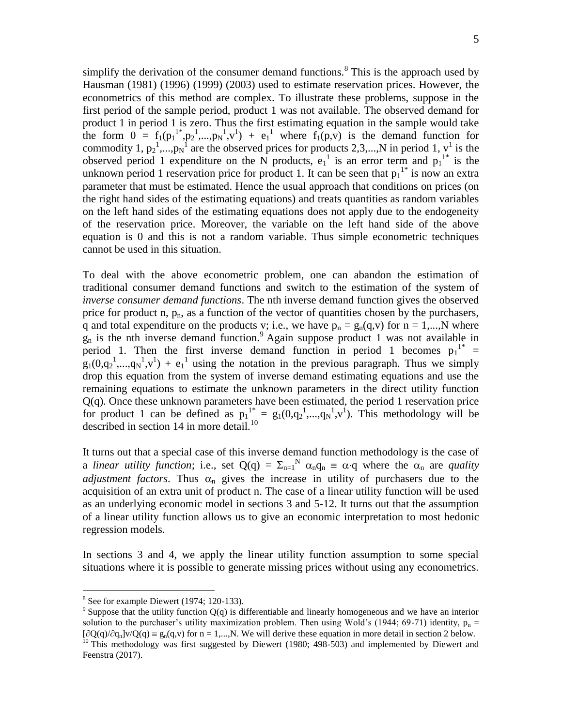simplify the derivation of the consumer demand functions.<sup>8</sup> This is the approach used by Hausman (1981) (1996) (1999) (2003) used to estimate reservation prices. However, the econometrics of this method are complex. To illustrate these problems, suppose in the first period of the sample period, product 1 was not available. The observed demand for product 1 in period 1 is zero. Thus the first estimating equation in the sample would take the form  $0 = f_1(p_1^{1*}, p_2^1, \ldots, p_N^1, v^1) + e_1^{1}$  where  $f_1(p,v)$  is the demand function for commodity 1,  $p_2$ <sup>1</sup>,..., $p_N$ <sup>1</sup> are the observed prices for products 2,3,...,N in period 1, v<sup>1</sup> is the observed period 1 expenditure on the N products,  $e_1^1$  is an error term and  $p_1^1$  is the unknown period 1 reservation price for product 1. It can be seen that  $p_1$ <sup>1\*</sup> is now an extra parameter that must be estimated. Hence the usual approach that conditions on prices (on the right hand sides of the estimating equations) and treats quantities as random variables on the left hand sides of the estimating equations does not apply due to the endogeneity of the reservation price. Moreover, the variable on the left hand side of the above equation is 0 and this is not a random variable. Thus simple econometric techniques cannot be used in this situation.

To deal with the above econometric problem, one can abandon the estimation of traditional consumer demand functions and switch to the estimation of the system of *inverse consumer demand functions*. The nth inverse demand function gives the observed price for product n,  $p_n$ , as a function of the vector of quantities chosen by the purchasers, q and total expenditure on the products v; i.e., we have  $p_n = g_n(q,v)$  for  $n = 1,...,N$  where  $g_n$  is the nth inverse demand function.<sup>9</sup> Again suppose product 1 was not available in period 1. Then the first inverse demand function in period 1 becomes  $p_1^{1*} =$  $g_1(0,q_2^1,...,q_N^1,v^1) + e_1^1$  using the notation in the previous paragraph. Thus we simply drop this equation from the system of inverse demand estimating equations and use the remaining equations to estimate the unknown parameters in the direct utility function Q(q). Once these unknown parameters have been estimated, the period 1 reservation price for product 1 can be defined as  $p_1^{1*} = g_1(0, q_2^1, ..., q_N^1, v^1)$ . This methodology will be described in section 14 in more detail.<sup>10</sup>

It turns out that a special case of this inverse demand function methodology is the case of a *linear utility function*; i.e., set  $Q(q) = \sum_{n=1}^{N} \alpha_n q_n = \alpha \cdot q$  where the  $\alpha_n$  are *quality adjustment factors*. Thus  $\alpha_n$  gives the increase in utility of purchasers due to the acquisition of an extra unit of product n. The case of a linear utility function will be used as an underlying economic model in sections 3 and 5-12. It turns out that the assumption of a linear utility function allows us to give an economic interpretation to most hedonic regression models.

In sections 3 and 4, we apply the linear utility function assumption to some special situations where it is possible to generate missing prices without using any econometrics.

 $8$  See for example Diewert (1974; 120-133).

<sup>&</sup>lt;sup>9</sup> Suppose that the utility function  $Q(q)$  is differentiable and linearly homogeneous and we have an interior solution to the purchaser's utility maximization problem. Then using Wold's (1944; 69-71) identity,  $p_n =$  $[\partial Q(q)/\partial q_n]v/Q(q) \equiv g_n(q,v)$  for  $n = 1,...,N$ . We will derive these equation in more detail in section 2 below.

<sup>&</sup>lt;sup>10</sup> This methodology was first suggested by Diewert (1980; 498-503) and implemented by Diewert and Feenstra (2017).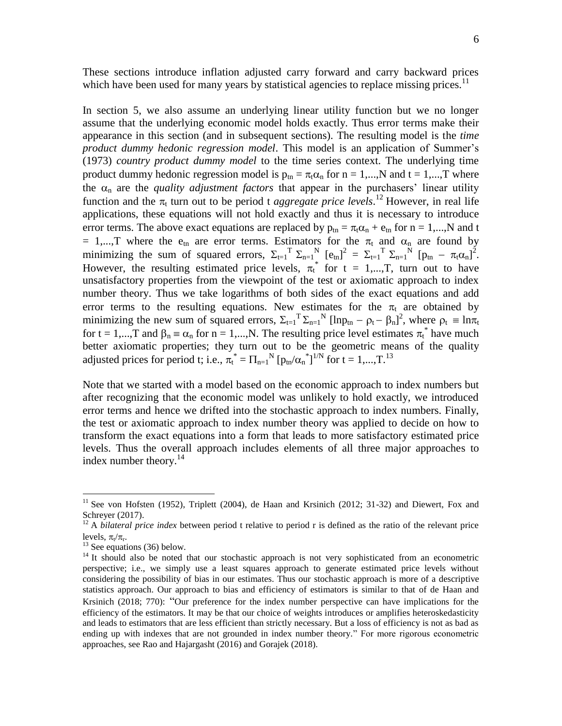These sections introduce inflation adjusted carry forward and carry backward prices which have been used for many years by statistical agencies to replace missing prices.<sup>11</sup>

In section 5, we also assume an underlying linear utility function but we no longer assume that the underlying economic model holds exactly. Thus error terms make their appearance in this section (and in subsequent sections). The resulting model is the *time product dummy hedonic regression model*. This model is an application of Summer's (1973) *country product dummy model* to the time series context. The underlying time product dummy hedonic regression model is  $p_{tn} = \pi_t \alpha_n$  for  $n = 1,...,N$  and  $t = 1,...,T$  where the  $\alpha_n$  are the *quality adjustment factors* that appear in the purchasers' linear utility function and the  $\pi_t$  turn out to be period t *aggregate price levels*.<sup>12</sup> However, in real life applications, these equations will not hold exactly and thus it is necessary to introduce error terms. The above exact equations are replaced by  $p_{tn} = \pi_t \alpha_n + e_{tn}$  for  $n = 1,...,N$  and t = 1,...,T where the  $e_{tn}$  are error terms. Estimators for the  $\pi_t$  and  $\alpha_n$  are found by minimizing the sum of squared errors,  $\Sigma_{t=1}^T \Sigma_{n=1}^N [\epsilon_{tn}]^2 = \Sigma_{t=1}^T \Sigma_{n=1}^N [\epsilon_{tn} - \pi_t \alpha_n]^2$ . However, the resulting estimated price levels,  $\pi_t^*$  for  $t = 1,...,T$ , turn out to have unsatisfactory properties from the viewpoint of the test or axiomatic approach to index number theory. Thus we take logarithms of both sides of the exact equations and add error terms to the resulting equations. New estimates for the  $\pi_t$  are obtained by minimizing the new sum of squared errors,  $\Sigma_{t=1}^T \Sigma_{n=1}^N [\ln p_{tn} - \rho_t - \beta_n]^2$ , where  $\rho_t \equiv \ln \pi_t$ for  $t = 1,...,T$  and  $\beta_n \equiv \alpha_n$  for  $n = 1,...,N$ . The resulting price level estimates  $\pi_t^*$  have much better axiomatic properties; they turn out to be the geometric means of the quality adjusted prices for period t; i.e.,  $\pi_t^* = \prod_{n=1}^N [p_{tn}/\alpha_n^*]^{1/N}$  for  $t = 1,...,T$ .<sup>13</sup>

Note that we started with a model based on the economic approach to index numbers but after recognizing that the economic model was unlikely to hold exactly, we introduced error terms and hence we drifted into the stochastic approach to index numbers. Finally, the test or axiomatic approach to index number theory was applied to decide on how to transform the exact equations into a form that leads to more satisfactory estimated price levels. Thus the overall approach includes elements of all three major approaches to index number theory. $^{14}$ 

<sup>&</sup>lt;sup>11</sup> See von Hofsten (1952), Triplett (2004), de Haan and Krsinich (2012; 31-32) and Diewert, Fox and Schreyer (2017).

<sup>&</sup>lt;sup>12</sup> A *bilateral price index* between period t relative to period r is defined as the ratio of the relevant price levels,  $\pi_{t}/\pi_{r}$ .

 $13$  See equations (36) below.

 $14$  It should also be noted that our stochastic approach is not very sophisticated from an econometric perspective; i.e., we simply use a least squares approach to generate estimated price levels without considering the possibility of bias in our estimates. Thus our stochastic approach is more of a descriptive statistics approach. Our approach to bias and efficiency of estimators is similar to that of de Haan and Krsinich (2018; 770): "Our preference for the index number perspective can have implications for the efficiency of the estimators. It may be that our choice of weights introduces or amplifies heteroskedasticity and leads to estimators that are less efficient than strictly necessary. But a loss of efficiency is not as bad as ending up with indexes that are not grounded in index number theory." For more rigorous econometric approaches, see Rao and Hajargasht (2016) and Gorajek (2018).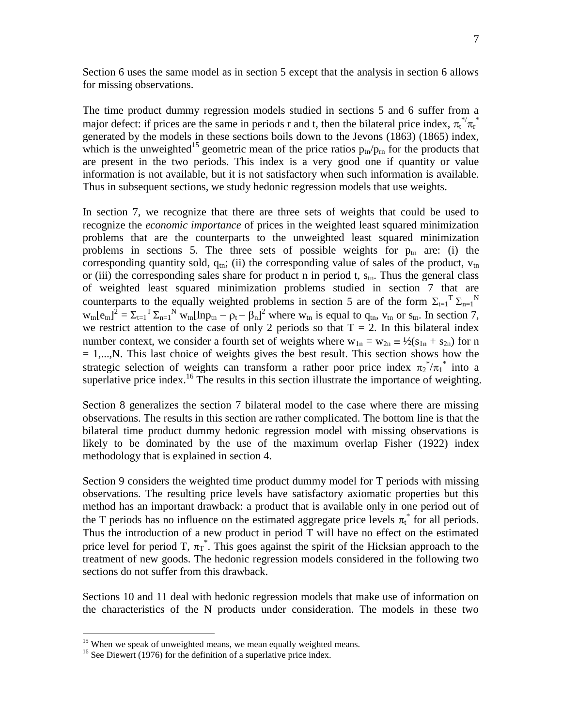Section 6 uses the same model as in section 5 except that the analysis in section 6 allows for missing observations.

The time product dummy regression models studied in sections 5 and 6 suffer from a major defect: if prices are the same in periods r and t, then the bilateral price index,  $\pi_t^{*\prime}\pi_t^{*}$ generated by the models in these sections boils down to the Jevons (1863) (1865) index, which is the unweighted<sup>15</sup> geometric mean of the price ratios  $p_{tn}/p_{rn}$  for the products that are present in the two periods. This index is a very good one if quantity or value information is not available, but it is not satisfactory when such information is available. Thus in subsequent sections, we study hedonic regression models that use weights.

In section 7, we recognize that there are three sets of weights that could be used to recognize the *economic importance* of prices in the weighted least squared minimization problems that are the counterparts to the unweighted least squared minimization problems in sections 5. The three sets of possible weights for  $p_{tn}$  are: (i) the corresponding quantity sold,  $q_{\text{tn}}$ ; (ii) the corresponding value of sales of the product,  $v_{\text{tn}}$ or (iii) the corresponding sales share for product n in period t,  $s_{tn}$ . Thus the general class of weighted least squared minimization problems studied in section 7 that are counterparts to the equally weighted problems in section 5 are of the form  $\Sigma_{t=1}^T \Sigma_{n=1}^N$  $w_{tn}[e_{tn}]^2 = \sum_{t=1}^{T} \sum_{n=1}^{N} w_{tn}[ln p_{tn} - \rho_t - \beta_n]^2$  where  $w_{tn}$  is equal to  $q_{tn}$ ,  $v_{tn}$  or  $s_{tn}$ . In section 7, we restrict attention to the case of only 2 periods so that  $T = 2$ . In this bilateral index number context, we consider a fourth set of weights where  $w_{1n} = w_{2n} = \frac{1}{2}(s_{1n} + s_{2n})$  for n  $= 1,...,N$ . This last choice of weights gives the best result. This section shows how the strategic selection of weights can transform a rather poor price index  $\pi_2^* / \pi_1^*$  into a superlative price index.<sup>16</sup> The results in this section illustrate the importance of weighting.

Section 8 generalizes the section 7 bilateral model to the case where there are missing observations. The results in this section are rather complicated. The bottom line is that the bilateral time product dummy hedonic regression model with missing observations is likely to be dominated by the use of the maximum overlap Fisher (1922) index methodology that is explained in section 4.

Section 9 considers the weighted time product dummy model for T periods with missing observations. The resulting price levels have satisfactory axiomatic properties but this method has an important drawback: a product that is available only in one period out of the T periods has no influence on the estimated aggregate price levels  $\pi_t^*$  for all periods. Thus the introduction of a new product in period T will have no effect on the estimated price level for period T,  $\pi_T^*$ . This goes against the spirit of the Hicksian approach to the treatment of new goods. The hedonic regression models considered in the following two sections do not suffer from this drawback.

Sections 10 and 11 deal with hedonic regression models that make use of information on the characteristics of the N products under consideration. The models in these two

 $15$  When we speak of unweighted means, we mean equally weighted means.

 $16$  See Diewert (1976) for the definition of a superlative price index.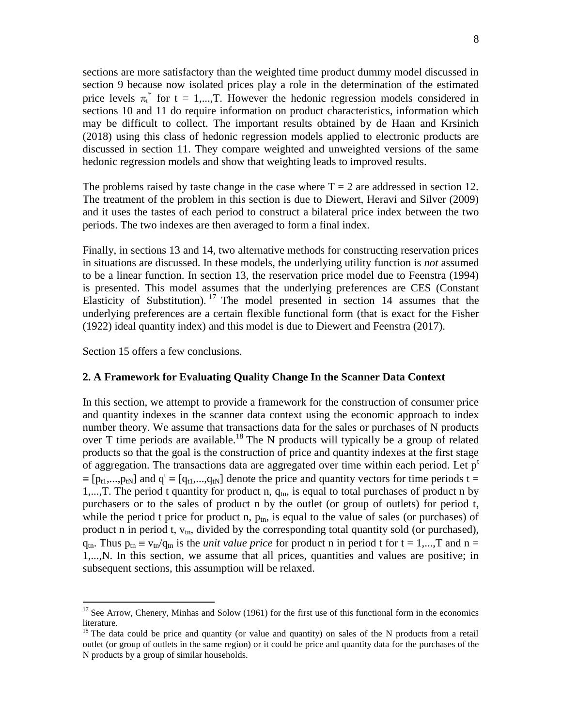sections are more satisfactory than the weighted time product dummy model discussed in section 9 because now isolated prices play a role in the determination of the estimated price levels  $\pi_t^*$  for t = 1,...,T. However the hedonic regression models considered in sections 10 and 11 do require information on product characteristics, information which may be difficult to collect. The important results obtained by de Haan and Krsinich (2018) using this class of hedonic regression models applied to electronic products are discussed in section 11. They compare weighted and unweighted versions of the same hedonic regression models and show that weighting leads to improved results.

The problems raised by taste change in the case where  $T = 2$  are addressed in section 12. The treatment of the problem in this section is due to Diewert, Heravi and Silver (2009) and it uses the tastes of each period to construct a bilateral price index between the two periods. The two indexes are then averaged to form a final index.

Finally, in sections 13 and 14, two alternative methods for constructing reservation prices in situations are discussed. In these models, the underlying utility function is *not* assumed to be a linear function. In section 13, the reservation price model due to Feenstra (1994) is presented. This model assumes that the underlying preferences are CES (Constant Elasticity of Substitution). <sup>17</sup> The model presented in section 14 assumes that the underlying preferences are a certain flexible functional form (that is exact for the Fisher (1922) ideal quantity index) and this model is due to Diewert and Feenstra (2017).

Section 15 offers a few conclusions.

 $\overline{a}$ 

#### **2. A Framework for Evaluating Quality Change In the Scanner Data Context**

In this section, we attempt to provide a framework for the construction of consumer price and quantity indexes in the scanner data context using the economic approach to index number theory. We assume that transactions data for the sales or purchases of N products over T time periods are available.<sup>18</sup> The N products will typically be a group of related products so that the goal is the construction of price and quantity indexes at the first stage of aggregation. The transactions data are aggregated over time within each period. Let  $p<sup>t</sup>$  $\equiv [p_{t1},...,p_{tN}]$  and  $q^t \equiv [q_{t1},...,q_{tN}]$  denote the price and quantity vectors for time periods t = 1,..., T. The period t quantity for product n,  $q_{tn}$ , is equal to total purchases of product n by purchasers or to the sales of product n by the outlet (or group of outlets) for period t, while the period t price for product n,  $p_{tn}$ , is equal to the value of sales (or purchases) of product n in period t,  $v_{tn}$ , divided by the corresponding total quantity sold (or purchased),  $q_{tn}$ . Thus  $p_{tn} \equiv v_{tn}/q_{tn}$  is the *unit value price* for product n in period t for t = 1,...,T and n = 1,...,N. In this section, we assume that all prices, quantities and values are positive; in subsequent sections, this assumption will be relaxed.

 $17$  See Arrow, Chenery, Minhas and Solow (1961) for the first use of this functional form in the economics literature.

 $18$  The data could be price and quantity (or value and quantity) on sales of the N products from a retail outlet (or group of outlets in the same region) or it could be price and quantity data for the purchases of the N products by a group of similar households.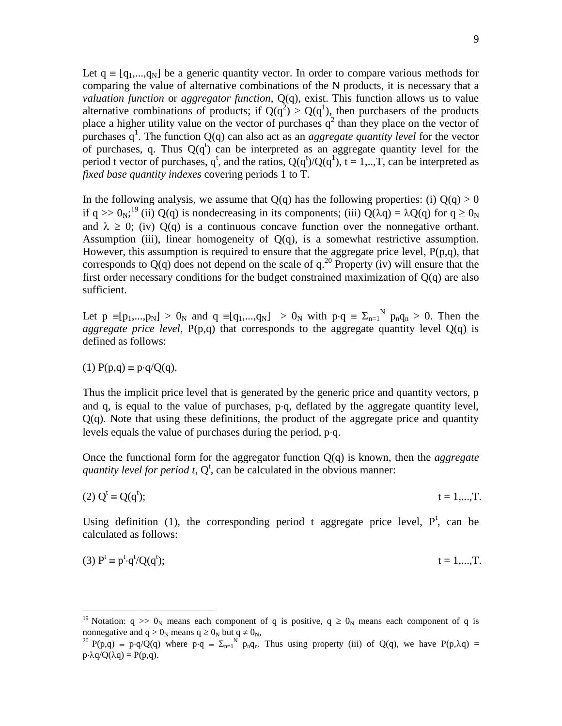Let  $q \equiv [q_1,...,q_N]$  be a generic quantity vector. In order to compare various methods for comparing the value of alternative combinations of the N products, it is necessary that a *valuation function* or *aggregator function*, Q(q), exist. This function allows us to value alternative combinations of products; if  $Q(q^2) > Q(q^1)$ , then purchasers of the products place a higher utility value on the vector of purchases  $q^2$  than they place on the vector of purchases  $q<sup>1</sup>$ . The function  $Q(q)$  can also act as an *aggregate quantity level* for the vector of purchases, q. Thus  $Q(q^t)$  can be interpreted as an aggregate quantity level for the period t vector of purchases, q<sup>t</sup>, and the ratios,  $Q(q^t)/Q(q^1)$ ,  $t = 1,...,T$ , can be interpreted as *fixed base quantity indexes* covering periods 1 to T.

In the following analysis, we assume that  $Q(q)$  has the following properties: (i)  $Q(q) > 0$ if q >>  $0_N$ ;<sup>19</sup> (ii) Q(q) is nondecreasing in its components; (iii) Q( $\lambda$ q) =  $\lambda$ Q(q) for q ≥  $0_N$ and  $\lambda \geq 0$ ; (iv)  $Q(q)$  is a continuous concave function over the nonnegative orthant. Assumption (iii), linear homogeneity of  $Q(q)$ , is a somewhat restrictive assumption. However, this assumption is required to ensure that the aggregate price level, P(p,q), that corresponds to  $Q(q)$  does not depend on the scale of  $q^{20}$  Property (iv) will ensure that the first order necessary conditions for the budget constrained maximization of Q(q) are also sufficient.

Let  $p \equiv [p_1,...,p_N] > 0_N$  and  $q \equiv [q_1,...,q_N] > 0_N$  with  $p \cdot q \equiv \sum_{n=1}^N p_n q_n > 0$ . Then the *aggregate price level*,  $P(p,q)$  that corresponds to the aggregate quantity level  $Q(q)$  is defined as follows:

$$
(1) P(p,q) \equiv p \cdot q / Q(q).
$$

 $\overline{a}$ 

Thus the implicit price level that is generated by the generic price and quantity vectors, p and q, is equal to the value of purchases,  $p \cdot q$ , deflated by the aggregate quantity level,  $Q(q)$ . Note that using these definitions, the product of the aggregate price and quantity levels equals the value of purchases during the period,  $p \cdot q$ .

Once the functional form for the aggregator function Q(q) is known, then the *aggregate*  quantity level for period t,  $Q^t$ , can be calculated in the obvious manner:

(2) 
$$
Q^t = Q(q^t)
$$
;  $t = 1,...,T$ .

Using definition (1), the corresponding period t aggregate price level,  $P^t$ , can be calculated as follows:

$$
(3) Pt \equiv pt \cdot qt/Q(qt); \qquad t = 1,...,T.
$$

<sup>&</sup>lt;sup>19</sup> Notation: q  $\gg 0_N$  means each component of q is positive, q  $\ge 0_N$  means each component of q is nonnegative and  $q > 0_N$  means  $q \ge 0_N$  but  $q \ne 0_N$ ,

<sup>&</sup>lt;sup>20</sup> P(p,q) = p·q/Q(q) where p·q =  $\Sigma_{n=1}^{N}$  p<sub>n</sub>q<sub>n</sub>. Thus using property (iii) of Q(q), we have P(p, $\lambda$ q) =  $p \cdot \lambda q / Q(\lambda q) = P(p,q)$ .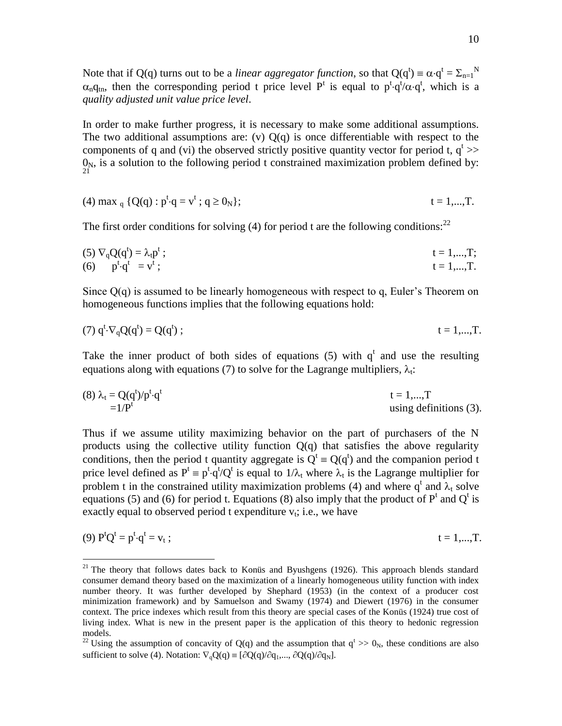Note that if Q(q) turns out to be a *linear aggregator function*, so that  $Q(q^t) = \alpha \cdot q^t = \sum_{n=1}^{N}$  $\alpha_n q_{tn}$ , then the corresponding period t price level P<sup>t</sup> is equal to  $p^t \cdot q^t / \alpha \cdot q^t$ , which is a *quality adjusted unit value price level*.

In order to make further progress, it is necessary to make some additional assumptions. The two additional assumptions are: (v)  $Q(q)$  is once differentiable with respect to the components of q and (vi) the observed strictly positive quantity vector for period t,  $q^t$  >>  $0<sub>N</sub>$ , is a solution to the following period t constrained maximization problem defined by: 21

(4) max<sub>q</sub> {
$$
Q(q)
$$
 :  $p^t \cdot q = v^t$  ;  $q \ge 0_N$ };  $t = 1,...,T$ .

The first order conditions for solving  $(4)$  for period t are the following conditions:<sup>22</sup>

(5) 
$$
\nabla_q Q(q^t) = \lambda_t p^t
$$
;  
\n(6)  $p^t \cdot q^t = v^t$ ;  
\n(7)  $t = 1,...,T$ ;  
\n(8)  $t = 1,...,T$ 

Since  $Q(q)$  is assumed to be linearly homogeneous with respect to q, Euler's Theorem on homogeneous functions implies that the following equations hold:

$$
(7) qt \nabla_q Q(qt) = Q(qt) ; \t\t t = 1,...,T.
$$

Take the inner product of both sides of equations  $(5)$  with  $q<sup>t</sup>$  and use the resulting equations along with equations (7) to solve for the Lagrange multipliers,  $\lambda_t$ .

(8) 
$$
\lambda_t = Q(q^t)/p^t \cdot q^t
$$
  
= 1/ $P^t$   
t = 1,...,T  
using definitions (3).

Thus if we assume utility maximizing behavior on the part of purchasers of the N products using the collective utility function  $Q(q)$  that satisfies the above regularity conditions, then the period t quantity aggregate is  $Q^t = Q(q^t)$  and the companion period t price level defined as  $P^t = p^t \cdot q^t/Q^t$  is equal to  $1/\lambda_t$  where  $\lambda_t$  is the Lagrange multiplier for problem t in the constrained utility maximization problems (4) and where  $q^t$  and  $\lambda_t$  solve equations (5) and (6) for period t. Equations (8) also imply that the product of  $P<sup>t</sup>$  and  $Q<sup>t</sup>$  is exactly equal to observed period t expenditure  $v_t$ ; i.e., we have

(9) 
$$
P^tQ^t = p^t \cdot q^t = v_t
$$
;  $t = 1,...,T$ .

<sup>&</sup>lt;sup>21</sup> The theory that follows dates back to Konüs and Byushgens (1926). This approach blends standard consumer demand theory based on the maximization of a linearly homogeneous utility function with index number theory. It was further developed by Shephard (1953) (in the context of a producer cost minimization framework) and by Samuelson and Swamy (1974) and Diewert (1976) in the consumer context. The price indexes which result from this theory are special cases of the Konüs (1924) true cost of living index. What is new in the present paper is the application of this theory to hedonic regression models.

<sup>&</sup>lt;sup>22</sup> Using the assumption of concavity of Q(q) and the assumption that  $q^t \gg 0_N$ , these conditions are also sufficient to solve (4). Notation:  $\nabla_{\mathbf{q}}\mathbf{Q}(\mathbf{q}) \equiv [\partial \mathbf{Q}(\mathbf{q})/\partial \mathbf{q}_1,..., \partial \mathbf{Q}(\mathbf{q})/\partial \mathbf{q}_N]$ .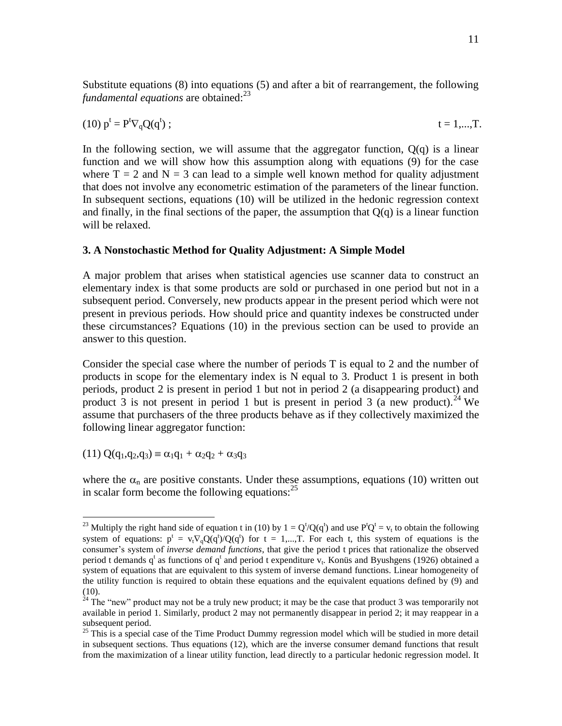Substitute equations (8) into equations (5) and after a bit of rearrangement, the following *fundamental equations* are obtained:<sup>23</sup>

(10) 
$$
p^t = P^t \nabla_q Q(q^t)
$$
;  $t = 1,...,T$ .

In the following section, we will assume that the aggregator function,  $Q(q)$  is a linear function and we will show how this assumption along with equations (9) for the case where  $T = 2$  and  $N = 3$  can lead to a simple well known method for quality adjustment that does not involve any econometric estimation of the parameters of the linear function. In subsequent sections, equations (10) will be utilized in the hedonic regression context and finally, in the final sections of the paper, the assumption that  $O(q)$  is a linear function will be relaxed.

#### **3. A Nonstochastic Method for Quality Adjustment: A Simple Model**

A major problem that arises when statistical agencies use scanner data to construct an elementary index is that some products are sold or purchased in one period but not in a subsequent period. Conversely, new products appear in the present period which were not present in previous periods. How should price and quantity indexes be constructed under these circumstances? Equations (10) in the previous section can be used to provide an answer to this question.

Consider the special case where the number of periods T is equal to 2 and the number of products in scope for the elementary index is N equal to 3. Product 1 is present in both periods, product 2 is present in period 1 but not in period 2 (a disappearing product) and product 3 is not present in period 1 but is present in period 3 (a new product).<sup>24</sup> We assume that purchasers of the three products behave as if they collectively maximized the following linear aggregator function:

 $(11)$  Q(q<sub>1</sub>,q<sub>2</sub>,q<sub>3</sub>)  $\equiv \alpha_1q_1 + \alpha_2q_2 + \alpha_3q_3$ 

 $\overline{a}$ 

where the  $\alpha_n$  are positive constants. Under these assumptions, equations (10) written out in scalar form become the following equations: $^{25}$ 

<sup>&</sup>lt;sup>23</sup> Multiply the right hand side of equation t in (10) by  $1 = Q^t/Q(q^t)$  and use  $P^tQ^t = v_t$  to obtain the following system of equations:  $p^t = v_t \nabla_q Q(q^t) / Q(q^t)$  for  $t = 1,...,T$ . For each t, this system of equations is the consumer's system of *inverse demand functions*, that give the period t prices that rationalize the observed period t demands  $q^t$  as functions of  $q^t$  and period t expenditure  $v_t$ . Konüs and Byushgens (1926) obtained a system of equations that are equivalent to this system of inverse demand functions. Linear homogeneity of the utility function is required to obtain these equations and the equivalent equations defined by (9) and (10).

 $24$  The "new" product may not be a truly new product; it may be the case that product 3 was temporarily not available in period 1. Similarly, product 2 may not permanently disappear in period 2; it may reappear in a subsequent period.

 $25$  This is a special case of the Time Product Dummy regression model which will be studied in more detail in subsequent sections. Thus equations (12), which are the inverse consumer demand functions that result from the maximization of a linear utility function, lead directly to a particular hedonic regression model. It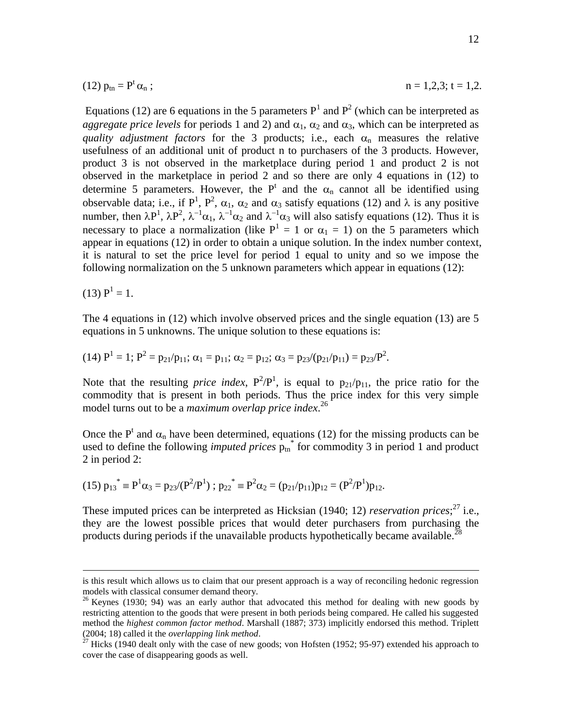(12) 
$$
p_{\text{tn}} = P^t \alpha_n
$$
;  $n = 1,2,3; t = 1,2.$ 

Equations (12) are 6 equations in the 5 parameters  $P<sup>1</sup>$  and  $P<sup>2</sup>$  (which can be interpreted as *aggregate price levels* for periods 1 and 2) and  $\alpha_1$ ,  $\alpha_2$  and  $\alpha_3$ , which can be interpreted as *quality adjustment factors* for the 3 products; i.e., each  $\alpha_n$  measures the relative usefulness of an additional unit of product n to purchasers of the 3 products. However, product 3 is not observed in the marketplace during period 1 and product 2 is not observed in the marketplace in period 2 and so there are only 4 equations in (12) to determine 5 parameters. However, the  $P^t$  and the  $\alpha_n$  cannot all be identified using observable data; i.e., if  $P^1$ ,  $P^2$ ,  $\alpha_1$ ,  $\alpha_2$  and  $\alpha_3$  satisfy equations (12) and  $\lambda$  is any positive number, then  $\lambda P^1$ ,  $\lambda P^2$ ,  $\lambda^{-1}\alpha_1$ ,  $\lambda^{-1}\alpha_2$  and  $\lambda^{-1}\alpha_3$  will also satisfy equations (12). Thus it is necessary to place a normalization (like  $P<sup>1</sup> = 1$  or  $\alpha_1 = 1$ ) on the 5 parameters which appear in equations (12) in order to obtain a unique solution. In the index number context, it is natural to set the price level for period 1 equal to unity and so we impose the following normalization on the 5 unknown parameters which appear in equations (12):

$$
(13) P1 = 1.
$$

 $\overline{a}$ 

The 4 equations in (12) which involve observed prices and the single equation (13) are 5 equations in 5 unknowns. The unique solution to these equations is:

(14) 
$$
P^1 = 1
$$
;  $P^2 = p_{21}/p_{11}$ ;  $\alpha_1 = p_{11}$ ;  $\alpha_2 = p_{12}$ ;  $\alpha_3 = p_{23}/(p_{21}/p_{11}) = p_{23}/P^2$ .

Note that the resulting *price index*,  $P^2/P^1$ , is equal to  $p_{21}/p_{11}$ , the price ratio for the commodity that is present in both periods. Thus the price index for this very simple model turns out to be a *maximum overlap price index*. 26

Once the  $P^t$  and  $\alpha_n$  have been determined, equations (12) for the missing products can be used to define the following *imputed prices*  $p_{\text{tn}}^*$  for commodity 3 in period 1 and product 2 in period 2:

$$
(15) p_{13}^* \equiv P^1 \alpha_3 = p_{23}/(P^2/P^1) ; p_{22}^* \equiv P^2 \alpha_2 = (p_{21}/p_{11})p_{12} = (P^2/P^1)p_{12}.
$$

These imputed prices can be interpreted as Hicksian (1940; 12) *reservation prices*;<sup>27</sup> i.e., they are the lowest possible prices that would deter purchasers from purchasing the products during periods if the unavailable products hypothetically became available.<sup>28</sup>

is this result which allows us to claim that our present approach is a way of reconciling hedonic regression models with classical consumer demand theory.

<sup>&</sup>lt;sup>26</sup> Keynes (1930; 94) was an early author that advocated this method for dealing with new goods by restricting attention to the goods that were present in both periods being compared. He called his suggested method the *highest common factor method*. Marshall (1887; 373) implicitly endorsed this method. Triplett (2004; 18) called it the *overlapping link method*.

 $^{27}$  Hicks (1940 dealt only with the case of new goods; von Hofsten (1952; 95-97) extended his approach to cover the case of disappearing goods as well.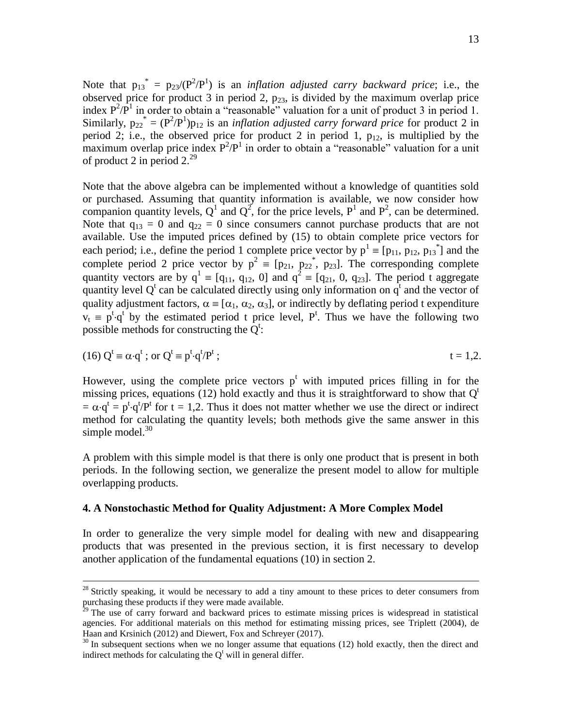Note that  $p_{13}^* = p_{23}/(P^2/P^1)$  is an *inflation adjusted carry backward price*; i.e., the observed price for product 3 in period 2,  $p_{23}$ , is divided by the maximum overlap price index  $P^2/P^1$  in order to obtain a "reasonable" valuation for a unit of product 3 in period 1. Similarly,  $p_{22}^* = (P^2/P^1)p_{12}$  is an *inflation adjusted carry forward price* for product 2 in period 2; i.e., the observed price for product 2 in period 1,  $p_{12}$ , is multiplied by the maximum overlap price index  $P^2/P^1$  in order to obtain a "reasonable" valuation for a unit of product 2 in period  $2.^{29}$ 

Note that the above algebra can be implemented without a knowledge of quantities sold or purchased. Assuming that quantity information is available, we now consider how companion quantity levels,  $Q^1$  and  $Q^2$ , for the price levels,  $P^1$  and  $P^2$ , can be determined. Note that  $q_{13} = 0$  and  $q_{22} = 0$  since consumers cannot purchase products that are not available. Use the imputed prices defined by (15) to obtain complete price vectors for each period; i.e., define the period 1 complete price vector by  $p^1 = [p_{11}, p_{12}, p_{13}]$  and the complete period 2 price vector by  $p^2 = [p_{21}, p_{22}, p_{23}]$ . The corresponding complete quantity vectors are by  $q^1 \equiv [q_{11}, q_{12}, 0]$  and  $q^2 \equiv [q_{21}, 0, q_{23}]$ . The period t aggregate quantity level  $Q^t$  can be calculated directly using only information on  $q^t$  and the vector of quality adjustment factors,  $\alpha = [\alpha_1, \alpha_2, \alpha_3]$ , or indirectly by deflating period t expenditure  $v_t = p^t \cdot q^t$  by the estimated period t price level, P<sup>t</sup>. Thus we have the following two possible methods for constructing the  $Q^t$ :

(16) 
$$
Q^t \equiv \alpha \cdot q^t
$$
; or  $Q^t \equiv p^t \cdot q^t / P^t$ ;  $t = 1, 2$ .

However, using the complete price vectors  $p^t$  with imputed prices filling in for the missing prices, equations (12) hold exactly and thus it is straightforward to show that  $Q<sup>t</sup>$  $= \alpha \cdot q^t = p^t \cdot q^t / P^t$  for  $t = 1,2$ . Thus it does not matter whether we use the direct or indirect method for calculating the quantity levels; both methods give the same answer in this simple model.<sup>30</sup>

A problem with this simple model is that there is only one product that is present in both periods. In the following section, we generalize the present model to allow for multiple overlapping products.

#### **4. A Nonstochastic Method for Quality Adjustment: A More Complex Model**

 $\overline{a}$ 

In order to generalize the very simple model for dealing with new and disappearing products that was presented in the previous section, it is first necessary to develop another application of the fundamental equations (10) in section 2.

 $28$  Strictly speaking, it would be necessary to add a tiny amount to these prices to deter consumers from purchasing these products if they were made available.

 $2^{29}$  The use of carry forward and backward prices to estimate missing prices is widespread in statistical agencies. For additional materials on this method for estimating missing prices, see Triplett (2004), de Haan and Krsinich (2012) and Diewert, Fox and Schreyer (2017).

 $30$  In subsequent sections when we no longer assume that equations (12) hold exactly, then the direct and indirect methods for calculating the  $Q^t$  will in general differ.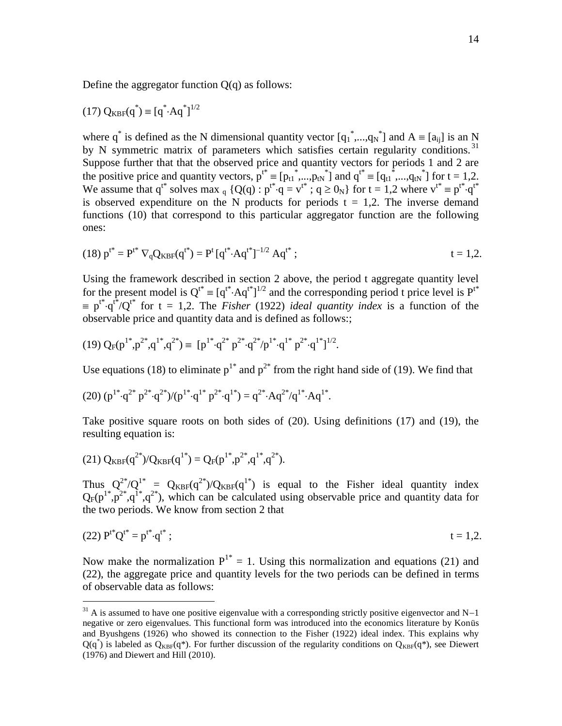Define the aggregator function  $Q(q)$  as follows:

$$
(17) Q_{KBF}(q^*) = [q^* A q^*]^{1/2}
$$

where  $q^*$  is defined as the N dimensional quantity vector  $[q_1^*,...,q_N^*]$  and  $A \equiv [a_{ij}]$  is an N by N symmetric matrix of parameters which satisfies certain regularity conditions.<sup>31</sup> Suppose further that that the observed price and quantity vectors for periods 1 and 2 are the positive price and quantity vectors,  $p^{t^*} \equiv [p_{t1}^*,...,p_{tN}^*]$  and  $q^{t^*} \equiv [q_{t1}^*,...,q_{tN}^*]$  for  $t = 1,2$ . We assume that  $q^{t^*}$  solves max  $_q \{Q(q): p^{t^*} \cdot q = v^{t^*} \cdot q \ge 0_N\}$  for  $t = 1,2$  where  $v^{t^*} \equiv p^{t^*} \cdot q^{t^*}$ is observed expenditure on the N products for periods  $t = 1,2$ . The inverse demand functions (10) that correspond to this particular aggregator function are the following ones:

(18) 
$$
p^{t^*} = P^{t^*} \nabla_q Q_{KBF}(q^{t^*}) = P^t [q^{t^*} \cdot Aq^{t^*}]^{-1/2} Aq^{t^*};
$$
  $t = 1, 2.$ 

Using the framework described in section 2 above, the period t aggregate quantity level for the present model is  $Q^{t*} = [q^{t*} \cdot Aq^{t*}]^{1/2}$  and the corresponding period t price level is  $P^{t*}$  $p^{\dagger}$  of  $q^{\dagger}$  of t = 1,2. The *Fisher* (1922) *ideal quantity index* is a function of the observable price and quantity data and is defined as follows:;

$$
(19) Q_F(p^{1*}, p^{2*}, q^{1*}, q^{2*}) \equiv [p^{1*} \cdot q^{2*} p^{2*} \cdot q^{2*}/p^{1*} \cdot q^{1*} p^{2*} \cdot q^{1*}]^{1/2}.
$$

Use equations (18) to eliminate  $p^{1*}$  and  $p^{2*}$  from the right hand side of (19). We find that

(20) 
$$
(p^{1*} \cdot q^{2*} p^{2*} \cdot q^{2*})/(p^{1*} \cdot q^{1*} p^{2*} \cdot q^{1*}) = q^{2*} \cdot Aq^{2*}/q^{1*} \cdot Aq^{1*}.
$$

Take positive square roots on both sides of (20). Using definitions (17) and (19), the resulting equation is:

(21) 
$$
Q_{KBF}(q^{2*})/Q_{KBF}(q^{1*}) = Q_F(p^{1*}, p^{2*}, q^{1*}, q^{2*}).
$$

 $\overline{a}$ 

Thus  $Q^{2*}/Q^{1*} = Q_{KBF}(q^{2*})/Q_{KBF}(q^{1*})$  is equal to the Fisher ideal quantity index  $Q_F(p^{1*},p^{2*},q^{1*},q^{2*})$ , which can be calculated using observable price and quantity data for the two periods. We know from section 2 that

(22) 
$$
P^{t*}Q^{t*} = p^{t*}q^{t*}
$$
;  $t = 1,2.$ 

Now make the normalization  $P^{1*} = 1$ . Using this normalization and equations (21) and (22), the aggregate price and quantity levels for the two periods can be defined in terms of observable data as follows:

 $31$  A is assumed to have one positive eigenvalue with a corresponding strictly positive eigenvector and N-1 negative or zero eigenvalues. This functional form was introduced into the economics literature by Konüs and Byushgens (1926) who showed its connection to the Fisher (1922) ideal index. This explains why  $Q(q^*)$  is labeled as  $Q_{KBF}(q^*)$ . For further discussion of the regularity conditions on  $Q_{KBF}(q^*)$ , see Diewert (1976) and Diewert and Hill (2010).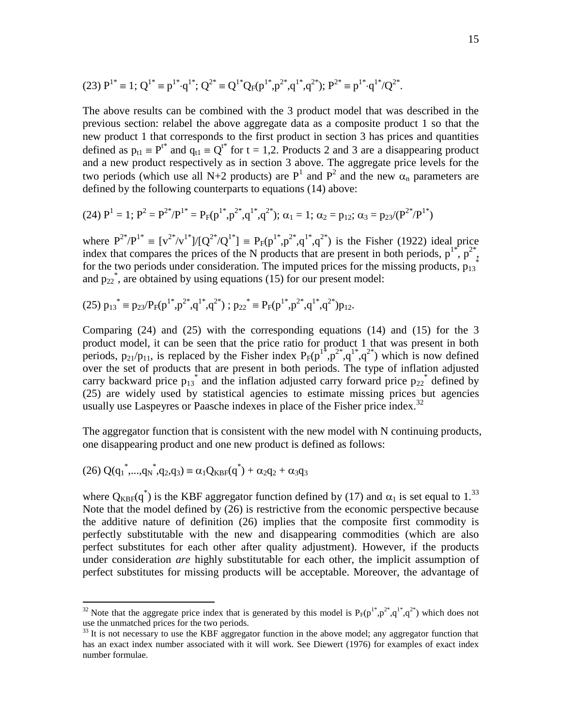(23) 
$$
P^{1*} \equiv 1
$$
;  $Q^{1*} \equiv p^{1*} \cdot q^{1*}$ ;  $Q^{2*} \equiv Q^{1*} Q_F(p^{1*}, p^{2*}, q^{1*}, q^{2*})$ ;  $P^{2*} \equiv p^{1*} \cdot q^{1*}/Q^{2*}$ .

The above results can be combined with the 3 product model that was described in the previous section: relabel the above aggregate data as a composite product 1 so that the new product 1 that corresponds to the first product in section 3 has prices and quantities defined as  $p_{t1} \equiv P^{t*}$  and  $q_{t1} \equiv Q^{t*}$  for  $t = 1,2$ . Products 2 and 3 are a disappearing product and a new product respectively as in section 3 above. The aggregate price levels for the two periods (which use all N+2 products) are  $P<sup>1</sup>$  and  $P<sup>2</sup>$  and the new  $\alpha_n$  parameters are defined by the following counterparts to equations (14) above:

$$
(24) P1 = 1; P2 = P2*/P1* = PF(p1*, p2*, q1*, q2*); \alpha1 = 1; \alpha2 = p12; \alpha3 = p23/(P2*/P1*)
$$

where  $P^{2*}/P^{1*} \equiv [v^{2*}/v^{1*}]/[Q^{2*}/Q^{1*}] \equiv P_F(p^{1*}, p^{2*}, q^{1*}, q^{2*})$  is the Fisher (1922) ideal price index that compares the prices of the N products that are present in both periods,  $p^{1*}$ ,  $p^{2*}$ , for the two periods under consideration. The imputed prices for the missing products,  $p_{13}^*$ and  $p_{22}^*$ , are obtained by using equations (15) for our present model:

 $(25)$   $p_{13}^* \equiv p_{23}/P_F(p^{1*}, p^{2*}, q^{1*}, q^{2*})$ ;  $p_{22}^* \equiv P_F(p^{1*}, p^{2*}, q^{1*}, q^{2*})p_{12}$ .

Comparing  $(24)$  and  $(25)$  with the corresponding equations  $(14)$  and  $(15)$  for the 3 product model, it can be seen that the price ratio for product 1 that was present in both periods,  $p_{21}/p_{11}$ , is replaced by the Fisher index  $P_F(p^{1*}, p^{2*}, q^{1*}, q^{2*})$  which is now defined over the set of products that are present in both periods. The type of inflation adjusted carry backward price  $p_{13}^*$  and the inflation adjusted carry forward price  $p_{22}^*$  defined by (25) are widely used by statistical agencies to estimate missing prices but agencies usually use Laspeyres or Paasche indexes in place of the Fisher price index.<sup>32</sup>

The aggregator function that is consistent with the new model with N continuing products, one disappearing product and one new product is defined as follows:

$$
(26) Q(q_1^*,...,q_N^*,q_2,q_3) \equiv \alpha_1 Q_{KBF}(q^*) + \alpha_2 q_2 + \alpha_3 q_3
$$

 $\overline{a}$ 

where  $Q_{KBF}(q^*)$  is the KBF aggregator function defined by (17) and  $\alpha_1$  is set equal to 1.<sup>33</sup> Note that the model defined by (26) is restrictive from the economic perspective because the additive nature of definition (26) implies that the composite first commodity is perfectly substitutable with the new and disappearing commodities (which are also perfect substitutes for each other after quality adjustment). However, if the products under consideration *are* highly substitutable for each other, the implicit assumption of perfect substitutes for missing products will be acceptable. Moreover, the advantage of

<sup>&</sup>lt;sup>32</sup> Note that the aggregate price index that is generated by this model is  $P_F(p^{1*}, p^{2*}, q^{1*}, q^{2*})$  which does not use the unmatched prices for the two periods.

<sup>&</sup>lt;sup>33</sup> It is not necessary to use the KBF aggregator function in the above model; any aggregator function that has an exact index number associated with it will work. See Diewert (1976) for examples of exact index number formulae.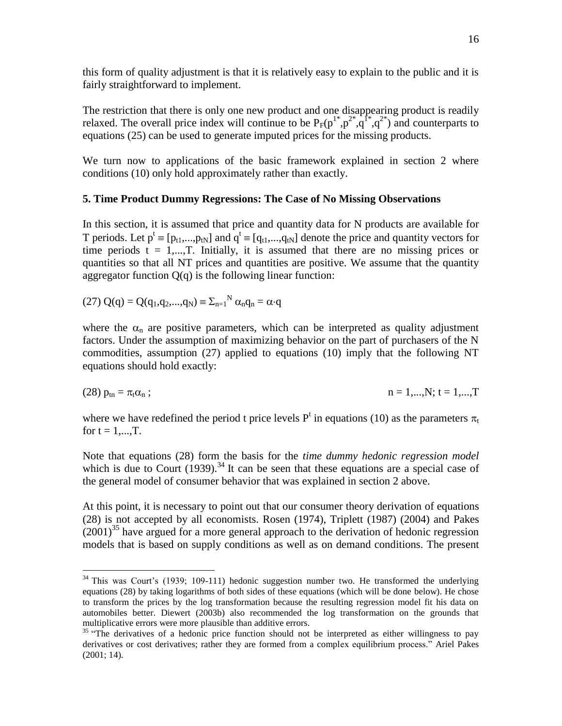this form of quality adjustment is that it is relatively easy to explain to the public and it is fairly straightforward to implement.

The restriction that there is only one new product and one disappearing product is readily relaxed. The overall price index will continue to be  $P_F(p^{1*},p^{2*},q^{1*},q^{2*})$  and counterparts to equations (25) can be used to generate imputed prices for the missing products.

We turn now to applications of the basic framework explained in section 2 where conditions (10) only hold approximately rather than exactly.

#### **5. Time Product Dummy Regressions: The Case of No Missing Observations**

In this section, it is assumed that price and quantity data for N products are available for T periods. Let  $p^t \equiv [p_{t1},...,p_{tN}]$  and  $q^t \equiv [q_{t1},...,q_{tN}]$  denote the price and quantity vectors for time periods  $t = 1,...,T$ . Initially, it is assumed that there are no missing prices or quantities so that all NT prices and quantities are positive. We assume that the quantity aggregator function  $Q(q)$  is the following linear function:

(27) 
$$
Q(q) = Q(q_1, q_2, ..., q_N) \equiv \sum_{n=1}^{N} \alpha_n q_n = \alpha \cdot q
$$

 $\overline{a}$ 

where the  $\alpha_n$  are positive parameters, which can be interpreted as quality adjustment factors. Under the assumption of maximizing behavior on the part of purchasers of the N commodities, assumption (27) applied to equations (10) imply that the following NT equations should hold exactly:

(28) 
$$
p_{\text{tn}} = \pi_{t} \alpha_{\text{n}}
$$
;  $n = 1,...,N$ ;  $t = 1,...,T$ 

where we have redefined the period t price levels  $P<sup>t</sup>$  in equations (10) as the parameters  $\pi_t$ for  $t = 1,...,T$ .

Note that equations (28) form the basis for the *time dummy hedonic regression model* which is due to Court  $(1939)$ .<sup>34</sup> It can be seen that these equations are a special case of the general model of consumer behavior that was explained in section 2 above.

At this point, it is necessary to point out that our consumer theory derivation of equations (28) is not accepted by all economists. Rosen (1974), Triplett (1987) (2004) and Pakes  $(2001)^{35}$  have argued for a more general approach to the derivation of hedonic regression models that is based on supply conditions as well as on demand conditions. The present

<sup>&</sup>lt;sup>34</sup> This was Court's (1939; 109-111) hedonic suggestion number two. He transformed the underlying equations (28) by taking logarithms of both sides of these equations (which will be done below). He chose to transform the prices by the log transformation because the resulting regression model fit his data on automobiles better. Diewert (2003b) also recommended the log transformation on the grounds that multiplicative errors were more plausible than additive errors.

<sup>&</sup>lt;sup>35</sup> "The derivatives of a hedonic price function should not be interpreted as either willingness to pay derivatives or cost derivatives; rather they are formed from a complex equilibrium process." Ariel Pakes (2001; 14).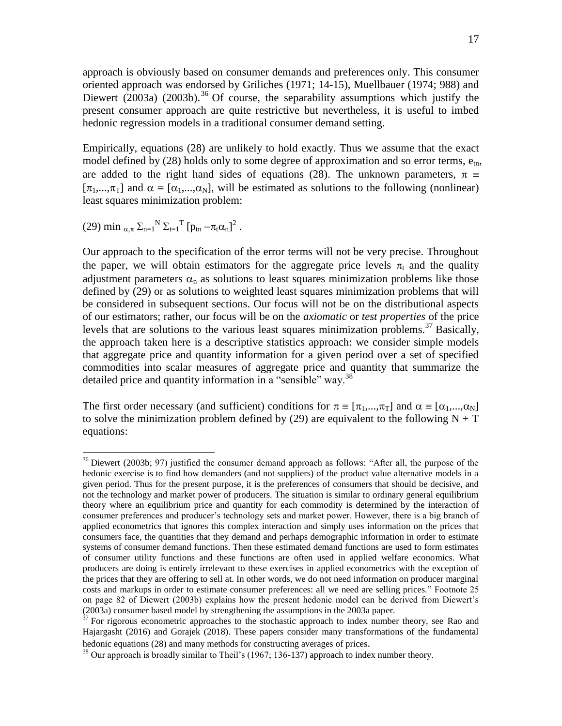approach is obviously based on consumer demands and preferences only. This consumer oriented approach was endorsed by Griliches (1971; 14-15), Muellbauer (1974; 988) and Diewert (2003a) (2003b).<sup>36</sup> Of course, the separability assumptions which justify the present consumer approach are quite restrictive but nevertheless, it is useful to imbed hedonic regression models in a traditional consumer demand setting.

Empirically, equations (28) are unlikely to hold exactly. Thus we assume that the exact model defined by  $(28)$  holds only to some degree of approximation and so error terms,  $e_{tn}$ , are added to the right hand sides of equations (28). The unknown parameters,  $\pi \equiv$  $[\pi_1,...,\pi_T]$  and  $\alpha \equiv [\alpha_1,...,\alpha_N]$ , will be estimated as solutions to the following (nonlinear) least squares minimization problem:

(29) min  $_{\alpha,\pi} \Sigma_{n=1}^N \Sigma_{t=1}^T [p_{tn} - \pi_t \alpha_n]^2$ .

 $\overline{a}$ 

Our approach to the specification of the error terms will not be very precise. Throughout the paper, we will obtain estimators for the aggregate price levels  $\pi_t$  and the quality adjustment parameters  $\alpha_n$  as solutions to least squares minimization problems like those defined by (29) or as solutions to weighted least squares minimization problems that will be considered in subsequent sections. Our focus will not be on the distributional aspects of our estimators; rather, our focus will be on the *axiomatic* or *test properties* of the price levels that are solutions to the various least squares minimization problems.<sup>37</sup> Basically, the approach taken here is a descriptive statistics approach: we consider simple models that aggregate price and quantity information for a given period over a set of specified commodities into scalar measures of aggregate price and quantity that summarize the detailed price and quantity information in a "sensible" way.<sup>38</sup>

The first order necessary (and sufficient) conditions for  $\pi = [\pi_1, ..., \pi_T]$  and  $\alpha = [\alpha_1, ..., \alpha_N]$ to solve the minimization problem defined by (29) are equivalent to the following  $N + T$ equations:

<sup>&</sup>lt;sup>36</sup> Diewert (2003b; 97) justified the consumer demand approach as follows: "After all, the purpose of the hedonic exercise is to find how demanders (and not suppliers) of the product value alternative models in a given period. Thus for the present purpose, it is the preferences of consumers that should be decisive, and not the technology and market power of producers. The situation is similar to ordinary general equilibrium theory where an equilibrium price and quantity for each commodity is determined by the interaction of consumer preferences and producer's technology sets and market power. However, there is a big branch of applied econometrics that ignores this complex interaction and simply uses information on the prices that consumers face, the quantities that they demand and perhaps demographic information in order to estimate systems of consumer demand functions. Then these estimated demand functions are used to form estimates of consumer utility functions and these functions are often used in applied welfare economics. What producers are doing is entirely irrelevant to these exercises in applied econometrics with the exception of the prices that they are offering to sell at. In other words, we do not need information on producer marginal costs and markups in order to estimate consumer preferences: all we need are selling prices." Footnote 25 on page 82 of Diewert (2003b) explains how the present hedonic model can be derived from Diewert's (2003a) consumer based model by strengthening the assumptions in the 2003a paper.

 $37$  For rigorous econometric approaches to the stochastic approach to index number theory, see Rao and Hajargasht (2016) and Gorajek (2018). These papers consider many transformations of the fundamental hedonic equations (28) and many methods for constructing averages of prices.

 $38$  Our approach is broadly similar to Theil's (1967; 136-137) approach to index number theory.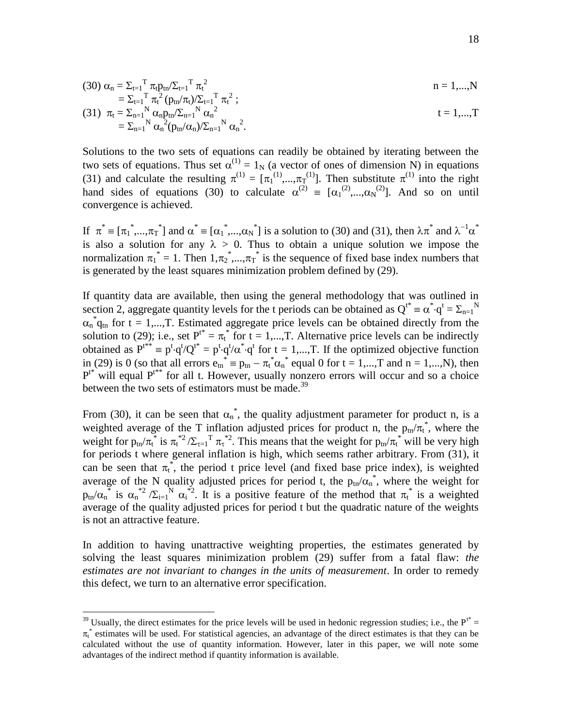(30) 
$$
\alpha_n = \sum_{t=1}^T \pi_t p_{tn} / \sum_{t=1}^T \pi_t^2
$$
  
=  $\sum_{t=1}^T \pi_t^2 (p_{tn} / \pi_t) / \sum_{t=1}^T \pi_t^2$ ;  $n = 1,...,N$ 

(31) 
$$
\pi_t = \sum_{n=1}^{N} \alpha_n p_{tn} / \sum_{n=1}^{N} \alpha_n^2
$$

$$
= \sum_{n=1}^{N} \alpha_n^2 (p_{tn} / \alpha_n) / \sum_{n=1}^{N} \alpha_n^2.
$$

Solutions to the two sets of equations can readily be obtained by iterating between the two sets of equations. Thus set  $\alpha^{(1)} = 1_N$  (a vector of ones of dimension N) in equations (31) and calculate the resulting  $\pi^{(1)} = [\pi_1^{(1)}, ..., \pi_T^{(1)}]$ . Then substitute  $\pi^{(1)}$  into the right hand sides of equations (30) to calculate  $\alpha^{(2)} \equiv [\alpha_1^{(2)},...,\alpha_N^{(2)}]$ . And so on until convergence is achieved.

If  $\pi^* = [\pi_1^*,...,\pi_T^*]$  and  $\alpha^* = [\alpha_1^*,...,\alpha_N^*]$  is a solution to (30) and (31), then  $\lambda \pi^*$  and  $\lambda^{-1} \alpha^*$ is also a solution for any  $\lambda > 0$ . Thus to obtain a unique solution we impose the normalization  $\pi_1^* = 1$ . Then  $1, \pi_2^*, ..., \pi_T^*$  is the sequence of fixed base index numbers that is generated by the least squares minimization problem defined by (29).

If quantity data are available, then using the general methodology that was outlined in section 2, aggregate quantity levels for the t periods can be obtained as  $Q^{t^*} = \alpha^* q^t = \sum_{n=1}^N N^n$  $\alpha_n^* q_{tn}$  for t = 1,..., T. Estimated aggregate price levels can be obtained directly from the solution to (29); i.e., set  $P^{t*} = \pi_t^*$  for  $t = 1,...,T$ . Alternative price levels can be indirectly obtained as  $P^{t**} = p^t \cdot q^t/Q^{t*} = p^t \cdot q^t/\alpha^* \cdot q^t$  for  $t = 1,...,T$ . If the optimized objective function in (29) is 0 (so that all errors  $e_m^* = p_m - \pi_t^* \alpha_n^*$  equal 0 for  $t = 1,...,T$  and  $n = 1,...,N$ ), then  $P^{t*}$  will equal  $P^{t*}$  for all t. However, usually nonzero errors will occur and so a choice between the two sets of estimators must be made.<sup>39</sup>

From (30), it can be seen that  $\alpha_n^*$ , the quality adjustment parameter for product n, is a weighted average of the T inflation adjusted prices for product n, the  $p_{tn}/\pi_t^*$ , where the weight for  $p_{tn}/\pi_t^*$  is  $\pi_t^{*2}/\Sigma_{\tau=1}^T \pi_t^{*2}$ . This means that the weight for  $p_{tn}/\pi_t^*$  will be very high for periods t where general inflation is high, which seems rather arbitrary. From (31), it can be seen that  $\pi_t^*$ , the period t price level (and fixed base price index), is weighted average of the N quality adjusted prices for period t, the  $p_{tn}/\alpha_n^*$ , where the weight for  $p_{tn}/\alpha_n^*$  is  $\alpha_n^{*2}/\Sigma_{i=1}^N \alpha_i^{*2}$ . It is a positive feature of the method that  $\pi_i^*$  is a weighted average of the quality adjusted prices for period t but the quadratic nature of the weights is not an attractive feature.

In addition to having unattractive weighting properties, the estimates generated by solving the least squares minimization problem (29) suffer from a fatal flaw: *the estimates are not invariant to changes in the units of measurement*. In order to remedy this defect, we turn to an alternative error specification.

<sup>&</sup>lt;sup>39</sup> Usually, the direct estimates for the price levels will be used in hedonic regression studies; i.e., the  $P^{t*} =$  $\pi_t^*$  estimates will be used. For statistical agencies, an advantage of the direct estimates is that they can be calculated without the use of quantity information. However, later in this paper, we will note some advantages of the indirect method if quantity information is available.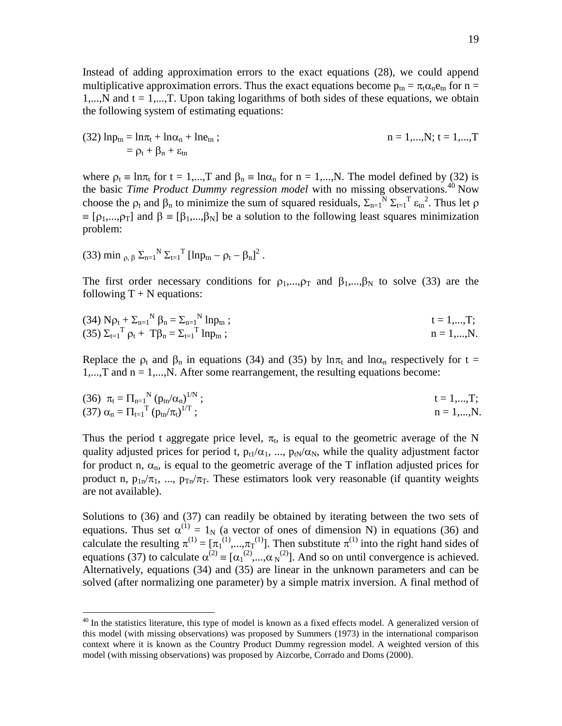Instead of adding approximation errors to the exact equations (28), we could append multiplicative approximation errors. Thus the exact equations become  $p_{tn} = \pi_t \alpha_n e_{tn}$  for n = 1,..., N and  $t = 1, \ldots, T$ . Upon taking logarithms of both sides of these equations, we obtain the following system of estimating equations:

(32) 
$$
lnp_{tn} = ln\pi_t + ln\alpha_n + lne_{tn}
$$
;  
=  $p_t + \beta_n + \epsilon_{tn}$ ;  
 $n = 1,...,N$ ;  $t = 1,...,T$ 

where  $\rho_t = \ln \pi_t$  for  $t = 1,...,T$  and  $\beta_n = \ln \alpha_n$  for  $n = 1,...,N$ . The model defined by (32) is the basic *Time Product Dummy regression model* with no missing observations.<sup>40</sup> Now choose the  $\rho_t$  and  $\beta_n$  to minimize the sum of squared residuals,  $\Sigma_{n=1}^N \Sigma_{t=1}^T \varepsilon_{tn}^2$ . Thus let  $\rho$  $\mathbf{I} = [\rho_1,...,\rho_T]$  and  $\beta = [\beta_1,...,\beta_N]$  be a solution to the following least squares minimization problem:

(33) min 
$$
\rho, \beta
$$
  $\Sigma_{n=1}^N \Sigma_{t=1}^T$  [lnp<sub>tn</sub> -  $\rho_t$  -  $\beta_n$ ]<sup>2</sup>.

 $\overline{a}$ 

The first order necessary conditions for  $\rho_1,...,\rho_T$  and  $\beta_1,...,\beta_N$  to solve (33) are the following  $T + N$  equations:

(34) 
$$
N\rho_t + \Sigma_{n=1}^N \beta_n = \Sigma_{n=1}^N \ln p_{tn}
$$
;  
\n(35)  $\Sigma_{t=1}^T \rho_t + T\beta_n = \Sigma_{t=1}^T \ln p_{tn}$ ;  
\n $n = 1,...,N$ .

Replace the  $\rho_t$  and  $\beta_n$  in equations (34) and (35) by  $\ln \pi_t$  and  $\ln \alpha_n$  respectively for t = 1,...,T and n = 1,...,N. After some rearrangement, the resulting equations become:

(36) 
$$
\pi_t = \Pi_{n=1}^{N} (p_{tn}/\alpha_n)^{1/N}
$$
;  
\n(37)  $\alpha_n = \Pi_{t=1}^{T} (p_{tn}/\pi_t)^{1/T}$ ;  
\n $n = 1,...,N$ .

Thus the period t aggregate price level,  $\pi_t$ , is equal to the geometric average of the N quality adjusted prices for period t,  $p_{tl}/\alpha_1$ , ...,  $p_{tl}/\alpha_N$ , while the quality adjustment factor for product n,  $\alpha_n$ , is equal to the geometric average of the T inflation adjusted prices for product n,  $p_{1n}/\pi_1$ , ...,  $p_{Tn}/\pi_T$ . These estimators look very reasonable (if quantity weights are not available).

Solutions to (36) and (37) can readily be obtained by iterating between the two sets of equations. Thus set  $\alpha^{(1)} = 1_N$  (a vector of ones of dimension N) in equations (36) and calculate the resulting  $\pi^{(1)} = [\pi_1^{(1)}, ..., \pi_T^{(1)}]$ . Then substitute  $\pi^{(1)}$  into the right hand sides of equations (37) to calculate  $\alpha^{(2)} = [\alpha_1^{(2)}, ..., \alpha_N^{(2)}]$ . And so on until convergence is achieved. Alternatively, equations (34) and (35) are linear in the unknown parameters and can be solved (after normalizing one parameter) by a simple matrix inversion. A final method of

<sup>&</sup>lt;sup>40</sup> In the statistics literature, this type of model is known as a fixed effects model. A generalized version of this model (with missing observations) was proposed by Summers (1973) in the international comparison context where it is known as the Country Product Dummy regression model. A weighted version of this model (with missing observations) was proposed by Aizcorbe, Corrado and Doms (2000).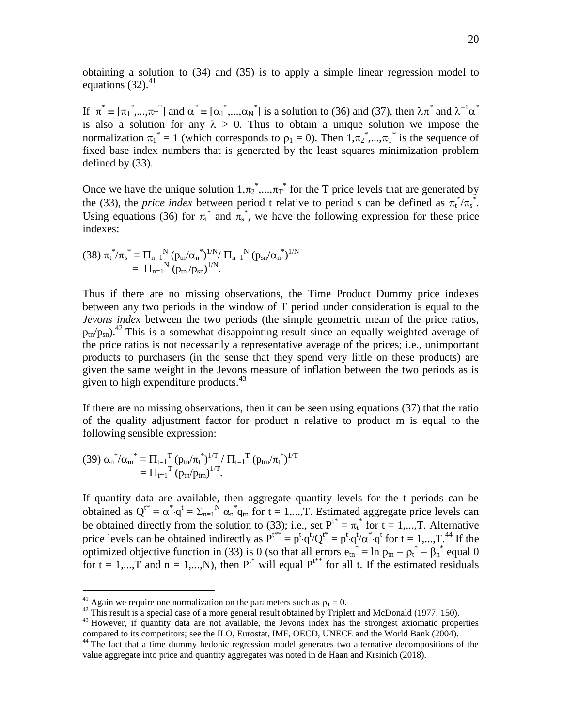obtaining a solution to (34) and (35) is to apply a simple linear regression model to equations  $(32)$ .<sup>41</sup>

If  $\pi^* = [\pi_1^*,...,\pi_T^*]$  and  $\alpha^* = [\alpha_1^*,...,\alpha_N^*]$  is a solution to (36) and (37), then  $\lambda \pi^*$  and  $\lambda^{-1} \alpha^*$ is also a solution for any  $\lambda > 0$ . Thus to obtain a unique solution we impose the normalization  $\pi_1^* = 1$  (which corresponds to  $\rho_1 = 0$ ). Then  $1, \pi_2^*, ..., \pi_T^*$  is the sequence of fixed base index numbers that is generated by the least squares minimization problem defined by (33).

Once we have the unique solution  $1, \pi_2^*, ..., \pi_T^*$  for the T price levels that are generated by the (33), the *price index* between period t relative to period s can be defined as  $\pi_t^* / \pi_s^*$ . Using equations (36) for  $\pi_t^*$  and  $\pi_s^*$ , we have the following expression for these price indexes:

$$
(38) \ \pi_t^* / \pi_s^* = \Pi_{n=1}^N \left( p_{tn} / \alpha_n^* \right)^{1/N} / \Pi_{n=1}^N \left( p_{sn} / \alpha_n^* \right)^{1/N}
$$

$$
= \Pi_{n=1}^N \left( p_{tn} / p_{sn} \right)^{1/N}.
$$

Thus if there are no missing observations, the Time Product Dummy price indexes between any two periods in the window of T period under consideration is equal to the *Jevons index* between the two periods (the simple geometric mean of the price ratios,  $p_{tn}/p_{sn}$ <sup>2</sup>. This is a somewhat disappointing result since an equally weighted average of the price ratios is not necessarily a representative average of the prices; i.e., unimportant products to purchasers (in the sense that they spend very little on these products) are given the same weight in the Jevons measure of inflation between the two periods as is given to high expenditure products.<sup>43</sup>

If there are no missing observations, then it can be seen using equations (37) that the ratio of the quality adjustment factor for product n relative to product m is equal to the following sensible expression:

$$
(39)\,\alpha_n^{\phantom{*}}{/\alpha_m}^*= \Pi_{t=1}^T\, (p_{tn}/\pi_t^{\phantom{*}})^{1/T}\,/\,\Pi_{t=1}^{\phantom{*}}{}^T\, (p_{tm}/\pi_t^{\phantom{*}})^{1/T}\\ = \Pi_{t=1}^{\phantom{*}}{}^T\, (p_{tn}/p_{tm})^{1/T}.
$$

 $\overline{a}$ 

If quantity data are available, then aggregate quantity levels for the t periods can be obtained as  $Q^{t^*} = \alpha^* \cdot q^t = \sum_{n=1}^N \alpha_n^* q_{tn}$  for  $t = 1,...,T$ . Estimated aggregate price levels can be obtained directly from the solution to (33); i.e., set  $P^{t*} = \pi_t^*$  for  $t = 1,...,T$ . Alternative price levels can be obtained indirectly as  $P^{t**} \equiv p^t \cdot q^t / Q^{t*} = p^t \cdot q^t / \alpha^* \cdot q^t$  for  $t = 1,...,T$ .<sup>44</sup> If the optimized objective function in (33) is 0 (so that all errors  $e_{tn}^* = \ln p_{tn} - \rho_t^* - \beta_n^*$  equal 0 for  $t = 1,...,T$  and  $n = 1,...,N$ ), then  $P^{t*}$  will equal  $P^{t*}$  for all t. If the estimated residuals

<sup>&</sup>lt;sup>41</sup> Again we require one normalization on the parameters such as  $\rho_1 = 0$ .

 $42$  This result is a special case of a more general result obtained by Triplett and McDonald (1977; 150).

 $43$  However, if quantity data are not available, the Jevons index has the strongest axiomatic properties compared to its competitors; see the ILO, Eurostat, IMF, OECD, UNECE and the World Bank (2004).

<sup>&</sup>lt;sup>44</sup> The fact that a time dummy hedonic regression model generates two alternative decompositions of the value aggregate into price and quantity aggregates was noted in de Haan and Krsinich (2018).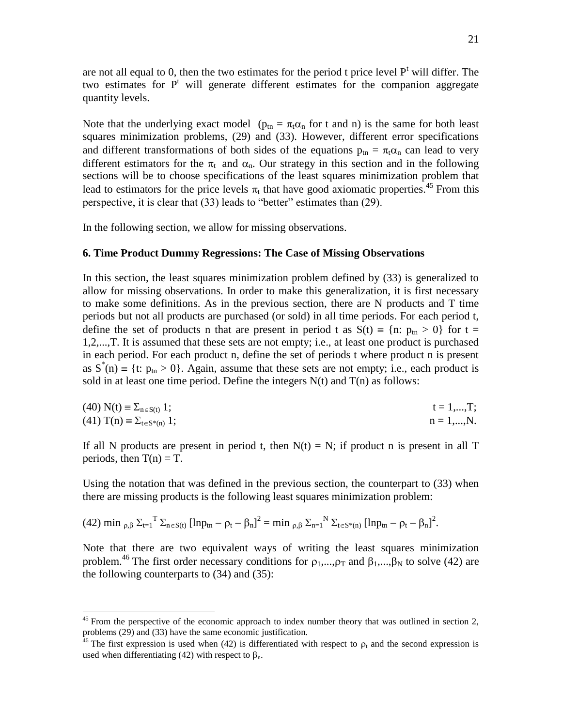are not all equal to 0, then the two estimates for the period t price level  $P<sup>t</sup>$  will differ. The two estimates for  $P<sup>t</sup>$  will generate different estimates for the companion aggregate quantity levels.

Note that the underlying exact model ( $p_{tn} = \pi_t \alpha_n$  for t and n) is the same for both least squares minimization problems, (29) and (33). However, different error specifications and different transformations of both sides of the equations  $p_{tn} = \pi_t \alpha_n$  can lead to very different estimators for the  $\pi_t$  and  $\alpha_n$ . Our strategy in this section and in the following sections will be to choose specifications of the least squares minimization problem that lead to estimators for the price levels  $\pi_t$  that have good axiomatic properties.<sup>45</sup> From this perspective, it is clear that (33) leads to "better" estimates than (29).

In the following section, we allow for missing observations.

# **6. Time Product Dummy Regressions: The Case of Missing Observations**

In this section, the least squares minimization problem defined by (33) is generalized to allow for missing observations. In order to make this generalization, it is first necessary to make some definitions. As in the previous section, there are N products and T time periods but not all products are purchased (or sold) in all time periods. For each period t, define the set of products n that are present in period t as  $S(t) = {n: p_{tn} > 0}$  for t = 1,2,...,T. It is assumed that these sets are not empty; i.e., at least one product is purchased in each period. For each product n, define the set of periods t where product n is present as  $S^{*}(n) = \{t: p_{tn} > 0\}$ . Again, assume that these sets are not empty; i.e., each product is sold in at least one time period. Define the integers  $N(t)$  and  $T(n)$  as follows:

| $(40) N(t) \equiv \Sigma_{n \in S(t)} 1;$     | $t = 1, , T;$  |
|-----------------------------------------------|----------------|
| $(41)$ T(n) $\equiv \Sigma_{t \in S^*(n)}$ 1; | $n = 1, , N$ . |

If all N products are present in period t, then  $N(t) = N$ ; if product n is present in all T periods, then  $T(n) = T$ .

Using the notation that was defined in the previous section, the counterpart to (33) when there are missing products is the following least squares minimization problem:

(42) min 
$$
_{\rho,\beta}
$$
  $\Sigma_{t=1}^T \Sigma_{n \in S(t)}$   $[ln p_{tn} - \rho_t - \beta_n]^2 = min_{\rho,\beta} \Sigma_{n=1}^N \Sigma_{t \in S^*(n)}$   $[ln p_{tn} - \rho_t - \beta_n]^2$ .

 $\overline{a}$ 

Note that there are two equivalent ways of writing the least squares minimization problem.<sup>46</sup> The first order necessary conditions for  $\rho_1, \ldots, \rho_T$  and  $\beta_1, \ldots, \beta_N$  to solve (42) are the following counterparts to (34) and (35):

 $45$  From the perspective of the economic approach to index number theory that was outlined in section 2, problems (29) and (33) have the same economic justification.

<sup>&</sup>lt;sup>46</sup> The first expression is used when (42) is differentiated with respect to  $\rho_t$  and the second expression is used when differentiating (42) with respect to  $\beta_n$ .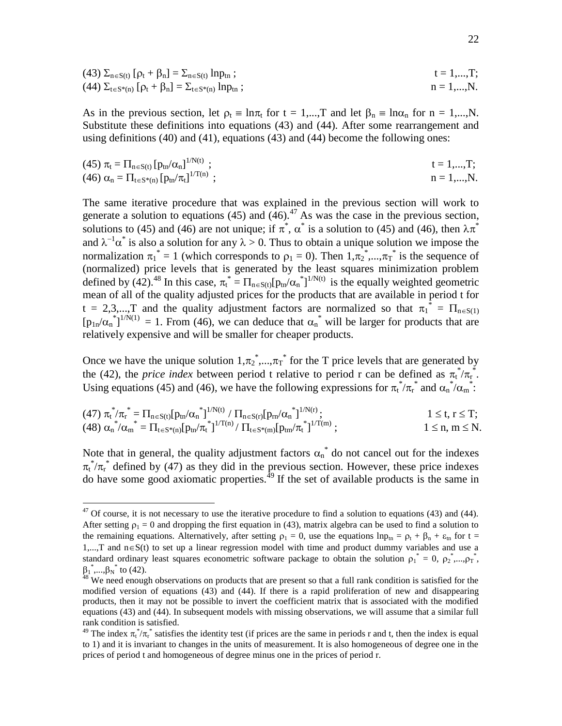(43) 
$$
\Sigma_{n \in S(t)} [\rho_t + \beta_n] = \Sigma_{n \in S(t)} \ln p_{tn};
$$
   
\n(44)  $\Sigma_{t \in S^*(n)} [\rho_t + \beta_n] = \Sigma_{t \in S^*(n)} \ln p_{tn};$    
\n $n = 1,...,N.$ 

As in the previous section, let  $\rho_t = \ln \pi_t$  for  $t = 1,...,T$  and let  $\beta_n = \ln \alpha_n$  for  $n = 1,...,N$ . Substitute these definitions into equations (43) and (44). After some rearrangement and using definitions (40) and (41), equations (43) and (44) become the following ones:

(45) 
$$
\pi_t = \Pi_{n \in S(t)} [p_{tn}/\alpha_n]^{1/N(t)};
$$
  
\n(46)  $\alpha_n = \Pi_{t \in S^*(n)} [p_{tn}/\pi_t]^{1/T(n)};$   
\n $n = 1,...,N.$ 

The same iterative procedure that was explained in the previous section will work to generate a solution to equations (45) and  $(46)$ .<sup>47</sup> As was the case in the previous section, solutions to (45) and (46) are not unique; if  $\pi^*$ ,  $\alpha^*$  is a solution to (45) and (46), then  $\lambda \pi^*$ and  $\lambda^{-1} \alpha^*$  is also a solution for any  $\lambda > 0$ . Thus to obtain a unique solution we impose the normalization  $\pi_1^* = 1$  (which corresponds to  $\rho_1 = 0$ ). Then  $1, \pi_2^*, ..., \pi_T^*$  is the sequence of (normalized) price levels that is generated by the least squares minimization problem defined by (42).<sup>48</sup> In this case,  $\pi_t^* = \prod_{n \in S(t)} [p_{tn}/\alpha_n^*]^{1/N(t)}$  is the equally weighted geometric mean of all of the quality adjusted prices for the products that are available in period t for  $t = 2,3,...,T$  and the quality adjustment factors are normalized so that  $\pi_1^* = \Pi_{n \in S(1)}$  $[p_{1n}/\alpha_n^{\dagger}]^{1/N(1)} = 1$ . From (46), we can deduce that  $\alpha_n^*$  will be larger for products that are relatively expensive and will be smaller for cheaper products.

Once we have the unique solution  $1, \pi_2^*, ..., \pi_T^*$  for the T price levels that are generated by the (42), the *price index* between period t relative to period r can be defined as  $\pi_t^* / \pi_r^*$ . Using equations (45) and (46), we have the following expressions for  $\pi_t^* / \pi_t^*$  and  $\alpha_n^* / \alpha_m^*$ :

$$
(47) \ \pi_t^* / \pi_r^* = \Pi_{n \in S(t)} [p_{tn} / \alpha_n^*]^{1/N(t)} / \Pi_{n \in S(r)} [p_{rn} / \alpha_n^*]^{1/N(r)}; \qquad 1 \leq t, r \leq T; (48) \ \alpha_n^* / \alpha_m^* = \Pi_{t \in S^*(n)} [p_{tn} / \pi_t^*]^{1/T(n)} / \Pi_{t \in S^*(m)} [p_{tm} / \pi_t^*]^{1/T(m)}; \qquad 1 \leq n, m \leq N.
$$

Note that in general, the quality adjustment factors  $\alpha_n^*$  do not cancel out for the indexes  $\pi_t^* / \pi_t^*$  defined by (47) as they did in the previous section. However, these price indexes do have some good axiomatic properties.<sup> $49$ </sup> If the set of available products is the same in

 $47$  Of course, it is not necessary to use the iterative procedure to find a solution to equations (43) and (44). After setting  $\rho_1 = 0$  and dropping the first equation in (43), matrix algebra can be used to find a solution to the remaining equations. Alternatively, after setting  $\rho_1 = 0$ , use the equations  $\ln p_m = \rho_t + \beta_n + \varepsilon_m$  for  $t =$ 1,...,T and  $n \in S(t)$  to set up a linear regression model with time and product dummy variables and use a standard ordinary least squares econometric software package to obtain the solution  $\rho_1^* = 0$ ,  $\rho_2^*$ ,..., $\rho_T^*$ ,  ${\beta_1}^*$ ,..., ${\beta_N}^*$  to (42).

<sup>&</sup>lt;sup>48</sup> We need enough observations on products that are present so that a full rank condition is satisfied for the modified version of equations (43) and (44). If there is a rapid proliferation of new and disappearing products, then it may not be possible to invert the coefficient matrix that is associated with the modified equations (43) and (44). In subsequent models with missing observations, we will assume that a similar full rank condition is satisfied.

<sup>&</sup>lt;sup>49</sup> The index  $\pi_t^* / \pi_r^*$  satisfies the identity test (if prices are the same in periods r and t, then the index is equal to 1) and it is invariant to changes in the units of measurement. It is also homogeneous of degree one in the prices of period t and homogeneous of degree minus one in the prices of period r.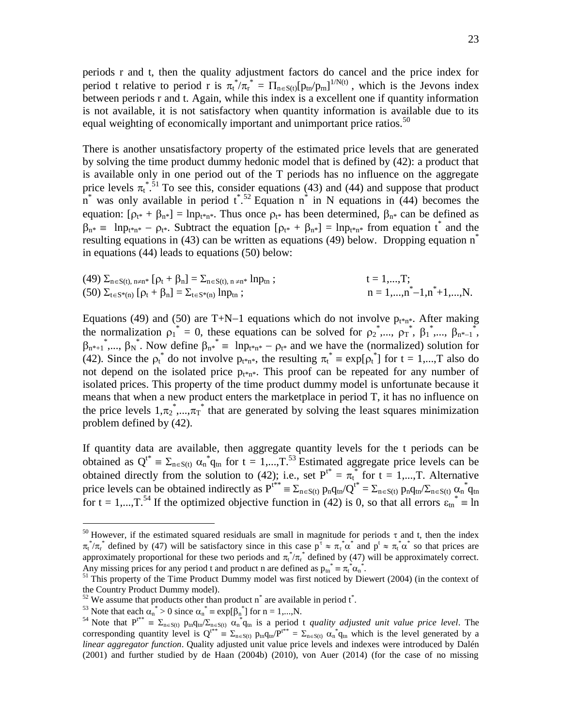periods r and t, then the quality adjustment factors do cancel and the price index for period t relative to period r is  $\pi_t^* / \pi_r^* = \Pi_{n \in S(t)} [p_{tn}/p_{rn}]^{1/N(t)}$ , which is the Jevons index between periods r and t. Again, while this index is a excellent one if quantity information is not available, it is not satisfactory when quantity information is available due to its equal weighting of economically important and unimportant price ratios.<sup>50</sup>

There is another unsatisfactory property of the estimated price levels that are generated by solving the time product dummy hedonic model that is defined by (42): a product that is available only in one period out of the T periods has no influence on the aggregate price levels  $\pi_t^{*,51}$  To see this, consider equations (43) and (44) and suppose that product  $\overrightarrow{n}$  was only available in period  $\overrightarrow{t}$ .<sup>52</sup> Equation  $\overrightarrow{n}$  in N equations in (44) becomes the equation:  $[\rho_{t^*} + \beta_{n^*}] = \ln p_{t^* n^*}$ . Thus once  $\rho_{t^*}$  has been determined,  $\beta_{n^*}$  can be defined as  $\beta_{n^*} = \ln p_{t^*n^*} - \rho_{t^*}$ . Subtract the equation  $[\rho_{t^*} + \beta_{n^*}] = \ln p_{t^*n^*}$  from equation  $t^*$  and the resulting equations in (43) can be written as equations (49) below. Dropping equation  $n^*$ in equations (44) leads to equations (50) below:

(49) 
$$
\Sigma_{n \in S(t), n \neq n^*} [\rho_t + \beta_n] = \Sigma_{n \in S(t), n \neq n^*} lnp_m ;
$$
   
\n $t = 1,...,T;$   
\n(50)  $\Sigma_{t \in S^*(n)} [\rho_t + \beta_n] = \Sigma_{t \in S^*(n)} lnp_m ;$    
\n $n = 1,...,n^* - 1, n^* + 1,...,N.$ 

Equations (49) and (50) are T+N-1 equations which do not involve  $p_{t*n^*}$ . After making the normalization  $\rho_1^* = 0$ , these equations can be solved for  $\rho_2^*$ ,...,  $\rho_1^*, \beta_1^*,$ ,...,  $\beta_{n^*-1}^*,$  $\beta_{n^*+1}^*$ ,...,  $\beta_N^*$ . Now define  $\beta_{n^*}^* = \ln p_{t^*n^*} - \rho_{t^*}$  and we have the (normalized) solution for (42). Since the  $\rho_t^*$  do not involve  $p_{t^*n^*}$ , the resulting  $\pi_t^* = \exp[\rho_t^*]$  for  $t = 1,...,T$  also do not depend on the isolated price  $p_{t*n*}$ . This proof can be repeated for any number of isolated prices. This property of the time product dummy model is unfortunate because it means that when a new product enters the marketplace in period T, it has no influence on the price levels  $1, \pi_2$ <sup>\*</sup>,..., $\pi_T$ <sup>\*</sup> that are generated by solving the least squares minimization problem defined by (42).

If quantity data are available, then aggregate quantity levels for the t periods can be obtained as  $Q^{t^*} = \sum_{n \in S(t)} \alpha_n^* q_{tn}$  for  $t = 1,...,T^{53}$  Estimated aggregate price levels can be obtained directly from the solution to (42); i.e., set  $P^{t*} = \pi_t^*$  for  $t = 1,...,T$ . Alternative price levels can be obtained indirectly as  $P^{t**} = \sum_{n \in S(t)} p_n q_{tn}/Q^{t*} = \sum_{n \in S(t)} p_n q_{tn}/\sum_{n \in S(t)} \alpha_n^* q_{tn}$ for t = 1,..., T.<sup>54</sup> If the optimized objective function in (42) is 0, so that all errors  $\varepsilon_{\text{tn}}^* \equiv \ln$ 

<sup>53</sup> Note that each  $\alpha_n^* > 0$  since  $\alpha_n^* \equiv \exp[\beta_n^*]$  for  $n = 1,...,N$ .

<sup>&</sup>lt;sup>50</sup> However, if the estimated squared residuals are small in magnitude for periods  $\tau$  and t, then the index  $\pi_t^* / \pi_t^*$  defined by (47) will be satisfactory since in this case  $p^{\tau} \approx \pi_t^* \alpha^*$  and  $p^t \approx \pi_t^* \alpha^*$  so that prices are approximately proportional for these two periods and  $\pi_t^*/\pi_t^*$  defined by (47) will be approximately correct. Any missing prices for any period t and product n are defined as  $p_m^* = \pi_t^* \alpha_n^*$ .

<sup>&</sup>lt;sup>51</sup> This property of the Time Product Dummy model was first noticed by Diewert (2004) (in the context of the Country Product Dummy model).

<sup>&</sup>lt;sup>52</sup> We assume that products other than product n<sup>\*</sup> are available in period t<sup>\*</sup>.

<sup>&</sup>lt;sup>54</sup> Note that  $P^{t^{**}} = \sum_{n \in S(t)} p_{tn} q_{tn} / \sum_{n \in S(t)} \alpha_n^* q_{tn}$  is a period t *quality adjusted unit value price level*. The corresponding quantity level is  $Q^{t^{**}} = \sum_{n \in S(t)} p_m q_m P^{t^{**}} = \sum_{n \in S(t)} \alpha_n^* q_n$  which is the level generated by a *linear aggregator function*. Quality adjusted unit value price levels and indexes were introduced by Dalén (2001) and further studied by de Haan (2004b) (2010), von Auer (2014) (for the case of no missing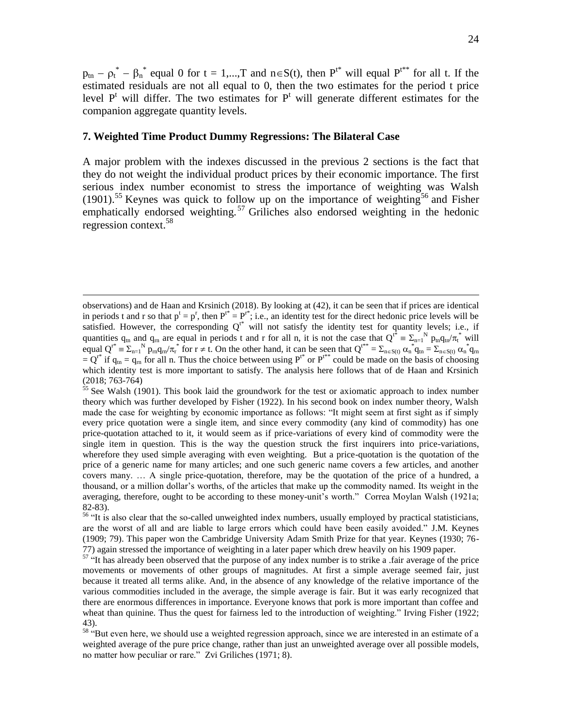$p_{tn} - p_t^* - \beta_n^*$  equal 0 for t = 1,...,T and  $n \in S(t)$ , then  $P^{t^*}$  will equal  $P^{t^{**}}$  for all t. If the estimated residuals are not all equal to 0, then the two estimates for the period t price level  $P<sup>t</sup>$  will differ. The two estimates for  $P<sup>t</sup>$  will generate different estimates for the companion aggregate quantity levels.

#### **7. Weighted Time Product Dummy Regressions: The Bilateral Case**

 $\overline{a}$ 

A major problem with the indexes discussed in the previous 2 sections is the fact that they do not weight the individual product prices by their economic importance. The first serious index number economist to stress the importance of weighting was Walsh  $(1901)$ <sup>55</sup> Keynes was quick to follow up on the importance of weighting<sup>56</sup> and Fisher emphatically endorsed weighting.<sup>57</sup> Griliches also endorsed weighting in the hedonic regression context.<sup>58</sup>

observations) and de Haan and Krsinich (2018). By looking at (42), it can be seen that if prices are identical in periods t and r so that  $p^t = p^r$ , then  $P^{t*} = P^{r*}$ ; i.e., an identity test for the direct hedonic price levels will be satisfied. However, the corresponding  $Q^{t*}$  will not satisfy the identity test for quantity levels; i.e., if quantities  $q_{tn}$  and  $q_{rn}$  are equal in periods t and r for all n, it is not the case that  $Q^{t^*} = \sum_{n=1}^{N} p_{tn} q_{tn}/\pi_t^*$  will equal  $Q^{r^*} = \sum_{n=1}^{N} p_m q_m / \pi_r^*$  for  $r \neq t$ . On the other hand, it can be seen that  $Q^{t^{**}} = \sum_{n \in S(t)} \alpha_n^* q_n = \sum_{n \in S(t)} \alpha_n^* q_m$  $= Q^{t*}$  if  $q_{tn} = q_m$  for all n. Thus the choice between using  $P^{t*}$  or  $P^{t**}$  could be made on the basis of choosing which identity test is more important to satisfy. The analysis here follows that of de Haan and Krsinich (2018; 763-764)

 $55$  See Walsh (1901). This book laid the groundwork for the test or axiomatic approach to index number theory which was further developed by Fisher (1922). In his second book on index number theory, Walsh made the case for weighting by economic importance as follows: "It might seem at first sight as if simply every price quotation were a single item, and since every commodity (any kind of commodity) has one price-quotation attached to it, it would seem as if price-variations of every kind of commodity were the single item in question. This is the way the question struck the first inquirers into price-variations, wherefore they used simple averaging with even weighting. But a price-quotation is the quotation of the price of a generic name for many articles; and one such generic name covers a few articles, and another covers many. … A single price-quotation, therefore, may be the quotation of the price of a hundred, a thousand, or a million dollar's worths, of the articles that make up the commodity named. Its weight in the averaging, therefore, ought to be according to these money-unit's worth." Correa Moylan Walsh (1921a; 82-83).

<sup>&</sup>lt;sup>56</sup> "It is also clear that the so-called unweighted index numbers, usually employed by practical statisticians, are the worst of all and are liable to large errors which could have been easily avoided." J.M. Keynes (1909; 79). This paper won the Cambridge University Adam Smith Prize for that year. Keynes (1930; 76- 77) again stressed the importance of weighting in a later paper which drew heavily on his 1909 paper.

<sup>&</sup>lt;sup>57</sup> "It has already been observed that the purpose of any index number is to strike a .fair average of the price movements or movements of other groups of magnitudes. At first a simple average seemed fair, just because it treated all terms alike. And, in the absence of any knowledge of the relative importance of the various commodities included in the average, the simple average is fair. But it was early recognized that there are enormous differences in importance. Everyone knows that pork is more important than coffee and wheat than quinine. Thus the quest for fairness led to the introduction of weighting." Irving Fisher (1922; 43).

<sup>&</sup>lt;sup>58</sup> "But even here, we should use a weighted regression approach, since we are interested in an estimate of a weighted average of the pure price change, rather than just an unweighted average over all possible models, no matter how peculiar or rare." Zvi Griliches (1971; 8).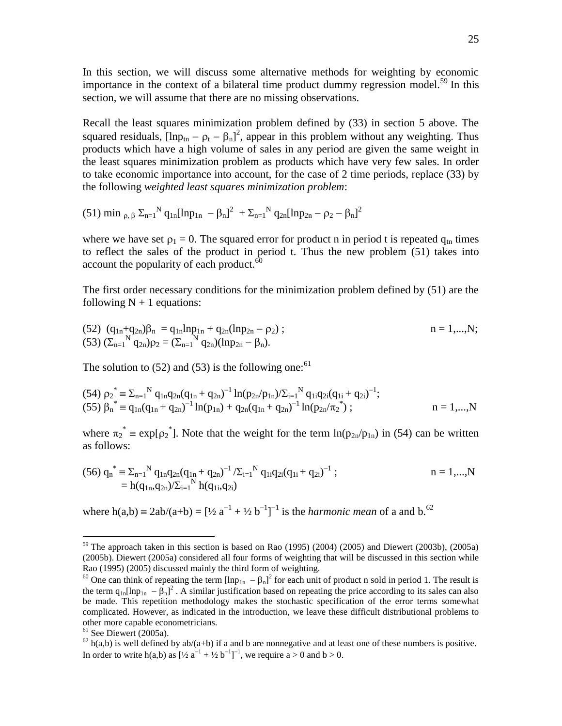In this section, we will discuss some alternative methods for weighting by economic importance in the context of a bilateral time product dummy regression model.<sup>59</sup> In this section, we will assume that there are no missing observations.

Recall the least squares minimization problem defined by (33) in section 5 above. The squared residuals,  $[\ln p_{\text{tn}} - p_{\text{t}} - \beta_{\text{n}}]^2$ , appear in this problem without any weighting. Thus products which have a high volume of sales in any period are given the same weight in the least squares minimization problem as products which have very few sales. In order to take economic importance into account, for the case of 2 time periods, replace (33) by the following *weighted least squares minimization problem*:

$$
(51) \ \text{min}\ _{\rho ,\ \beta}\ \Sigma _{n=1}{}^{N}\ q_{1n}[\text{ln}p_{1n}\ -\beta _{n}]^{2}\ +\Sigma _{n=1}{}^{N}\ q_{2n}[\text{ln}p_{2n}-\rho _{2}-\beta _{n}]^{2}
$$

where we have set  $\rho_1 = 0$ . The squared error for product n in period t is repeated  $q_{\text{tn}}$  times to reflect the sales of the product in period t. Thus the new problem (51) takes into account the popularity of each product. $60$ 

The first order necessary conditions for the minimization problem defined by (51) are the following  $N + 1$  equations:

(52) 
$$
(q_{1n}+q_{2n})\beta_n = q_{1n}lnp_{1n} + q_{2n}(lnp_{2n} - \rho_2)
$$
;  
\n(53)  $(\Sigma_{n=1}^N q_{2n})\rho_2 = (\Sigma_{n=1}^N q_{2n})(lnp_{2n} - \beta_n)$ .

The solution to (52) and (53) is the following one:<sup>61</sup>

(54) 
$$
\rho_2^* = \sum_{n=1}^N q_{1n} q_{2n} (q_{1n} + q_{2n})^{-1} \ln(p_{2n}/p_{1n}) / \sum_{i=1}^N q_{1i} q_{2i} (q_{1i} + q_{2i})^{-1};
$$
  
(55)  $\beta_n^* = q_{1n} (q_{1n} + q_{2n})^{-1} \ln(p_{1n}) + q_{2n} (q_{1n} + q_{2n})^{-1} \ln(p_{2n}/\pi_2^*) ;$   $n = 1,...,N$ 

where  $\pi_2^* = \exp[\rho_2^*]$ . Note that the weight for the term  $\ln(p_{2n}/p_{1n})$  in (54) can be written as follows:

$$
(56) q_{n}^{*} \equiv \sum_{n=1}^{N} q_{1n} q_{2n} (q_{1n} + q_{2n})^{-1} / \sum_{i=1}^{N} q_{1i} q_{2i} (q_{1i} + q_{2i})^{-1} ;
$$
  
= h(q\_{1n}, q\_{2n}) / \sum\_{i=1}^{N} h(q\_{1i}, q\_{2i}) \qquad n = 1,...,N

where  $h(a,b) = 2ab/(a+b) = [1/2 a^{-1} + 1/2 b^{-1}]^{-1}$  is the *harmonic mean* of a and b.<sup>62</sup>

 $59$  The approach taken in this section is based on Rao (1995) (2004) (2005) and Diewert (2003b), (2005a) (2005b). Diewert (2005a) considered all four forms of weighting that will be discussed in this section while Rao (1995) (2005) discussed mainly the third form of weighting.

<sup>&</sup>lt;sup>60</sup> One can think of repeating the term  $[\ln p_{1n} - \beta_n]^2$  for each unit of product n sold in period 1. The result is the term  $q_{1n}[\ln p_{1n} - \beta_n]^2$ . A similar justification based on repeating the price according to its sales can also be made. This repetition methodology makes the stochastic specification of the error terms somewhat complicated. However, as indicated in the introduction, we leave these difficult distributional problems to other more capable econometricians.

 $61$  See Diewert (2005a).

 $62$  h(a,b) is well defined by ab/(a+b) if a and b are nonnegative and at least one of these numbers is positive. In order to write h(a,b) as  $[\frac{1}{2} a^{-1} + \frac{1}{2} b^{-1}]^{-1}$ , we require a > 0 and b > 0.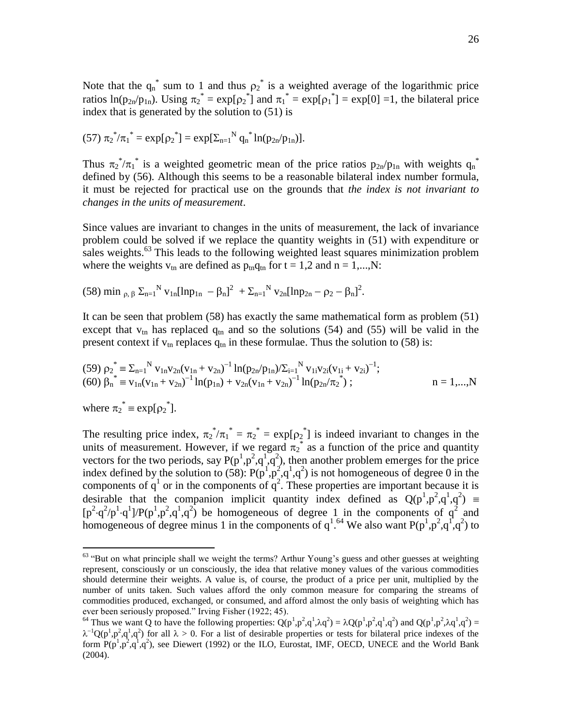Note that the  $q_n^*$  sum to 1 and thus  $p_2^*$  is a weighted average of the logarithmic price ratios  $\ln(p_{2n}/p_{1n})$ . Using  $\pi_2^* = \exp[\rho_2^*]$  and  $\pi_1^* = \exp[\rho_1^*] = \exp[0] = 1$ , the bilateral price index that is generated by the solution to (51) is

(57) 
$$
\pi_2^* / \pi_1^* = \exp[\rho_2^*] = \exp[\Sigma_{n=1}^N q_n^* \ln(p_{2n}/p_{1n})].
$$

Thus  $\pi_2^* / \pi_1^*$  is a weighted geometric mean of the price ratios  $p_{2n}/p_{1n}$  with weights  $q_n^*$ defined by (56). Although this seems to be a reasonable bilateral index number formula, it must be rejected for practical use on the grounds that *the index is not invariant to changes in the units of measurement*.

Since values are invariant to changes in the units of measurement, the lack of invariance problem could be solved if we replace the quantity weights in (51) with expenditure or sales weights.<sup>63</sup> This leads to the following weighted least squares minimization problem where the weights  $v_{tn}$  are defined as  $p_{tn}q_{tn}$  for  $t = 1,2$  and  $n = 1,...,N$ :

(58) min  $_{\rho, \beta} \Sigma_{n=1}^{N} v_{1n} [\ln p_{1n} - \beta_{n}]^{2} + \Sigma_{n=1}^{N} v_{2n} [\ln p_{2n} - \rho_{2} - \beta_{n}]^{2}$ .

It can be seen that problem (58) has exactly the same mathematical form as problem (51) except that  $v_{\text{tn}}$  has replaced  $q_{\text{tn}}$  and so the solutions (54) and (55) will be valid in the present context if  $v_{\text{tn}}$  replaces  $q_{\text{tn}}$  in these formulae. Thus the solution to (58) is:

(59) 
$$
\rho_2^* = \sum_{n=1}^N v_{1n} v_{2n} (v_{1n} + v_{2n})^{-1} \ln(p_{2n}/p_{1n}) / \sum_{i=1}^N v_{1i} v_{2i} (v_{1i} + v_{2i})^{-1};
$$
  
\n(60)  $\beta_n^* = v_{1n} (v_{1n} + v_{2n})^{-1} \ln(p_{1n}) + v_{2n} (v_{1n} + v_{2n})^{-1} \ln(p_{2n}/\pi_2^*)$ ;  $n = 1,...,N$ 

where  $\pi_2^* = \exp[\rho_2^*]$ .

 $\overline{a}$ 

The resulting price index,  $\pi_2^* / \pi_1^* = \pi_2^* = \exp[\rho_2^*]$  is indeed invariant to changes in the units of measurement. However, if we regard  $\pi_2^*$  as a function of the price and quantity vectors for the two periods, say  $P(p^1, p^2, q^1, q^2)$ , then another problem emerges for the price index defined by the solution to (58):  $P(p^1, p^2, q^1, q^2)$  is not homogeneous of degree 0 in the components of  $q^1$  or in the components of  $q^2$ . These properties are important because it is desirable that the companion implicit quantity index defined as  $Q(p^1, p^2, q^1, q^2)$  $[p^2 \cdot q^2/p^1 \cdot q^1] / P(p^1, p^2, q^1, q^2)$  be homogeneous of degree 1 in the components of  $q^2$  and homogeneous of degree minus 1 in the components of  $q^{1.64}$  We also want P( $p^{1.62}$ , $q^{1.64}$ ) to

<sup>&</sup>lt;sup>63</sup> "But on what principle shall we weight the terms? Arthur Young's guess and other guesses at weighting represent, consciously or un consciously, the idea that relative money values of the various commodities should determine their weights. A value is, of course, the product of a price per unit, multiplied by the number of units taken. Such values afford the only common measure for comparing the streams of commodities produced, exchanged, or consumed, and afford almost the only basis of weighting which has ever been seriously proposed." Irving Fisher (1922; 45).

<sup>&</sup>lt;sup>64</sup> Thus we want Q to have the following properties:  $Q(p^1, p^2, q^1, \lambda q^2) = \lambda Q(p^1, p^2, q^1, q^2)$  and  $Q(p^1, p^2, \lambda q^1, q^2) =$  $\lambda^{-1}Q(p^1, p^2, q^1, q^2)$  for all  $\lambda > 0$ . For a list of desirable properties or tests for bilateral price indexes of the form  $P(p^1, p^2, q^1, q^2)$ , see Diewert (1992) or the ILO, Eurostat, IMF, OECD, UNECE and the World Bank (2004).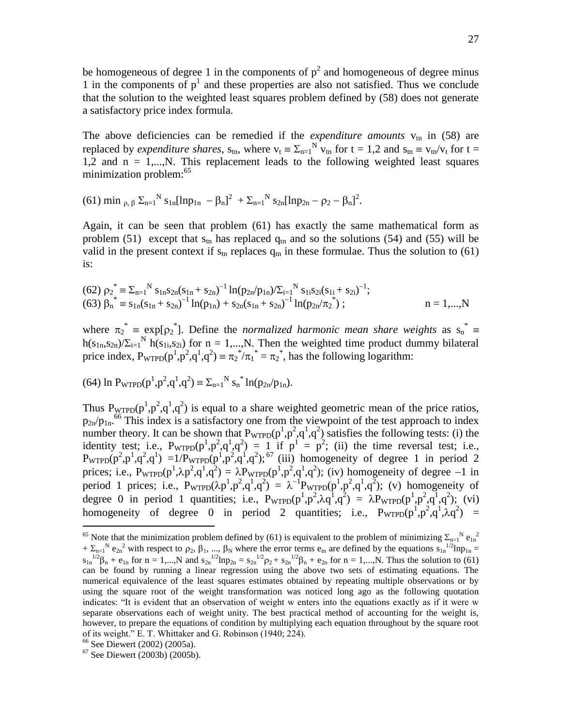be homogeneous of degree 1 in the components of  $p^2$  and homogeneous of degree minus 1 in the components of  $p<sup>1</sup>$  and these properties are also not satisfied. Thus we conclude that the solution to the weighted least squares problem defined by (58) does not generate a satisfactory price index formula.

The above deficiencies can be remedied if the *expenditure amounts*  $v_{\text{tn}}$  in (58) are replaced by *expenditure shares*,  $s_{tn}$ , where  $v_t = \sum_{n=1}^{N} v_{tn}$  for  $t = 1,2$  and  $s_{tn} = v_{tn}/v_t$  for  $t =$ 1,2 and  $n = 1,...,N$ . This replacement leads to the following weighted least squares minimization problem:<sup>65</sup>

(61) min  $_{\rho,\beta} \Sigma_{n=1}^{N} s_{1n} [\ln p_{1n} - \beta_{n}]^{2} + \Sigma_{n=1}^{N} s_{2n} [\ln p_{2n} - \rho_{2} - \beta_{n}]^{2}$ .

Again, it can be seen that problem (61) has exactly the same mathematical form as problem (51) except that  $s_{tn}$  has replaced  $q_{tn}$  and so the solutions (54) and (55) will be valid in the present context if  $s_{tn}$  replaces  $q_{tn}$  in these formulae. Thus the solution to (61) is:

(62) 
$$
\rho_2^* = \sum_{n=1}^N s_{1n} s_{2n} (s_{1n} + s_{2n})^{-1} \ln(p_{2n}/p_{1n}) / \sum_{i=1}^N s_{1i} s_{2i} (s_{1i} + s_{2i})^{-1};
$$
  
(63)  $\beta_n^* = s_{1n} (s_{1n} + s_{2n})^{-1} \ln(p_{1n}) + s_{2n} (s_{1n} + s_{2n})^{-1} \ln(p_{2n}/\pi_2^*)$ ;  $n = 1,...,N$ 

where  $\pi_2^*$  =  $\exp[\rho_2^*]$ . Define the *normalized harmonic mean share weights* as  $s_n^*$  =  $h(s_{1n}, s_{2n})/\Sigma_{i=1}^{N}$  h(s<sub>1i</sub>,s<sub>2i</sub>) for n = 1,...,N. Then the weighted time product dummy bilateral price index,  $P_{\text{WTPD}}(p^1, p^2, q^1, q^2) \equiv \pi_2^* / \pi_1^* = \pi_2^*$ , has the following logarithm:

(64) ln P<sub>WTPD</sub>(
$$
p^1, p^2, q^1, q^2
$$
) =  $\Sigma_{n=1}^N s_n^* ln(p_{2n}/p_{1n})$ .

Thus  $P_{\text{WTPD}}(p^1, p^2, q^1, q^2)$  is equal to a share weighted geometric mean of the price ratios,  $p_{2n}/p_{1n}$ <sup>66</sup> This index is a satisfactory one from the viewpoint of the test approach to index number theory. It can be shown that  $P_{\text{WTPD}}(p^1, p^2, q^1, q^2)$  satisfies the following tests: (i) the identity test; i.e.,  $P_{\text{WTPD}}(p^1, p^2, q^1, q^2) = 1$  if  $p^1 = p^2$ ; (ii) the time reversal test; i.e.,  $P_{\text{WTPD}}(p^2, p^1, q^2, q^1) = 1/P_{\text{WTPD}}(p^1, p^2, q^1, q^2);$ <sup>67</sup> (iii) homogeneity of degree 1 in period 2 prices; i.e.,  $P_{\text{WTPD}}(p^1, \lambda p^2, q^1, q^2) = \lambda P_{\text{WTPD}}(p^1, p^2, q^1, q^2)$ ; (iv) homogeneity of degree -1 in period 1 prices; i.e.,  $P_{\text{WTPD}}(\lambda p^1, p^2, q^1, q^2) = \lambda^{-1} P_{\text{WTPD}}(p^1, p^2, q^1, q^2)$ ; (v) homogeneity of degree 0 in period 1 quantities; i.e.,  $P_{\text{WTPD}}(p^1, p^2, \lambda q^{\overline{1}}, q^{\overline{2}}) = \lambda P_{\text{WTPD}}(p^1, p^2, q^{\overline{1}}, q^2)$ ; (vi) homogeneity of degree 0 in period 2 quantities; i.e.,  $P_{WTPD}(p^1, p^2, q^1, \lambda q^2) =$ 

<sup>&</sup>lt;sup>65</sup> Note that the minimization problem defined by (61) is equivalent to the problem of minimizing  $\Sigma_{n=1}^N e_{1n}^2$  $+ \sum_{n=1}^{N} e_{2n}^2$  with respect to  $\rho_2$ ,  $\beta_1$ , ...,  $\beta_N$  where the error terms  $e_{tn}$  are defined by the equations  $s_{1n}^{1/2}$ ln $p_{1n} =$  $s_{1n}^{1/2}\beta_n + e_{1n}$  for  $n = 1,...,N$  and  $s_{2n}^{1/2}$ lnp<sub>2n</sub> =  $s_{2n}^{1/2}\beta_2 + s_{2n}^{1/2}\beta_n + e_{2n}$  for  $n = 1,...,N$ . Thus the solution to (61) can be found by running a linear regression using the above two sets of estimating equations. The numerical equivalence of the least squares estimates obtained by repeating multiple observations or by using the square root of the weight transformation was noticed long ago as the following quotation indicates: "It is evident that an observation of weight w enters into the equations exactly as if it were w separate observations each of weight unity. The best practical method of accounting for the weight is, however, to prepare the equations of condition by multiplying each equation throughout by the square root of its weight." E. T. Whittaker and G. Robinson (1940; 224).

<sup>66</sup> See Diewert (2002) (2005a).

 $67$  See Diewert (2003b) (2005b).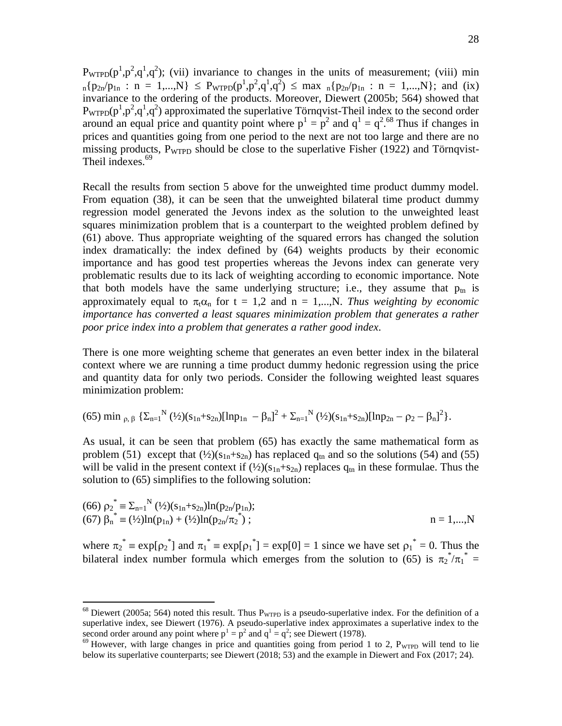$P_{\text{WTPD}}(p^1, p^2, q^1, q^2)$ ; (vii) invariance to changes in the units of measurement; (viii) min  $_{n}p_{2n}/p_{1n}$  :  $n = 1,...,N$   $\leq$   $P_{WTPD}(p^{1}, p^{2}, q^{1}, q^{2})$   $\leq$  max  $_{n}p_{2n}/p_{1n}$  :  $n = 1,...,N$ }; and (ix) invariance to the ordering of the products. Moreover, Diewert (2005b; 564) showed that  $P_{\text{WTPD}}(p^1, p^2, q^1, q^2)$  approximated the superlative Törnqvist-Theil index to the second order around an equal price and quantity point where  $p^1 = p^2$  and  $q^1 = q^{2.68}$  Thus if changes in prices and quantities going from one period to the next are not too large and there are no missing products, P<sub>WTPD</sub> should be close to the superlative Fisher (1922) and Törnqvist-Theil indexes.<sup>69</sup>

Recall the results from section 5 above for the unweighted time product dummy model. From equation (38), it can be seen that the unweighted bilateral time product dummy regression model generated the Jevons index as the solution to the unweighted least squares minimization problem that is a counterpart to the weighted problem defined by (61) above. Thus appropriate weighting of the squared errors has changed the solution index dramatically: the index defined by (64) weights products by their economic importance and has good test properties whereas the Jevons index can generate very problematic results due to its lack of weighting according to economic importance. Note that both models have the same underlying structure; i.e., they assume that  $p_{tn}$  is approximately equal to  $\pi_t \alpha_n$  for  $t = 1,2$  and  $n = 1,...,N$ . *Thus weighting by economic importance has converted a least squares minimization problem that generates a rather poor price index into a problem that generates a rather good index*.

There is one more weighting scheme that generates an even better index in the bilateral context where we are running a time product dummy hedonic regression using the price and quantity data for only two periods. Consider the following weighted least squares minimization problem:

$$
(65) \min_{\rho, \beta} \left\{ \Sigma_{n=1}^{N} (\frac{1}{2})(s_{1n}+s_{2n})[\ln p_{1n} - \beta_n]^2 + \Sigma_{n=1}^{N} (\frac{1}{2})(s_{1n}+s_{2n})[\ln p_{2n} - \rho_2 - \beta_n]^2 \right\}.
$$

As usual, it can be seen that problem (65) has exactly the same mathematical form as problem (51) except that  $(\frac{1}{2})(s_{1n}+s_{2n})$  has replaced  $q_{tn}$  and so the solutions (54) and (55) will be valid in the present context if  $(\frac{1}{2})(s_{1n}+s_{2n})$  replaces  $q_{tn}$  in these formulae. Thus the solution to (65) simplifies to the following solution:

(66) 
$$
\rho_2^* \equiv \sum_{n=1}^N (\frac{1}{2})(s_{1n} + s_{2n})\ln(p_{2n}/p_{1n});
$$
  
(67)  $\beta_n^* \equiv (\frac{1}{2})\ln(p_{1n}) + (\frac{1}{2})\ln(p_{2n}/\pi_2^*)$ ;  $n = 1,...,N$ 

where  $\pi_2^* = \exp[\rho_2^*]$  and  $\pi_1^* = \exp[\rho_1^*] = \exp[0] = 1$  since we have set  $\rho_1^* = 0$ . Thus the bilateral index number formula which emerges from the solution to (65) is  $\pi_2^* / \pi_1^* =$ 

 $^{68}$  Diewert (2005a; 564) noted this result. Thus  $P_{\text{WTPD}}$  is a pseudo-superlative index. For the definition of a superlative index, see Diewert (1976). A pseudo-superlative index approximates a superlative index to the second order around any point where  $p^1 = p^2$  and  $q^1 = q^2$ ; see Diewert (1978).

 $^{69}$  However, with large changes in price and quantities going from period 1 to 2,  $P_{\text{WTPD}}$  will tend to lie below its superlative counterparts; see Diewert (2018; 53) and the example in Diewert and Fox (2017; 24).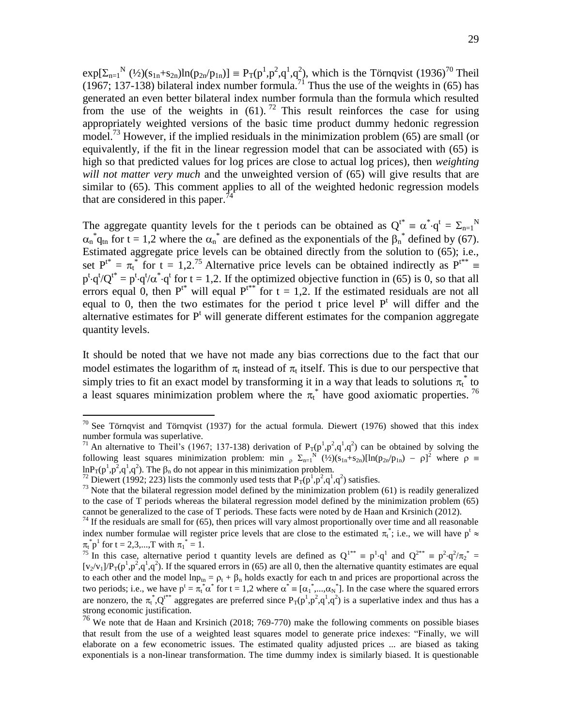$exp[\sum_{n=1}^{N} (1/2)(s_{1n} + s_{2n})ln(p_{2n}/p_{1n})] = P_T(p^1, p^2, q^1, q^2)$ , which is the Törnqvist (1936)<sup>70</sup> Theil (1967; 137-138) bilateral index number formula.<sup>71</sup> Thus the use of the weights in (65) has generated an even better bilateral index number formula than the formula which resulted from the use of the weights in  $(61)$ . <sup>72</sup> This result reinforces the case for using appropriately weighted versions of the basic time product dummy hedonic regression model.<sup>73</sup> However, if the implied residuals in the minimization problem (65) are small (or equivalently, if the fit in the linear regression model that can be associated with (65) is high so that predicted values for log prices are close to actual log prices), then *weighting will not matter very much* and the unweighted version of (65) will give results that are similar to (65). This comment applies to all of the weighted hedonic regression models that are considered in this paper.

The aggregate quantity levels for the t periods can be obtained as  $Q^{t^*} = \alpha^* q^t = \sum_{n=1}^N N^n$  $\alpha_n^* q_{tn}$  for t = 1,2 where the  $\alpha_n^*$  are defined as the exponentials of the  $\beta_n^*$  defined by (67). Estimated aggregate price levels can be obtained directly from the solution to (65); i.e., set  $P^{t*} = \pi_t^*$  for t = 1,2.<sup>75</sup> Alternative price levels can be obtained indirectly as  $P^{t**}$  $p^t \cdot q^t/Q^{t*} = p^t \cdot q^t/\alpha^* \cdot q^t$  for t = 1,2. If the optimized objective function in (65) is 0, so that all errors equal 0, then  $P^{t*}$  will equal  $P^{t*}$  for  $t = 1,2$ . If the estimated residuals are not all equal to 0, then the two estimates for the period t price level  $P<sup>t</sup>$  will differ and the alternative estimates for  $P<sup>t</sup>$  will generate different estimates for the companion aggregate quantity levels.

It should be noted that we have not made any bias corrections due to the fact that our model estimates the logarithm of  $\pi_t$  instead of  $\pi_t$  itself. This is due to our perspective that simply tries to fit an exact model by transforming it in a way that leads to solutions  $\pi_t^*$  to a least squares minimization problem where the  $\pi_t^*$  have good axiomatic properties. <sup>76</sup>

 $70$  See Törnqvist and Törnqvist (1937) for the actual formula. Diewert (1976) showed that this index number formula was superlative.

<sup>&</sup>lt;sup>71</sup> An alternative to Theil's (1967; 137-138) derivation of  $P_T(p^1, p^2, q^1, q^2)$  can be obtained by solving the following least squares minimization problem: min  $\sum_{n=1}^{N} (1/2)(s_{1n}+s_{2n})[\ln(p_{2n}/p_{1n}) - \rho]^2$  where  $\rho \equiv$  $ln P_T(p^1, p^2, q^1, q^2)$ . The  $\beta_n$  do not appear in this minimization problem.

<sup>&</sup>lt;sup>72</sup> Diewert (1992; 223) lists the commonly used tests that  $P_T(p^1, p^2, q^1, q^2)$  satisfies.

 $^{73}$  Note that the bilateral regression model defined by the minimization problem (61) is readily generalized to the case of T periods whereas the bilateral regression model defined by the minimization problem (65) cannot be generalized to the case of T periods. These facts were noted by de Haan and Krsinich (2012).

 $74$  If the residuals are small for (65), then prices will vary almost proportionally over time and all reasonable index number formulae will register price levels that are close to the estimated  $\pi_t^*$ ; i.e., we will have  $p^t \approx$  $\pi_t^* \mathbf{p}^1$  for  $t = 2, 3, ..., T$  with  $\pi_1^* = 1$ .

<sup>&</sup>lt;sup>75</sup> In this case, alternative period t quantity levels are defined as  $Q^{1**} \equiv p^1 \cdot q^1$  and  $Q^{2**} \equiv p^2 \cdot q^2 / \pi_2^* =$  $[v_2/v_1]/P_T(p^1, p^2, q^1, q^2)$ . If the squared errors in (65) are all 0, then the alternative quantity estimates are equal to each other and the model  $lnp_{tn} = \rho_t + \beta_n$  holds exactly for each tn and prices are proportional across the two periods; i.e., we have  $p^t = \pi_t^* \alpha^*$  for  $t = 1,2$  where  $\alpha^* = [\alpha_1^*,...,\alpha_N^*]$ . In the case where the squared errors are nonzero, the  $\pi_t^*$ , $Q_t^{**}$  aggregates are preferred since  $P_T(p^1,p^2,q^1,q^2)$  is a superlative index and thus has a strong economic justification.

<sup>76</sup> We note that de Haan and Krsinich (2018; 769-770) make the following comments on possible biases that result from the use of a weighted least squares model to generate price indexes: "Finally, we will elaborate on a few econometric issues. The estimated quality adjusted prices ... are biased as taking exponentials is a non-linear transformation. The time dummy index is similarly biased. It is questionable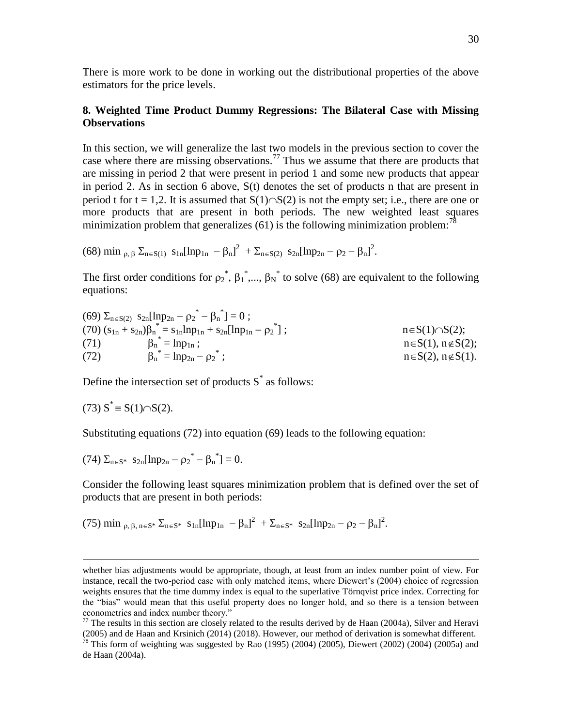There is more work to be done in working out the distributional properties of the above estimators for the price levels.

# **8. Weighted Time Product Dummy Regressions: The Bilateral Case with Missing Observations**

In this section, we will generalize the last two models in the previous section to cover the case where there are missing observations.<sup>77</sup> Thus we assume that there are products that are missing in period 2 that were present in period 1 and some new products that appear in period 2. As in section 6 above, S(t) denotes the set of products n that are present in period t for t = 1,2. It is assumed that  $S(1) \cap S(2)$  is not the empty set; i.e., there are one or more products that are present in both periods. The new weighted least squares minimization problem that generalizes (61) is the following minimization problem:<sup>78</sup>

(68) min <sub>p,  $\beta \Sigma_{n \in S(1)} s_{1n} [\ln p_{1n} - \beta_n]^2 + \Sigma_{n \in S(2)} s_{2n} [\ln p_{2n} - p_2 - \beta_n]^2$ .</sub>

The first order conditions for  $\rho_2^*$ ,  $\beta_1^*$ ,...,  $\beta_N^*$  to solve (68) are equivalent to the following equations:

(69) 
$$
\Sigma_{n \in S(2)}
$$
  $s_{2n}[\text{ln}p_{2n} - \rho_2^* - \beta_n^*] = 0$ ;  
\n(70)  $(s_{1n} + s_{2n})\beta_n^* = s_{1n}\text{ln}p_{1n} + s_{2n}[\text{ln}p_{1n} - \rho_2^*]$ ;  
\n(71)  $\beta_n^* = \text{ln}p_{1n}$ ;  
\n(72)  $\beta_n^* = \text{ln}p_{2n} - \rho_2^*$ ;  
\n(73)  $n \in S(1), n \notin S(2)$ ;  
\n $n \in S(2), n \notin S(1)$ .

Define the intersection set of products  $S^*$  as follows:

(73) 
$$
S^* = S(1) \cap S(2)
$$
.

 $\overline{a}$ 

Substituting equations (72) into equation (69) leads to the following equation:

 $(74)$   $\Sigma_{n \in S^*}$   $S_{2n}[\ln p_{2n} - {\rho_2}^* - {\beta_n}^*] = 0.$ 

Consider the following least squares minimization problem that is defined over the set of products that are present in both periods:

(75) min 
$$
\rho, \beta, n \in S^* \sum_{n \in S^*} s_{1n} [\ln p_{1n} - \beta_n]^2 + \sum_{n \in S^*} s_{2n} [\ln p_{2n} - \rho_2 - \beta_n]^2
$$
.

whether bias adjustments would be appropriate, though, at least from an index number point of view. For instance, recall the two-period case with only matched items, where Diewert's (2004) choice of regression weights ensures that the time dummy index is equal to the superlative Törnqvist price index. Correcting for the "bias" would mean that this useful property does no longer hold, and so there is a tension between econometrics and index number theory."

 $77$  The results in this section are closely related to the results derived by de Haan (2004a), Silver and Heravi (2005) and de Haan and Krsinich (2014) (2018). However, our method of derivation is somewhat different.

<sup>&</sup>lt;sup>78</sup> This form of weighting was suggested by Rao (1995) (2004) (2005), Diewert (2002) (2004) (2005a) and de Haan (2004a).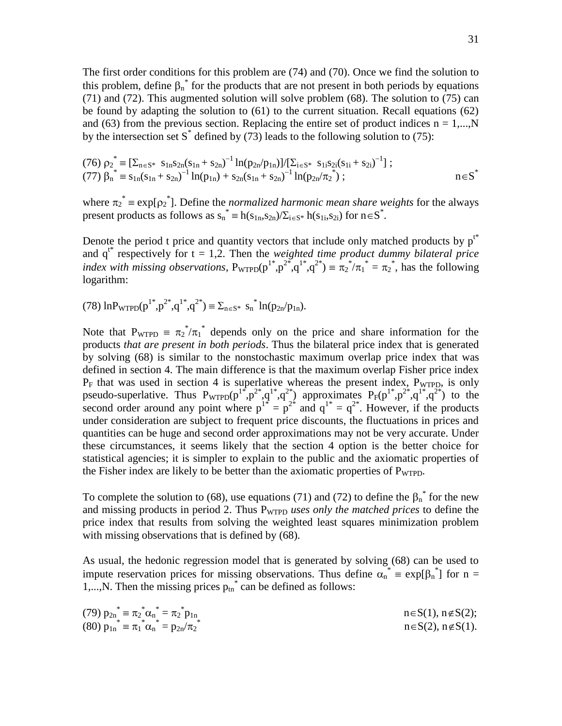The first order conditions for this problem are (74) and (70). Once we find the solution to this problem, define  $\beta_n^*$  for the products that are not present in both periods by equations (71) and (72). This augmented solution will solve problem (68). The solution to (75) can be found by adapting the solution to (61) to the current situation. Recall equations (62) and (63) from the previous section. Replacing the entire set of product indices  $n = 1,...,N$ by the intersection set S<sup>\*</sup> defined by (73) leads to the following solution to (75):

(76) 
$$
\rho_2^* \equiv \left[ \sum_{n \in S^*} s_{1n} s_{2n} (s_{1n} + s_{2n})^{-1} \ln(p_{2n}/p_{1n}) \right] / \left[ \sum_{i \in S^*} s_{1i} s_{2i} (s_{1i} + s_{2i})^{-1} \right];
$$
  
(77)  $\beta_n^* \equiv s_{1n} (s_{1n} + s_{2n})^{-1} \ln(p_{1n}) + s_{2n} (s_{1n} + s_{2n})^{-1} \ln(p_{2n}/\pi_2^*)$ ;  $n \in S^*$ 

where  $\pi_2^* = \exp[\rho_2^*]$ . Define the *normalized harmonic mean share weights* for the always present products as follows as  $s_n^* = h(s_{1n}, s_{2n})/\sum_{i \in S^*} h(s_{1i}, s_{2i})$  for  $n \in S^*$ .

Denote the period t price and quantity vectors that include only matched products by  $p^{t*}$ and  $q^{t*}$  respectively for  $t = 1,2$ . Then the *weighted time product dummy bilateral price index with missing observations*,  $P_{\text{WTPD}}(p^{1*}, p^{2*}, q^{1*}, q^{2*}) \equiv \pi_2^* / \pi_1^* = \pi_2^*$ , has the following logarithm:

(78)  $\ln P_{\text{WTPD}}(p^{1*}, p^{2*}, q^{1*}, q^{2*}) \equiv \sum_{n \in S^*} s_n^{*} \ln(p_{2n}/p_{1n}).$ 

Note that  $P_{\text{WTPD}} = \pi_2^* / \pi_1^*$  depends only on the price and share information for the products *that are present in both periods*. Thus the bilateral price index that is generated by solving (68) is similar to the nonstochastic maximum overlap price index that was defined in section 4. The main difference is that the maximum overlap Fisher price index  $P_F$  that was used in section 4 is superlative whereas the present index,  $P_{WTPD}$ , is only pseudo-superlative. Thus  $P_{\text{WTPD}}(p^{1*}, p^{2*}, q^{1*}, q^{2*})$  approximates  $P_{F}(p^{1*}, p^{2*}, q^{1*}, q^{2*})$  to the second order around any point where  $p^{1*} = p^{2*}$  and  $q^{1*} = q^{2*}$ . However, if the products under consideration are subject to frequent price discounts, the fluctuations in prices and quantities can be huge and second order approximations may not be very accurate. Under these circumstances, it seems likely that the section 4 option is the better choice for statistical agencies; it is simpler to explain to the public and the axiomatic properties of the Fisher index are likely to be better than the axiomatic properties of P<sub>WTPD</sub>.

To complete the solution to (68), use equations (71) and (72) to define the  $\beta_n^*$  for the new and missing products in period 2. Thus P<sub>WTPD</sub> uses only the matched prices to define the price index that results from solving the weighted least squares minimization problem with missing observations that is defined by  $(68)$ .

As usual, the hedonic regression model that is generated by solving (68) can be used to impute reservation prices for missing observations. Thus define  $\alpha_n^* = \exp[\beta_n^*]$  for n = 1,..., N. Then the missing prices  $p_{tn}^*$  can be defined as follows:

| (79) $p_{2n}^* = \pi_2^* \alpha_n^* = \pi_2^* p_{1n}$ | $n \in S(1)$ , $n \notin S(2)$ ; |
|-------------------------------------------------------|----------------------------------|
| (80) $p_{1n}^* = \pi_1^* \alpha_n^* = p_{2n}/\pi_2^*$ | $n \in S(2)$ , $n \notin S(1)$ . |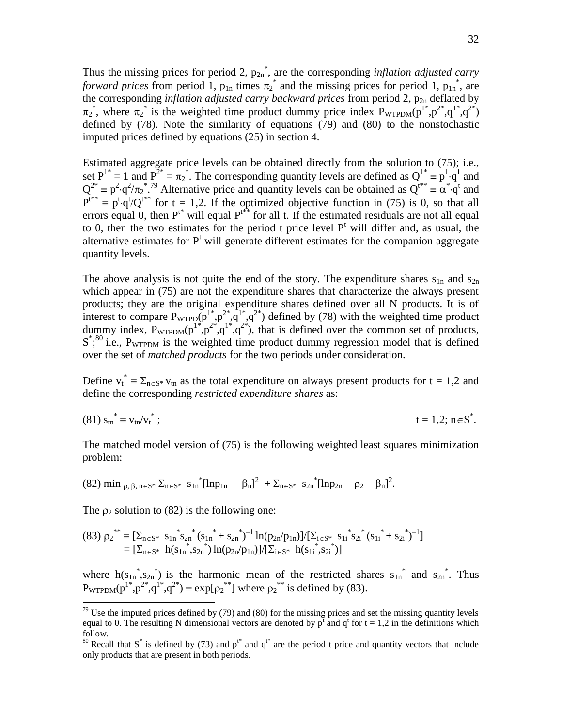Thus the missing prices for period 2,  $p_{2n}^*$ , are the corresponding *inflation adjusted carry forward prices* from period 1,  $p_{1n}$  times  $\pi_2^*$  and the missing prices for period 1,  $p_{1n}^*$ , are the corresponding *inflation adjusted carry backward prices* from period  $2$ ,  $p_{2n}$  deflated by  $\pi_2$ <sup>\*</sup>, where  $\pi_2$ <sup>\*</sup> is the weighted time product dummy price index  $P_{\text{WTPDM}}(p^{1*},p^{2*},q^{1*},q^{2*})$ defined by (78). Note the similarity of equations (79) and (80) to the nonstochastic imputed prices defined by equations (25) in section 4.

Estimated aggregate price levels can be obtained directly from the solution to (75); i.e., set  $P^{1*} = 1$  and  $P^{2*} = \pi_2^*$ . The corresponding quantity levels are defined as  $Q^{1*} = p^1 \cdot q^1$  and  $Q^{2*} = p^2 \cdot q^2 / \pi_2^*$ .<sup>79</sup> Alternative price and quantity levels can be obtained as  $Q^{t**} = \alpha^* \cdot q^t$  and  $P^{t^{**}} \equiv p^t \cdot q^t / Q^{t^{**}}$  for t = 1,2. If the optimized objective function in (75) is 0, so that all errors equal 0, then  $P^{t*}$  will equal  $P^{t*}$  for all t. If the estimated residuals are not all equal to 0, then the two estimates for the period t price level  $P<sup>t</sup>$  will differ and, as usual, the alternative estimates for  $P<sup>t</sup>$  will generate different estimates for the companion aggregate quantity levels.

The above analysis is not quite the end of the story. The expenditure shares  $s_{1n}$  and  $s_{2n}$ which appear in (75) are not the expenditure shares that characterize the always present products; they are the original expenditure shares defined over all N products. It is of interest to compare  $P_{\text{WTPD}}(p^{1*}, p^{2*}, q^{1*}, q^{2*})$  defined by (78) with the weighted time product dummy index,  $P_{\text{WTPDM}}(p^{1*},p^{2*},q^{1*},q^{2*})$ , that is defined over the common set of products,  $S^*$ <sup>80</sup> i.e., P<sub>WTPDM</sub> is the weighted time product dummy regression model that is defined over the set of *matched products* for the two periods under consideration.

Define  $v_t^* = \sum_{n \in S^*} v_{tn}$  as the total expenditure on always present products for  $t = 1,2$  and define the corresponding *restricted expenditure shares* as:

(81) 
$$
s_{\text{tn}}^* = v_{\text{tn}} / v_t^*
$$
;  $t = 1, 2; n \in S^*$ .

The matched model version of (75) is the following weighted least squares minimization problem:

$$
(82) \min_{\rho, \beta, n \in S^*} \Sigma_{n \in S^*} s_{1n}^* [\ln p_{1n} - \beta_n]^2 + \Sigma_{n \in S^*} s_{2n}^* [\ln p_{2n} - \rho_2 - \beta_n]^2.
$$

The  $\rho_2$  solution to (82) is the following one:

 $\overline{a}$ 

$$
(83) \ \rho_2^{**} \equiv \left[ \sum_{n \in S^*} s_{1n}^* s_{2n}^* (s_{1n}^* + s_{2n}^*)^{-1} \ln(p_{2n}/p_{1n}) \right] / \left[ \sum_{i \in S^*} s_{1i}^* s_{2i}^* (s_{1i}^* + s_{2i}^*)^{-1} \right] \\ = \left[ \sum_{n \in S^*} h(s_{1n}^*, s_{2n}^*) \ln(p_{2n}/p_{1n}) \right] / \left[ \sum_{i \in S^*} h(s_{1i}^*, s_{2i}^*) \right]
$$

where  $h(s_{1n}^*, s_{2n}^*)$  is the harmonic mean of the restricted shares  $s_{1n}^*$  and  $s_{2n}^*$ . Thus  $P_{\text{WTPDM}}(p^{1*}, p^{2*}, q^{1*}, q^{2*}) \equiv \exp[\rho_2^{**}]$  where  $\rho_2^{**}$  is defined by (83).

 $79$  Use the imputed prices defined by (79) and (80) for the missing prices and set the missing quantity levels equal to 0. The resulting N dimensional vectors are denoted by  $p^t$  and  $q^t$  for  $t = 1,2$  in the definitions which follow.

<sup>&</sup>lt;sup>80</sup> Recall that S<sup>\*</sup> is defined by (73) and  $p^{t*}$  and  $q^{t*}$  are the period t price and quantity vectors that include only products that are present in both periods.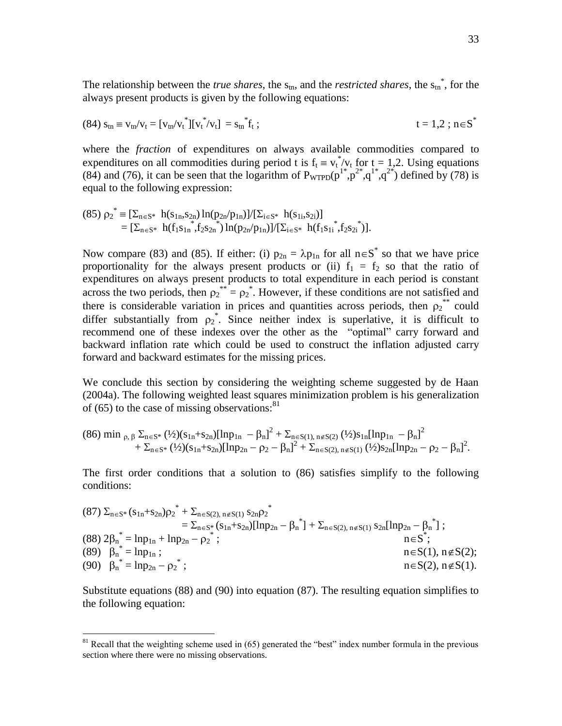The relationship between the *true shares*, the  $s_{tn}$ , and the *restricted shares*, the  $s_{tn}^*$ , for the always present products is given by the following equations:

(84) 
$$
s_{tn} \equiv v_{tn}/v_t = [v_{tn}/v_t^*][v_t^*/v_t] = s_{tn}^*f_t
$$
;  $t = 1,2; n \in S^*$ 

where the *fraction* of expenditures on always available commodities compared to expenditures on all commodities during period t is  $f_t = v_t^*/v_t$  for  $t = 1,2$ . Using equations (84) and (76), it can be seen that the logarithm of  $P_{\text{WTPD}}(p^{1*},p^{2*},q^{1*},q^{2*})$  defined by (78) is equal to the following expression:

$$
(85) \rho_2^* = [\Sigma_{n \in S^*} \ h(s_{1n}, s_{2n}) \ln(p_{2n}/p_{1n})]/[\Sigma_{i \in S^*} \ h(s_{1i}, s_{2i})] = [\Sigma_{n \in S^*} \ h(f_1 s_{1n}, f_2 s_{2n}) \ln(p_{2n}/p_{1n})]/[\Sigma_{i \in S^*} \ h(f_1 s_{1i}, f_2 s_{2i})].
$$

Now compare (83) and (85). If either: (i)  $p_{2n} = \lambda p_{1n}$  for all  $n \in S^*$  so that we have price proportionality for the always present products or (ii)  $f_1 = f_2$  so that the ratio of expenditures on always present products to total expenditure in each period is constant across the two periods, then  $\rho_2^{**} = \rho_2^*$ . However, if these conditions are not satisfied and there is considerable variation in prices and quantities across periods, then  $p_2^{**}$  could differ substantially from  $\rho_2^*$ . Since neither index is superlative, it is difficult to recommend one of these indexes over the other as the "optimal" carry forward and backward inflation rate which could be used to construct the inflation adjusted carry forward and backward estimates for the missing prices.

We conclude this section by considering the weighting scheme suggested by de Haan (2004a). The following weighted least squares minimization problem is his generalization of (65) to the case of missing observations: $81$ 

$$
(86) \min_{\rho, \beta} \sum_{n \in S^*} (\frac{1}{2})(s_{1n} + s_{2n})[\ln p_{1n} - \beta_n]^2 + \sum_{n \in S(1), n \notin S(2)} (\frac{1}{2})s_{1n}[\ln p_{1n} - \beta_n]^2 + \sum_{n \in S^*} (\frac{1}{2})(s_{1n} + s_{2n})[\ln p_{2n} - \rho_2 - \beta_n]^2 + \sum_{n \in S(2), n \notin S(1)} (\frac{1}{2})s_{2n}[\ln p_{2n} - \rho_2 - \beta_n]^2.
$$

The first order conditions that a solution to (86) satisfies simplify to the following conditions:

$$
(87) \Sigma_{n\in S^*} (s_{1n}+s_{2n})\rho_2^* + \Sigma_{n\in S(2), n\not\in S(1)} s_{2n}\rho_2^* \n= \Sigma_{n\in S^*} (s_{1n}+s_{2n})[\ln p_{2n}-\beta_n^*] + \Sigma_{n\in S(2), n\not\in S(1)} s_{2n}[\ln p_{2n}-\beta_n^*];
$$
\n
$$
(88) 2\beta_n^* = \ln p_{1n} + \ln p_{2n} - \rho_2^* ;
$$
\n
$$
(89) \beta_n^* = \ln p_{1n} ;
$$
\n
$$
n\in S(1), n\not\in S(2);
$$
\n
$$
n\in S(1), n\not\in S(2), n\not\in S(1).
$$

Substitute equations (88) and (90) into equation (87). The resulting equation simplifies to the following equation:

 $81$  Recall that the weighting scheme used in (65) generated the "best" index number formula in the previous section where there were no missing observations.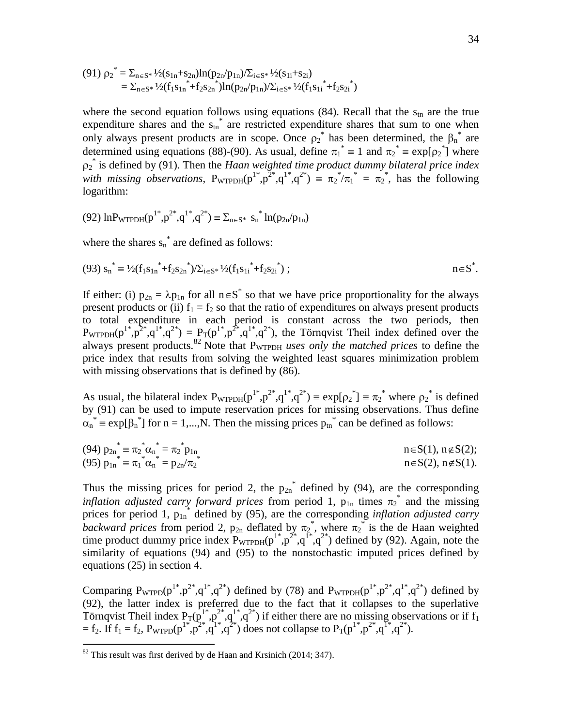$$
\begin{array}{l} \left(91\right)\,{\rho_2}^*\, = \Sigma_{n\in S^*}\, \frac{1}{2}(s_{1n}+s_{2n})ln(p_{2n}/p_{1n})/\Sigma_{i\in S^*}\, \frac{1}{2}(s_{1i}+s_{2i})\\ \phantom{\sum_{k=1}^{3}}\, = \Sigma_{n\in S^*}\, \frac{1}{2}(f_1s_{1n}^*\, + f_2s_{2n}^*)ln(p_{2n}/p_{1n})/\Sigma_{i\in S^*}\, \frac{1}{2}(f_1s_{1i}^*\, + f_2s_{2i}^*)\\ \end{array}
$$

where the second equation follows using equations (84). Recall that the  $s_{tn}$  are the true expenditure shares and the  $s_{tn}^*$  are restricted expenditure shares that sum to one when only always present products are in scope. Once  $\rho_2^*$  has been determined, the  $\beta_n^*$  are determined using equations (88)-(90). As usual, define  $\pi_1^* \equiv 1$  and  $\pi_2^* \equiv \exp[\rho_2^*]$  where  $p_2^*$  is defined by (91). Then the *Haan weighted time product dummy bilateral price index* with missing observations,  $P_{\text{WTPDH}}(p^{1*}, p^{2*}, q^{1*}, q^{2*}) = \pi_2^* / \pi_1^* = \pi_2^*$ , has the following logarithm:

$$
(92) \ln P_{\text{WTPDH}}(p^{1^*}, p^{2^*}, q^{1^*}, q^{2^*}) \equiv \Sigma_{n \in S^*} s_n^{*} \ln(p_{2n}/p_{1n})
$$

where the shares  $s_n^*$  are defined as follows:

$$
(93) s_n^* = \frac{1}{2}(f_1 s_{1n}^* + f_2 s_{2n}^*) / \sum_{i \in S^*} \frac{1}{2}(f_1 s_{1i}^* + f_2 s_{2i}^*) ; \qquad n \in S^*.
$$

If either: (i)  $p_{2n} = \lambda p_{1n}$  for all  $n \in S^*$  so that we have price proportionality for the always present products or (ii)  $f_1 = f_2$  so that the ratio of expenditures on always present products to total expenditure in each period is constant across the two periods, then  $P_{\text{WTPDH}}(p^{1*}, p^{2*}, q^{1*}, q^{2*}) = P_T(p^{1*}, p^{2*}, q^{1*}, q^{2*})$ , the Törnqvist Theil index defined over the always present products.<sup>82</sup> Note that P<sub>WTPDH</sub> uses only the matched prices to define the price index that results from solving the weighted least squares minimization problem with missing observations that is defined by  $(86)$ .

As usual, the bilateral index  $P_{\text{WTPDH}}(p^{1*}, p^{2*}, q^{1*}, q^{2*}) \equiv \exp[\rho_2^*] \equiv \pi_2^*$  where  $\rho_2^*$  is defined by (91) can be used to impute reservation prices for missing observations. Thus define  $\alpha_n^*$  = exp[ $\beta_n^*$ ] for n = 1,...,N. Then the missing prices  $p_{tn}^*$  can be defined as follows:

(94) 
$$
p_{2n}^* = \pi_2^* \alpha_n^* = \pi_2^* p_{1n}
$$
  
\n(95)  $p_{1n}^* = \pi_1^* \alpha_n^* = p_{2n}/\pi_2^*$   
\n $n \in S(1), n \notin S(2);$   
\n $n \in S(2), n \notin S(1).$ 

Thus the missing prices for period 2, the  $p_{2n}$ <sup>\*</sup> defined by (94), are the corresponding *inflation adjusted carry forward prices* from period 1,  $p_{1n}$  times  $\pi_2^*$  and the missing prices for period 1, p<sub>1n</sub> defined by (95), are the corresponding *inflation adjusted carry* backward prices from period 2,  $p_{2n}$  deflated by  $\pi_2^*$ , where  $\pi_2^*$  is the de Haan weighted time product dummy price index  $P_{\text{WTPDH}}(p^{1*},p^{2*},q^{1*},q^{2*})$  defined by (92). Again, note the similarity of equations (94) and (95) to the nonstochastic imputed prices defined by equations (25) in section 4.

Comparing  $P_{\text{WTPD}}(p^{1*}, p^{2*}, q^{1*}, q^{2*})$  defined by (78) and  $P_{\text{WTPDH}}(p^{1*}, p^{2*}, q^{1*}, q^{2*})$  defined by (92), the latter index is preferred due to the fact that it collapses to the superlative Törnqvist Theil index  $P_T(p^{1*}, p^{2*}, q^{1*}, q^{2*})$  if either there are no missing observations or if  $f_1$  $= f_2$ . If  $f_1 = f_2$ ,  $P_{\text{WTPD}}(p^{1*}, p^{2*}, q^{1*}, q^{2*})$  does not collapse to  $P_T(p^{1*}, p^{2*}, q^{1*}, q^{2*})$ .

 $82$  This result was first derived by de Haan and Krsinich (2014; 347).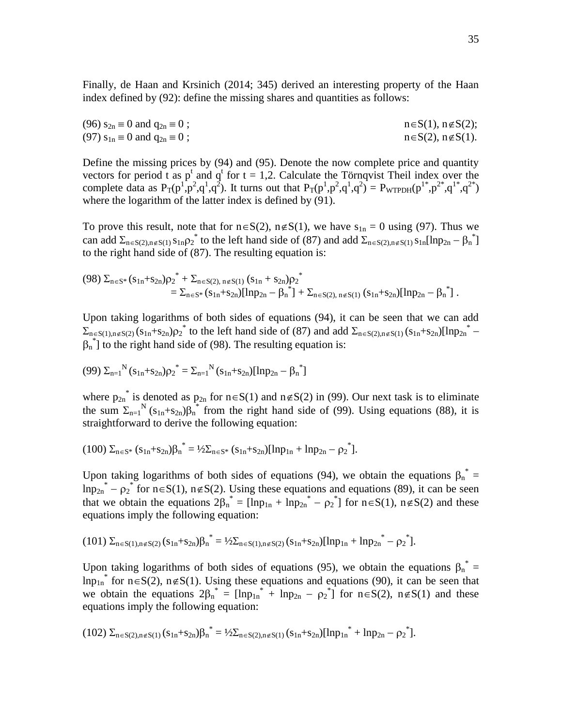Finally, de Haan and Krsinich (2014; 345) derived an interesting property of the Haan index defined by (92): define the missing shares and quantities as follows:

(96)  $s_{2n} \equiv 0$  and  $q_{2n} \equiv 0$ ; n $\in S(1)$ , n $\notin S(2)$ ; (97)  $s_{1n} \equiv 0$  and  $q_{2n} \equiv 0$ ; n $\in S(2)$ , n $\notin S(1)$ .

Define the missing prices by (94) and (95). Denote the now complete price and quantity vectors for period t as  $p^t$  and  $q^t$  for  $t = 1,2$ . Calculate the Törnqvist Theil index over the complete data as  $P_T(p^1, p^2, q^1, q^2)$ . It turns out that  $P_T(p^1, p^2, q^1, q^2) = P_{WTPDH}(p^{1*}, p^{2*}, q^{1*}, q^{2*})$ where the logarithm of the latter index is defined by (91).

To prove this result, note that for  $n \in S(2)$ ,  $n \notin S(1)$ , we have  $s_{1n} = 0$  using (97). Thus we can add  $\Sigma_{n \in S(2), n \notin S(1)} s_{1n} \rho_2^*$  to the left hand side of (87) and add  $\Sigma_{n \in S(2), n \notin S(1)} s_{1n} [\ln p_{2n} - \beta_n^*]$ to the right hand side of (87). The resulting equation is:

$$
\begin{array}{llll} & (98) \ \Sigma_{n\in S^*}(s_{1n}+s_{2n}){\rho_2}^* + \Sigma_{n\in S(2),\ n\not\in S(1)} \ (s_{1n}+s_{2n}){\rho_2}^* \\ & = \Sigma_{n\in S^*}(s_{1n}+s_{2n})[\ln p_{2n}-\beta_n^*] + \Sigma_{n\in S(2),\ n\not\in S(1)} \ (s_{1n}+s_{2n})[\ln p_{2n}-\beta_n^*] \ . \end{array}
$$

Upon taking logarithms of both sides of equations (94), it can be seen that we can add  $\sum_{n\in S(1),n\notin S(2)} (s_{1n}+s_{2n})\rho_2^*$  to the left hand side of (87) and add  $\sum_{n\in S(2),n\notin S(1)} (s_{1n}+s_{2n})[1np_{2n}^* \beta_n^{\dagger}$ ] to the right hand side of (98). The resulting equation is:

$$
(99)\ \Sigma_{n=1}^N (s_{1n} + s_{2n}) \rho_2^* = \Sigma_{n=1}^N (s_{1n} + s_{2n}) [\ln p_{2n} - \beta_n^*]
$$

where  $p_{2n}^*$  is denoted as  $p_{2n}$  for  $n \in S(1)$  and  $n \notin S(2)$  in (99). Our next task is to eliminate the sum  $\Sigma_{n=1}^N$  (s<sub>1n</sub>+s<sub>2n</sub>) $\beta_n^*$  from the right hand side of (99). Using equations (88), it is straightforward to derive the following equation:

$$
(100) \Sigma_{n \in S^*} (s_{1n} + s_{2n}) \beta_n^* = 1/2 \Sigma_{n \in S^*} (s_{1n} + s_{2n}) [\ln p_{1n} + \ln p_{2n} - \rho_2^*].
$$

Upon taking logarithms of both sides of equations (94), we obtain the equations  $\beta_n^* =$  $\text{lnp}_{2n}^* - \rho_2^*$  for  $n \in S(1)$ ,  $n \notin S(2)$ . Using these equations and equations (89), it can be seen that we obtain the equations  $2\beta_n^* = [\ln p_{1n} + \ln p_{2n}^* - \rho_2^*]$  for  $n \in S(1)$ ,  $n \notin S(2)$  and these equations imply the following equation:

$$
(101) \Sigma_{n \in S(1), n \notin S(2)} (s_{1n} + s_{2n}) \beta_n^* = 1/2 \Sigma_{n \in S(1), n \notin S(2)} (s_{1n} + s_{2n}) [\ln p_{1n} + \ln p_{2n}^* - \rho_2^*].
$$

Upon taking logarithms of both sides of equations (95), we obtain the equations  $\beta_n^* =$  $\text{lnp}_{1n}^*$  for  $n \in S(2)$ ,  $n \notin S(1)$ . Using these equations and equations (90), it can be seen that we obtain the equations  $2\beta_n^* = [\ln p_{1n}^* + \ln p_{2n} - p_2^*]$  for  $n \in S(2)$ ,  $n \notin S(1)$  and these equations imply the following equation:

$$
(102)\ \Sigma_{n \in S(2), n \notin S(1)}(s_{1n}+s_{2n}){\beta_n}^* = \frac{1}{2}\Sigma_{n \in S(2), n \notin S(1)}(s_{1n}+s_{2n})[lnp_{1n}^* + lnp_{2n} - \rho_2^*].
$$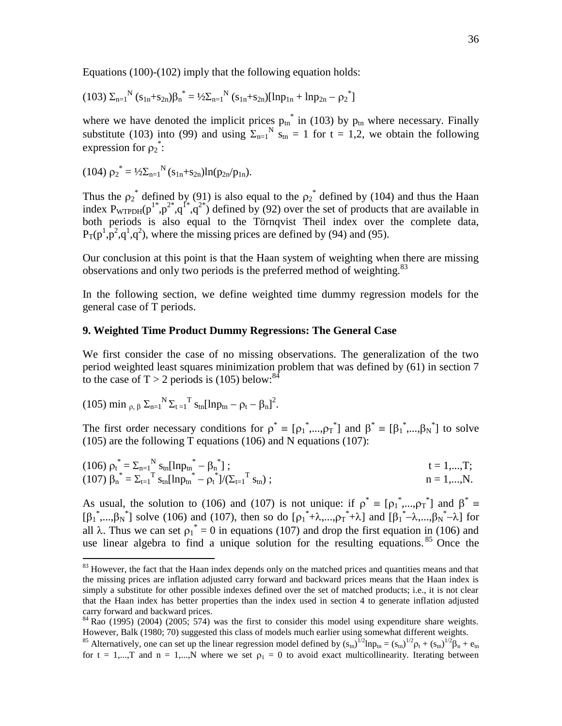Equations (100)-(102) imply that the following equation holds:

$$
(103) \Sigma_{n=1}^N (s_{1n} + s_{2n}) \beta_n^* = 1/2 \Sigma_{n=1}^N (s_{1n} + s_{2n}) [\ln p_{1n} + \ln p_{2n} - \rho_2^*]
$$

where we have denoted the implicit prices  $p_{tn}^*$  in (103) by  $p_{tn}$  where necessary. Finally substitute (103) into (99) and using  $\Sigma_{n=1}^{N}$  s<sub>tn</sub> = 1 for t = 1,2, we obtain the following expression for  $\rho_2^*$ :

$$
(104) \rho_2^* = \frac{1}{2} \sum_{n=1}^N (s_{1n} + s_{2n}) ln(p_{2n}/p_{1n}).
$$

Thus the  $\rho_2^*$  defined by (91) is also equal to the  $\rho_2^*$  defined by (104) and thus the Haan index  $P_{WTPDH}(p^{1*},p^{2*},q^{1*},q^{2*})$  defined by (92) over the set of products that are available in both periods is also equal to the Törnqvist Theil index over the complete data,  $P_T(p^1, p^2, q^1, q^2)$ , where the missing prices are defined by (94) and (95).

Our conclusion at this point is that the Haan system of weighting when there are missing observations and only two periods is the preferred method of weighting.<sup>83</sup>

In the following section, we define weighted time dummy regression models for the general case of T periods.

#### **9. Weighted Time Product Dummy Regressions: The General Case**

We first consider the case of no missing observations. The generalization of the two period weighted least squares minimization problem that was defined by (61) in section 7 to the case of  $T > 2$  periods is (105) below:<sup>84</sup>

(105) min 
$$
\rho, \beta
$$
  $\Sigma_{n=1}^N \Sigma_{t=1}^T s_{tn} [lnp_{tn} - \rho_t - \beta_n]^2$ .

 $\overline{a}$ 

The first order necessary conditions for  $\rho^* = [\rho_1^*,...,\rho_T^*]$  and  $\beta^* = [\beta_1^*,...,\beta_N^*]$  to solve (105) are the following T equations (106) and N equations (107):

(106) 
$$
\rho_t^* = \sum_{n=1}^N s_{tn} [\ln p_{tn}^* - \beta_n^*];
$$
   
\n(107)  $\beta_n^* = \sum_{t=1}^T s_{tn} [\ln p_{tn}^* - \rho_t^*]/(\sum_{t=1}^T s_{tn});$    
\n $n = 1,...,N.$ 

As usual, the solution to (106) and (107) is not unique: if  $\rho^* = [\rho_1^*,...,\rho_T^*]$  and  $\beta^* =$  $[\beta_1^*,...,\beta_N^*]$  solve (106) and (107), then so do  $[\rho_1^*+\lambda,...,\rho_T^*+\lambda]$  and  $[\beta_1^*-\lambda,...,\beta_N^*-\lambda]$  for all  $\lambda$ . Thus we can set  $p_1^* = 0$  in equations (107) and drop the first equation in (106) and use linear algebra to find a unique solution for the resulting equations. <sup>85</sup> Once the

<sup>&</sup>lt;sup>83</sup> However, the fact that the Haan index depends only on the matched prices and quantities means and that the missing prices are inflation adjusted carry forward and backward prices means that the Haan index is simply a substitute for other possible indexes defined over the set of matched products; i.e., it is not clear that the Haan index has better properties than the index used in section 4 to generate inflation adjusted carry forward and backward prices.

 $84$  Rao (1995) (2004) (2005; 574) was the first to consider this model using expenditure share weights. However, Balk (1980; 70) suggested this class of models much earlier using somewhat different weights.

<sup>&</sup>lt;sup>85</sup> Alternatively, one can set up the linear regression model defined by  $(s_m)^{1/2}$ ln $p_m = (s_m)^{1/2}p_t + (s_m)^{1/2}\beta_n + e_m$ for  $t = 1,...,T$  and  $n = 1,...,N$  where we set  $\rho_1 = 0$  to avoid exact multicollinearity. Iterating between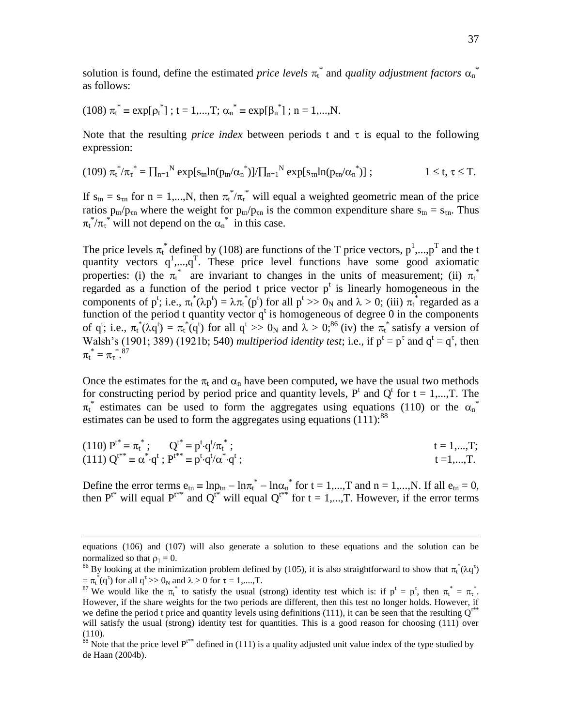solution is found, define the estimated *price levels*  $\pi_t^*$  and *quality adjustment factors*  $\alpha_n^*$ as follows:

(108) 
$$
\pi_t^* = \exp[\rho_t^*]
$$
; t = 1,...,T;  $\alpha_n^* = \exp[\beta_n^*]$ ; n = 1,...,N.

Note that the resulting *price index* between periods t and  $\tau$  is equal to the following expression:

$$
(109) \; {\pi_t}^*/{\pi_t}^* = \prod_{n=1}^N \exp[s_{tn} ln(p_{tn}/\alpha_n^*)] / \prod_{n=1}^N \exp[s_{tn} ln(p_{tn}/\alpha_n^*)] \; ; \qquad \qquad 1 \leq t, \, \tau \leq T.
$$

If  $s_{tn} = s_{tn}$  for  $n = 1,...,N$ , then  $\pi_t^* / \pi_r^*$  will equal a weighted geometric mean of the price ratios  $p_{tn}/p_{tn}$  where the weight for  $p_{tn}/p_{tn}$  is the common expenditure share  $s_{tn} = s_{tn}$ . Thus  $\pi_t^* / \pi_t^*$  will not depend on the  $\alpha_n^*$  in this case.

The price levels  $\pi_t^*$  defined by (108) are functions of the T price vectors,  $p^1,...,p^T$  and the t quantity vectors  $q^1$ ,..., $q^T$ . These price level functions have some good axiomatic properties: (i) the  $\pi_t^*$  are invariant to changes in the units of measurement; (ii)  $\pi_t^*$ regarded as a function of the period t price vector  $p<sup>t</sup>$  is linearly homogeneous in the components of p<sup>t</sup>; i.e.,  $\pi_t^*(\lambda p^t) = \lambda \pi_t^*(p^t)$  for all  $p^t >> 0_N$  and  $\lambda > 0$ ; (iii)  $\pi_t^*$  regarded as a function of the period t quantity vector  $q^t$  is homogeneous of degree 0 in the components of q<sup>t</sup>; i.e.,  $\pi_t^*(\lambda q^t) = \pi_t^*(q^t)$  for all  $q^t >> 0_N$  and  $\lambda > 0;^{86}$  (iv) the  $\pi_t^*$  satisfy a version of Walsh's (1901; 389) (1921b; 540) *multiperiod identity test*; i.e., if  $p^t = p^{\tau}$  and  $q^t = q^{\tau}$ , then  $\pi_{\mathfrak{t}}^* = \pi_{\tau}^*$ .<sup>87</sup>

Once the estimates for the  $\pi_t$  and  $\alpha_n$  have been computed, we have the usual two methods for constructing period by period price and quantity levels,  $P^t$  and  $Q^t$  for  $t = 1,...,T$ . The  $\pi_t^*$  estimates can be used to form the aggregates using equations (110) or the  $\alpha_n^*$ estimates can be used to form the aggregates using equations  $(111)$ :<sup>88</sup>

(110) 
$$
P^{t^*} = \pi_t^*
$$
;  $Q^{t^*} = p^t \cdot q^t / \pi_t^*$ ;  
\n(111)  $Q^{t^{**}} = \alpha^* \cdot q^t$ ;  $P^{t^{**}} = p^t \cdot q^t / \alpha^* \cdot q^t$ ;  
\n $t = 1,...,T$ ;  
\n $t = 1,...,T$ .

Define the error terms  $e_{tn} = \ln p_{tn} - \ln \pi_t^* - \ln \alpha_n^*$  for  $t = 1,...,T$  and  $n = 1,...,N$ . If all  $e_{tn} = 0$ , then  $P^{t*}$  will equal  $P^{t**}$  and  $Q^{t*}$  will equal  $Q^{t**}$  for  $t = 1,...,T$ . However, if the error terms

equations (106) and (107) will also generate a solution to these equations and the solution can be normalized so that  $\rho_1 = 0$ .

<sup>&</sup>lt;sup>86</sup> By looking at the minimization problem defined by (105), it is also straightforward to show that  $\pi_t^*(\lambda q^{\tau})$  $=\pi_t^*(q^{\tau})$  for all  $q^{\tau}>>0_N$  and  $\lambda>0$  for  $\tau=1,....,T$ .

<sup>&</sup>lt;sup>87</sup> We would like the  $\pi_t^*$  to satisfy the usual (strong) identity test which is: if  $p^t = p^{\tau}$ , then  $\pi_t^* = \pi_t^*$ . However, if the share weights for the two periods are different, then this test no longer holds. However, if we define the period t price and quantity levels using definitions (111), it can be seen that the resulting  $Q^{t^{**}}$ will satisfy the usual (strong) identity test for quantities. This is a good reason for choosing (111) over (110).

<sup>&</sup>lt;sup>88</sup> Note that the price level  $P^{t**}$  defined in (111) is a quality adjusted unit value index of the type studied by de Haan (2004b).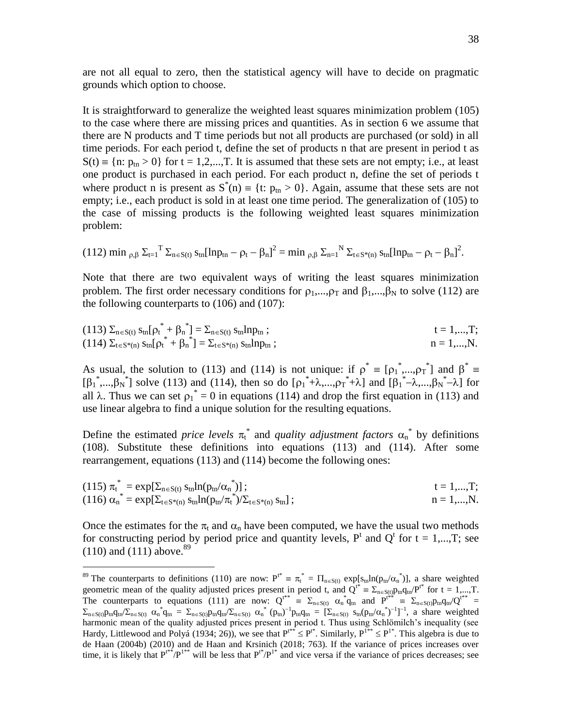are not all equal to zero, then the statistical agency will have to decide on pragmatic grounds which option to choose.

It is straightforward to generalize the weighted least squares minimization problem (105) to the case where there are missing prices and quantities. As in section 6 we assume that there are N products and T time periods but not all products are purchased (or sold) in all time periods. For each period t, define the set of products n that are present in period t as  $S(t) = {n: p_{tn} > 0}$  for  $t = 1, 2, ..., T$ . It is assumed that these sets are not empty; i.e., at least one product is purchased in each period. For each product n, define the set of periods t where product n is present as  $S^{*}(n) = \{t: p_{tn} > 0\}$ . Again, assume that these sets are not empty; i.e., each product is sold in at least one time period. The generalization of (105) to the case of missing products is the following weighted least squares minimization problem:

$$
(112) \ \text{min} \ _{\rho, \beta} \ \Sigma_{t=1}{}^T \ \Sigma_{n \in S(t)} \ s_{tn} [\text{ln}p_{tn} - \rho_t - \beta_n]^2 = \text{min} \ _{\rho, \beta} \ \Sigma_{n=1}{}^N \ \Sigma_{t \in S^*(n)} \ s_{tn} [\text{ln}p_{tn} - \rho_t - \beta_n]^2.
$$

Note that there are two equivalent ways of writing the least squares minimization problem. The first order necessary conditions for  $\rho_1, \ldots, \rho_T$  and  $\beta_1, \ldots, \beta_N$  to solve (112) are the following counterparts to (106) and (107):

(113) 
$$
\Sigma_{n \in S(t)} s_{tn} [\rho_t^* + \beta_n^*] = \Sigma_{n \in S(t)} s_{tn} l n p_{tn};
$$
   
\n(114)  $\Sigma_{t \in S^*(n)} s_{tn} [\rho_t^* + \beta_n^*] = \Sigma_{t \in S^*(n)} s_{tn} l n p_{tn};$    
\n $n = 1,...,N.$ 

As usual, the solution to (113) and (114) is not unique: if  $\rho^* = [\rho_1^*,...,\rho_T^*]$  and  $\beta^* =$  $[\beta_1^*,...,\beta_N^*]$  solve (113) and (114), then so do  $[\rho_1^*+\lambda,...,\rho_T^*+\lambda]$  and  $[\beta_1^*-\lambda,...,\beta_N^*-\lambda]$  for all  $\lambda$ . Thus we can set  $p_1^* = 0$  in equations (114) and drop the first equation in (113) and use linear algebra to find a unique solution for the resulting equations.

Define the estimated *price levels*  $\pi_t^*$  and *quality adjustment factors*  $\alpha_n^*$  by definitions (108). Substitute these definitions into equations (113) and (114). After some rearrangement, equations (113) and (114) become the following ones:

(115) 
$$
\pi_t^* = \exp[\sum_{n \in S(t)} s_{tn} \ln(p_{tn}/\alpha_n^*)]
$$
;  
\n(116)  $\alpha_n^* = \exp[\sum_{t \in S^*(n)} s_{tn} \ln(p_{tn}/\pi_t^*) / \sum_{t \in S^*(n)} s_{tn}]$ ;  
\n $n = 1,...,N$ .

Once the estimates for the  $\pi_t$  and  $\alpha_n$  have been computed, we have the usual two methods for constructing period by period price and quantity levels,  $P^t$  and  $Q^t$  for  $t = 1,...,T$ ; see  $(110)$  and  $(111)$  above.<sup>89</sup>

<sup>&</sup>lt;sup>89</sup> The counterparts to definitions (110) are now:  $P^{t^*} = \pi_t^* = \Pi_{n \in S(t)} \exp[s_{tn} ln(p_{tn} / \alpha_n^*)]$ , a share weighted geometric mean of the quality adjusted prices present in period t, and  $Q^{t*} = \sum_{n \in S(t)} p_m q_{tn} P^{t*}$  for  $t = 1,...,T$ . The counterparts to equations (111) are now:  $Q^{t^{**}} = \sum_{n \in S(t)} \alpha_n^* q_n$  and  $P^{t^{**}} = \sum_{n \in S(t)} p_m q_m / Q^{t^{**}}$  $\Sigma_{n\in S(t)}p_{tn}q_{tn}/\Sigma_{n\in S(t)} \alpha_n^*q_{tn} = \Sigma_{n\in S(t)}p_{tn}q_{tn}/\Sigma_{n\in S(t)} \alpha_n^*(p_{tn})^{-1}p_{tn}q_{tn} = [\Sigma_{n\in S(t)} s_{tn}(p_{tn}/\alpha_n^*)^{-1}]^{-1}$ , a share weighted harmonic mean of the quality adjusted prices present in period t. Thus using Schlömilch's inequality (see Hardy, Littlewood and Polyá (1934; 26)), we see that  $P^{t**} \le P^{t*}$ . Similarly,  $P^{1**} \le P^{1*}$ . This algebra is due to de Haan (2004b) (2010) and de Haan and Krsinich (2018; 763). If the variance of prices increases over time, it is likely that  $P^{t^*}/P^{1^*}$  will be less that  $P^{t^*}/P^{1^*}$  and vice versa if the variance of prices decreases; see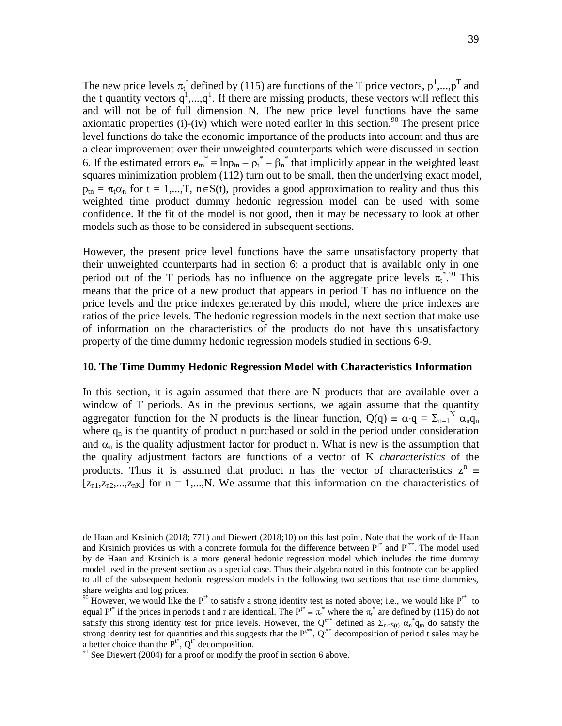The new price levels  $\pi_t^*$  defined by (115) are functions of the T price vectors,  $p^1,...,p^T$  and the t quantity vectors  $q^1$ ,..., $q^T$ . If there are missing products, these vectors will reflect this and will not be of full dimension N. The new price level functions have the same axiomatic properties (i)-(iv) which were noted earlier in this section.<sup>90</sup> The present price level functions do take the economic importance of the products into account and thus are a clear improvement over their unweighted counterparts which were discussed in section 6. If the estimated errors  $e_{tn}^* = lnp_{tn} - \rho_t^* - \beta_n^*$  that implicitly appear in the weighted least squares minimization problem (112) turn out to be small, then the underlying exact model,  $p_{tn} = \pi_t \alpha_n$  for t = 1,...,T, n  $\in S(t)$ , provides a good approximation to reality and thus this weighted time product dummy hedonic regression model can be used with some confidence. If the fit of the model is not good, then it may be necessary to look at other models such as those to be considered in subsequent sections.

However, the present price level functions have the same unsatisfactory property that their unweighted counterparts had in section 6: a product that is available only in one period out of the T periods has no influence on the aggregate price levels  $\pi_t^{*,91}$  This means that the price of a new product that appears in period T has no influence on the price levels and the price indexes generated by this model, where the price indexes are ratios of the price levels. The hedonic regression models in the next section that make use of information on the characteristics of the products do not have this unsatisfactory property of the time dummy hedonic regression models studied in sections 6-9.

### **10. The Time Dummy Hedonic Regression Model with Characteristics Information**

In this section, it is again assumed that there are N products that are available over a window of T periods. As in the previous sections, we again assume that the quantity aggregator function for the N products is the linear function,  $Q(q) = \alpha \cdot q = \sum_{n=1}^{N} \alpha_n q_n$ where  $q_n$  is the quantity of product n purchased or sold in the period under consideration and  $\alpha_n$  is the quality adjustment factor for product n. What is new is the assumption that the quality adjustment factors are functions of a vector of K *characteristics* of the products. Thus it is assumed that product n has the vector of characteristics  $z^n$  $[z_{n1}, z_{n2},...,z_{nK}]$  for  $n = 1,...,N$ . We assume that this information on the characteristics of

de Haan and Krsinich (2018; 771) and Diewert (2018;10) on this last point. Note that the work of de Haan and Krsinich provides us with a concrete formula for the difference between  $P^{t*}$  and  $P^{t**}$ . The model used by de Haan and Krsinich is a more general hedonic regression model which includes the time dummy model used in the present section as a special case. Thus their algebra noted in this footnote can be applied to all of the subsequent hedonic regression models in the following two sections that use time dummies, share weights and log prices.

<sup>&</sup>lt;sup>90</sup> However, we would like the  $P^{t*}$  to satisfy a strong identity test as noted above; i.e., we would like  $P^{t*}$  to equal  $P^{r*}$  if the prices in periods t and r are identical. The  $P^{t*} \equiv \pi_t^*$  where the  $\pi_t^*$  are defined by (115) do not satisfy this strong identity test for price levels. However, the Q<sup>t\*\*</sup> defined as  $\Sigma_{n\in S(t)} \alpha_n^* q_{tn}$  do satisfy the strong identity test for quantities and this suggests that the  $P^{t**}$ ,  $Q^{t**}$  decomposition of period t sales may be a better choice than the  $P^{t^*}$ ,  $Q^{t^*}$  decomposition.

 $91$  See Diewert (2004) for a proof or modify the proof in section 6 above.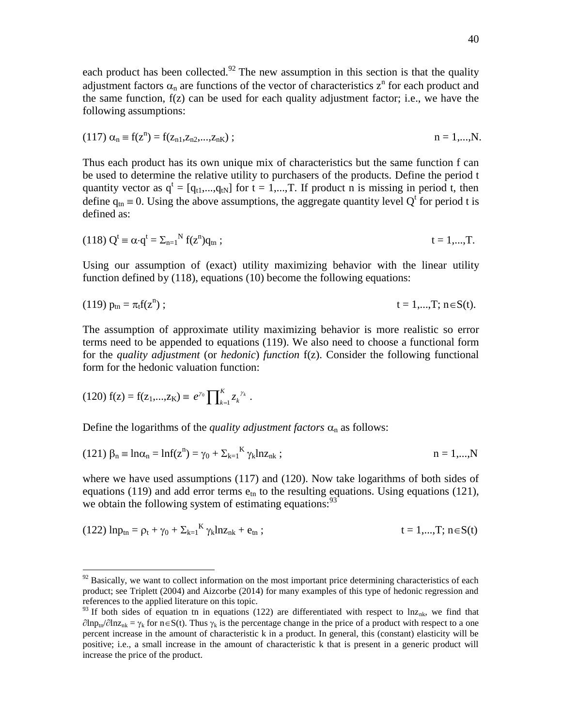each product has been collected.<sup>92</sup> The new assumption in this section is that the quality adjustment factors  $\alpha_n$  are functions of the vector of characteristics  $z^n$  for each product and the same function, f(z) can be used for each quality adjustment factor; i.e., we have the following assumptions:

(117) 
$$
\alpha_n \equiv f(z^n) = f(z_{n1}, z_{n2}, \dots, z_{nK})
$$
;   
  $n = 1, \dots, N$ .

Thus each product has its own unique mix of characteristics but the same function f can be used to determine the relative utility to purchasers of the products. Define the period t quantity vector as  $q^t = [q_{t1},...,q_{tN}]$  for  $t = 1,...,T$ . If product n is missing in period t, then define  $q_{tn} \equiv 0$ . Using the above assumptions, the aggregate quantity level Q<sup>t</sup> for period t is defined as:

(118) 
$$
Q^t \equiv \alpha \cdot q^t = \sum_{n=1}^{N} f(z^n) q_{tn}
$$
;  $t = 1,...,T$ .

Using our assumption of (exact) utility maximizing behavior with the linear utility function defined by (118), equations (10) become the following equations:

(119) 
$$
p_{\text{tn}} = \pi_t f(z^n)
$$
;  $t = 1,...,T; n \in S(t)$ .

The assumption of approximate utility maximizing behavior is more realistic so error terms need to be appended to equations (119). We also need to choose a functional form for the *quality adjustment* (or *hedonic*) *function* f(z). Consider the following functional form for the hedonic valuation function:

(120) 
$$
f(z) = f(z_1,...,z_K) \equiv e^{\gamma_0} \prod_{k=1}^K z_k^{\gamma_k}
$$
.

 $\overline{a}$ 

Define the logarithms of the *quality adjustment factors*  $\alpha_n$  as follows:

(121) 
$$
\beta_n \equiv \ln \alpha_n = \ln f(z^n) = \gamma_0 + \sum_{k=1}^K \gamma_k \ln z_{nk}
$$
;   
  $n = 1,...,N$ 

where we have used assumptions (117) and (120). Now take logarithms of both sides of equations (119) and add error terms  $e_{tn}$  to the resulting equations. Using equations (121), we obtain the following system of estimating equations:  $93$ 

(122) 
$$
ln p_{tn} = \rho_t + \gamma_0 + \sum_{k=1}^{K} \gamma_k ln z_{nk} + e_{tn}
$$
;  $t = 1,...,T; n \in S(t)$ 

 $92$  Basically, we want to collect information on the most important price determining characteristics of each product; see Triplett (2004) and Aizcorbe (2014) for many examples of this type of hedonic regression and references to the applied literature on this topic.

<sup>&</sup>lt;sup>93</sup> If both sides of equation tn in equations (122) are differentiated with respect to lnz<sub>nk</sub>, we find that  $\partial \text{ln} p_{\text{in}}/\partial \text{ln} z_{\text{nk}} = \gamma_k$  for  $n \in S(t)$ . Thus  $\gamma_k$  is the percentage change in the price of a product with respect to a one percent increase in the amount of characteristic k in a product. In general, this (constant) elasticity will be positive; i.e., a small increase in the amount of characteristic k that is present in a generic product will increase the price of the product.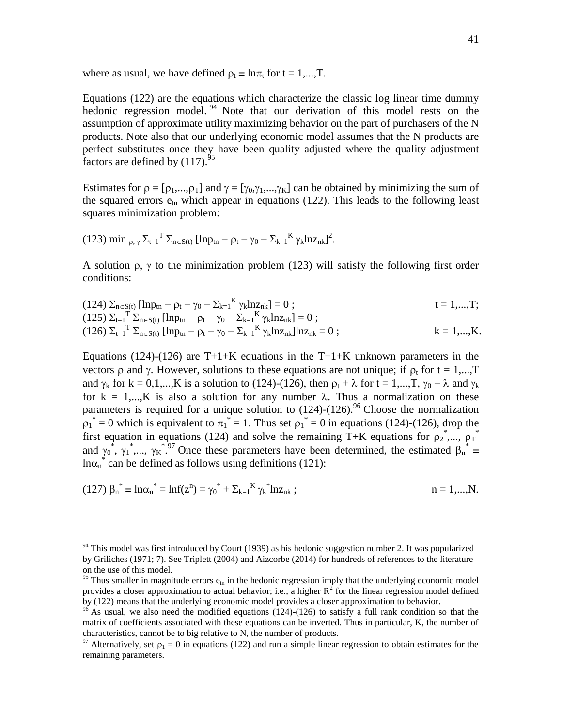where as usual, we have defined  $\rho_t \equiv \ln \pi_t$  for  $t = 1,...,T$ .

Equations (122) are the equations which characterize the classic log linear time dummy hedonic regression model.<sup>94</sup> Note that our derivation of this model rests on the assumption of approximate utility maximizing behavior on the part of purchasers of the N products. Note also that our underlying economic model assumes that the N products are perfect substitutes once they have been quality adjusted where the quality adjustment factors are defined by  $(117)$ .<sup>95</sup>

Estimates for  $\rho = [\rho_1,...,\rho_T]$  and  $\gamma = [\gamma_0,\gamma_1,...,\gamma_K]$  can be obtained by minimizing the sum of the squared errors  $e_{tn}$  which appear in equations (122). This leads to the following least squares minimization problem:

(123) min 
$$
\rho
$$
,  $\gamma \Sigma_{t=1}^T \Sigma_{n \in S(t)}$  [lnp<sub>tn</sub> -  $\rho_t - \gamma_0 - \Sigma_{k=1}^K \gamma_k \ln z_{nk}]^2$ .

 $\overline{a}$ 

A solution  $\rho$ ,  $\gamma$  to the minimization problem (123) will satisfy the following first order conditions:

(124) 
$$
\Sigma_{n \in S(t)}
$$
 [lnp<sub>tn</sub> - p<sub>t</sub> -  $\gamma_0$  -  $\Sigma_{k=1}^K \gamma_k ln z_{nk}$ ] = 0 ;  
\n(125)  $\Sigma_{t=1}^T \Sigma_{n \in S(t)}$  [lnp<sub>tn</sub> - p<sub>t</sub> -  $\gamma_0$  -  $\Sigma_{k=1}^K \gamma_k ln z_{nk}$ ] = 0 ;  
\n(126)  $\Sigma_{t=1}^T \Sigma_{n \in S(t)}$  [lnp<sub>tn</sub> - p<sub>t</sub> -  $\gamma_0$  -  $\Sigma_{k=1}^K \gamma_k ln z_{nk}$ ]lnz<sub>nk</sub> = 0 ;  
\n $k = 1,...,K$ .

Equations (124)-(126) are T+1+K equations in the T+1+K unknown parameters in the vectors  $\rho$  and  $\gamma$ . However, solutions to these equations are not unique; if  $\rho_t$  for  $t = 1,...,T$ and  $\gamma_k$  for  $k = 0,1,...,K$  is a solution to (124)-(126), then  $\rho_t + \lambda$  for  $t = 1,...,T$ ,  $\gamma_0 - \lambda$  and  $\gamma_k$ for  $k = 1,...,K$  is also a solution for any number  $\lambda$ . Thus a normalization on these parameters is required for a unique solution to  $(124)-(126)$ .<sup>96</sup> Choose the normalization  $p_1^* = 0$  which is equivalent to  $\pi_1^* = 1$ . Thus set  $p_1^* = 0$  in equations (124)-(126), drop the first equation in equations (124) and solve the remaining T+K equations for  $\rho_2^*$ ,...,  $\rho_T^*$ and  $\gamma_0^*$ ,  $\gamma_1^*$ ,...,  $\gamma_K^*$ .<sup>97</sup> Once these parameters have been determined, the estimated  $\beta_n^*$  $ln \alpha_n^*$  can be defined as follows using definitions (121):

(127) 
$$
\beta_n^* = \ln \alpha_n^* = \ln f(z^n) = \gamma_0^* + \sum_{k=1}^K \gamma_k^* \ln z_{nk}
$$
;   
  $n = 1,...,N.$ 

 $94$  This model was first introduced by Court (1939) as his hedonic suggestion number 2. It was popularized by Griliches (1971; 7). See Triplett (2004) and Aizcorbe (2014) for hundreds of references to the literature on the use of this model.

<sup>&</sup>lt;sup>95</sup> Thus smaller in magnitude errors  $e_{tn}$  in the hedonic regression imply that the underlying economic model provides a closer approximation to actual behavior; i.e., a higher  $R^2$  for the linear regression model defined by (122) means that the underlying economic model provides a closer approximation to behavior.

 $96$  As usual, we also need the modified equations (124)-(126) to satisfy a full rank condition so that the matrix of coefficients associated with these equations can be inverted. Thus in particular, K, the number of characteristics, cannot be to big relative to N, the number of products.

<sup>97</sup> Alternatively, set  $\rho_1 = 0$  in equations (122) and run a simple linear regression to obtain estimates for the remaining parameters.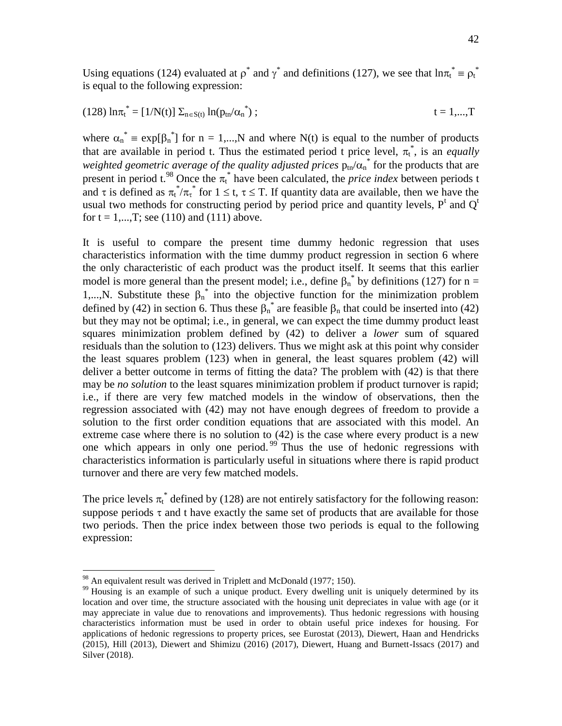Using equations (124) evaluated at  $\rho^*$  and  $\gamma^*$  and definitions (127), we see that  $\ln \pi_t^* = \rho_t^*$ is equal to the following expression:

(128) 
$$
\ln \pi_t^* = [1/N(t)] \sum_{n \in S(t)} \ln(p_{tn}/\alpha_n^*)
$$
;  $t = 1,...,T$ 

where  $\alpha_n^* = \exp[\beta_n^*]$  for  $n = 1,...,N$  and where N(t) is equal to the number of products that are available in period t. Thus the estimated period t price level,  $\pi_t^*$ , is an *equally* weighted geometric average of the quality adjusted prices  $p_{\text{tn}}/\alpha_{\text{n}}^*$  for the products that are present in period t.<sup>98</sup> Once the  $\pi_t^*$  have been calculated, the *price index* between periods t and  $\tau$  is defined as  $\pi_t^*/\pi_t^*$  for  $1 \le t$ ,  $\tau \le T$ . If quantity data are available, then we have the usual two methods for constructing period by period price and quantity levels,  $P<sup>t</sup>$  and  $Q<sup>t</sup>$ for  $t = 1,...,T$ ; see (110) and (111) above.

It is useful to compare the present time dummy hedonic regression that uses characteristics information with the time dummy product regression in section 6 where the only characteristic of each product was the product itself. It seems that this earlier model is more general than the present model; i.e., define  $\beta_n^*$  by definitions (127) for n = 1,..., N. Substitute these  $\beta_n^*$  into the objective function for the minimization problem defined by (42) in section 6. Thus these  $\beta_n^*$  are feasible  $\beta_n$  that could be inserted into (42) but they may not be optimal; i.e., in general, we can expect the time dummy product least squares minimization problem defined by (42) to deliver a *lower* sum of squared residuals than the solution to (123) delivers. Thus we might ask at this point why consider the least squares problem (123) when in general, the least squares problem (42) will deliver a better outcome in terms of fitting the data? The problem with (42) is that there may be *no solution* to the least squares minimization problem if product turnover is rapid; i.e., if there are very few matched models in the window of observations, then the regression associated with (42) may not have enough degrees of freedom to provide a solution to the first order condition equations that are associated with this model. An extreme case where there is no solution to (42) is the case where every product is a new one which appears in only one period.  $99$  Thus the use of hedonic regressions with characteristics information is particularly useful in situations where there is rapid product turnover and there are very few matched models.

The price levels  $\pi_t^*$  defined by (128) are not entirely satisfactory for the following reason: suppose periods  $\tau$  and t have exactly the same set of products that are available for those two periods. Then the price index between those two periods is equal to the following expression:

 $98$  An equivalent result was derived in Triplett and McDonald (1977; 150).

<sup>&</sup>lt;sup>99</sup> Housing is an example of such a unique product. Every dwelling unit is uniquely determined by its location and over time, the structure associated with the housing unit depreciates in value with age (or it may appreciate in value due to renovations and improvements). Thus hedonic regressions with housing characteristics information must be used in order to obtain useful price indexes for housing. For applications of hedonic regressions to property prices, see Eurostat (2013), Diewert, Haan and Hendricks (2015), Hill (2013), Diewert and Shimizu (2016) (2017), Diewert, Huang and Burnett-Issacs (2017) and Silver (2018).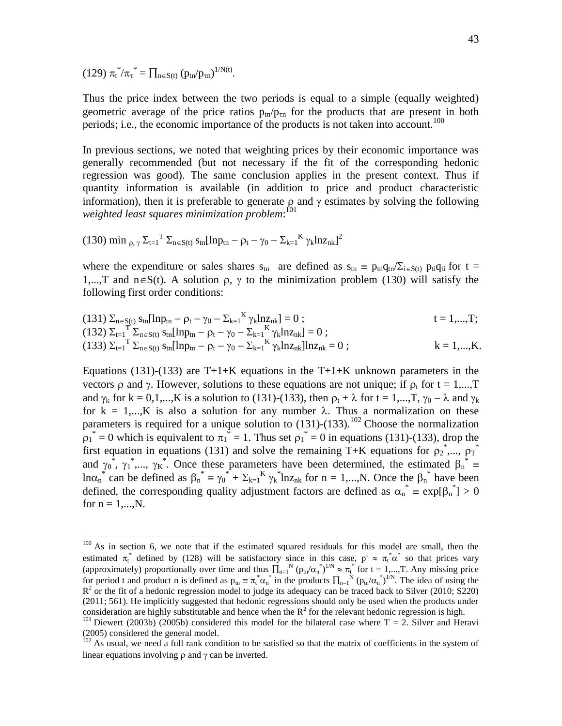(129)  $\pi_t^* / \pi_\tau^* = \prod_{n \in S(t)} (p_{tn}/p_{tn})^{1/N(t)}.$ 

 $\overline{a}$ 

Thus the price index between the two periods is equal to a simple (equally weighted) geometric average of the price ratios  $p_{tn}/p_{tn}$  for the products that are present in both periods; i.e., the economic importance of the products is not taken into account.<sup>100</sup>

In previous sections, we noted that weighting prices by their economic importance was generally recommended (but not necessary if the fit of the corresponding hedonic regression was good). The same conclusion applies in the present context. Thus if quantity information is available (in addition to price and product characteristic information), then it is preferable to generate  $\rho$  and  $\gamma$  estimates by solving the following *weighted least squares minimization problem*: 101

(130) min 
$$
\rho
$$
,  $\gamma \Sigma_{t=1}^T \Sigma_{n \in S(t)} s_{tn} [lnp_{tn} - \rho_t - \gamma_0 - \Sigma_{k=1}^K \gamma_k lnz_{nk}]^2$ 

where the expenditure or sales shares  $s_{tn}$  are defined as  $s_{tn} \equiv p_{tn}q_{tn}/\Sigma_{i \in S(t)} p_{ti}q_{ti}$  for  $t =$ 1,...,T and  $n \in S(t)$ . A solution  $\rho$ ,  $\gamma$  to the minimization problem (130) will satisfy the following first order conditions:

(131) 
$$
\Sigma_{n \in S(t)} s_{tn}[\ln p_{tn} - \rho_t - \gamma_0 - \Sigma_{k=1}^K \gamma_k \ln z_{nk}] = 0;
$$
   
\n(132)  $\Sigma_{t=1}^T \Sigma_{n \in S(t)} s_{tn}[\ln p_{tn} - \rho_t - \gamma_0 - \Sigma_{k=1}^K \gamma_k \ln z_{nk}] = 0;$    
\n(133)  $\Sigma_{t=1}^T \Sigma_{n \in S(t)} s_{tn}[\ln p_{tn} - \rho_t - \gamma_0 - \Sigma_{k=1}^K \gamma_k \ln z_{nk}] \ln z_{nk} = 0;$    
\n $k = 1,...,K.$ 

Equations (131)-(133) are T+1+K equations in the T+1+K unknown parameters in the vectors  $\rho$  and  $\gamma$ . However, solutions to these equations are not unique; if  $\rho_t$  for  $t = 1,...,T$ and  $\gamma_k$  for  $k = 0,1,...,K$  is a solution to (131)-(133), then  $\rho_t + \lambda$  for  $t = 1,...,T$ ,  $\gamma_0 - \lambda$  and  $\gamma_k$ for  $k = 1,...,K$  is also a solution for any number  $\lambda$ . Thus a normalization on these parameters is required for a unique solution to  $(131)-(133)$ .<sup>102</sup> Choose the normalization  $p_1^* = 0$  which is equivalent to  $\pi_1^* = 1$ . Thus set  $p_1^* = 0$  in equations (131)-(133), drop the first equation in equations (131) and solve the remaining T+K equations for  $\rho_2^*$ ,...,  $\rho_T^*$ and  $\gamma_0^*$ ,  $\gamma_1^*$ ,...,  $\gamma_K^*$ . Once these parameters have been determined, the estimated  $\beta_n^*$  $ln \alpha_n^*$  can be defined as  $\beta_n^* = \gamma_0^* + \sum_{k=1}^K \gamma_k^* ln z_{nk}$  for  $n = 1,...,N$ . Once the  $\beta_n^*$  have been defined, the corresponding quality adjustment factors are defined as  $\alpha_n^* = \exp[\beta_n^*] > 0$ for  $n = 1,...,N$ .

<sup>&</sup>lt;sup>100</sup> As in section 6, we note that if the estimated squared residuals for this model are small, then the estimated  $\pi_t^*$  defined by (128) will be satisfactory since in this case,  $p^t \approx \pi_t^* \alpha^*$  so that prices vary (approximately) proportionally over time and thus  $\prod_{n=1}^{N} (p_{tn}/\alpha_n^*)^{1/N} \approx \pi_t^*$  for  $t = 1,...,T$ . Any missing price for period t and product n is defined as  $p_{tn} = \pi_t^* \alpha_n^*$  in the products  $\prod_{n=1}^N (p_{tn}/\alpha_n^*)^{1/N}$ . The idea of using the  $R^2$  or the fit of a hedonic regression model to judge its adequacy can be traced back to Silver (2010; S220) (2011; 561). He implicitly suggested that hedonic regressions should only be used when the products under consideration are highly substitutable and hence when the  $R^2$  for the relevant hedonic regression is high.

<sup>&</sup>lt;sup>101</sup> Diewert (2003b) (2005b) considered this model for the bilateral case where T = 2. Silver and Heravi (2005) considered the general model.

 $102$  As usual, we need a full rank condition to be satisfied so that the matrix of coefficients in the system of linear equations involving  $\rho$  and  $\gamma$  can be inverted.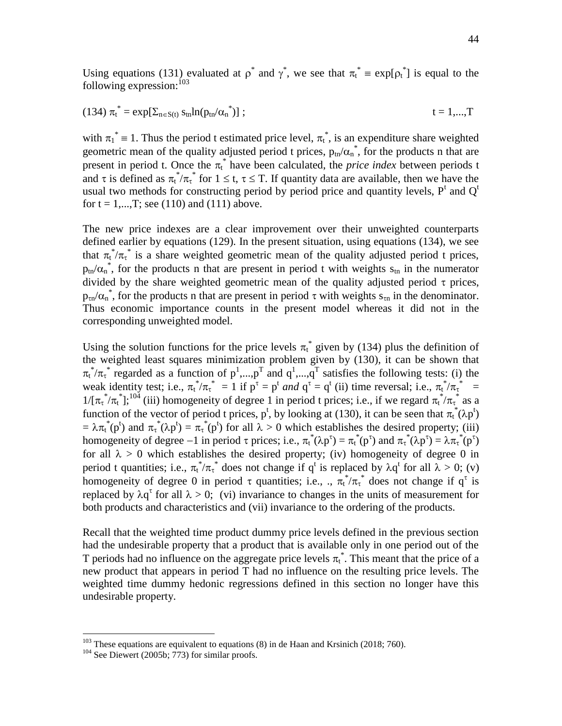Using equations (131) evaluated at  $\rho^*$  and  $\gamma^*$ , we see that  $\pi_t^* = \exp[\rho_t^*]$  is equal to the following expression:  $103$ 

(134) 
$$
\pi_t^* = \exp[\Sigma_{n \in S(t)} s_{tn} ln(p_{tn} / \alpha_n^*)]
$$
 ;  $t = 1,...,T$ 

with  $\pi_1^* = 1$ . Thus the period t estimated price level,  $\pi_t^*$ , is an expenditure share weighted geometric mean of the quality adjusted period t prices,  $p_{tn}/\alpha_n^*$ , for the products n that are present in period t. Once the  $\pi_t^*$  have been calculated, the *price index* between periods t and  $\tau$  is defined as  $\pi_t^*/\pi_t^*$  for  $1 \le t$ ,  $\tau \le T$ . If quantity data are available, then we have the usual two methods for constructing period by period price and quantity levels,  $P<sup>t</sup>$  and  $Q<sup>t</sup>$ for  $t = 1,...,T$ ; see (110) and (111) above.

The new price indexes are a clear improvement over their unweighted counterparts defined earlier by equations (129). In the present situation, using equations (134), we see that  $\pi_t^* / \pi_t^*$  is a share weighted geometric mean of the quality adjusted period t prices,  $p_{tn}/\alpha_n^*$ , for the products n that are present in period t with weights  $s_{tn}$  in the numerator divided by the share weighted geometric mean of the quality adjusted period  $\tau$  prices,  $p_{\text{tn}}/\alpha_n^*$ , for the products n that are present in period  $\tau$  with weights  $s_{\tau n}$  in the denominator. Thus economic importance counts in the present model whereas it did not in the corresponding unweighted model.

Using the solution functions for the price levels  $\pi_t^*$  given by (134) plus the definition of the weighted least squares minimization problem given by (130), it can be shown that  $\pi_t^* / \pi_{\tau}^*$  regarded as a function of  $p^1,...,p^T$  and  $q^1,...,q^T$  satisfies the following tests: (i) the weak identity test; i.e.,  $\pi_t^* / \pi_{\tau}^* = 1$  if  $p^{\tau} = p^t$  *and*  $q^{\tau} = q^t$  (ii) time reversal; i.e.,  $\pi_t^* / \pi_{\tau}^* =$  $1/[\pi_\tau^* / \pi_t^*]$ ;<sup>104</sup> (iii) homogeneity of degree 1 in period t prices; i.e., if we regard  $\pi_t^* / \pi_\tau^*$  as a function of the vector of period t prices, p<sup>t</sup>, by looking at (130), it can be seen that  $\pi_t^*(\lambda p^t)$  $= \lambda \pi_t^*(p^t)$  and  $\pi_t^*(\lambda p^t) = \pi_t^*(p^t)$  for all  $\lambda > 0$  which establishes the desired property; (iii) homogeneity of degree  $-1$  in period  $\tau$  prices; i.e.,  $\pi_t^*(\lambda p^{\tau}) = \pi_t^*(p^{\tau})$  and  $\pi_t^*(\lambda p^{\tau}) = \lambda \pi_t^*(p^{\tau})$ for all  $\lambda > 0$  which establishes the desired property; (iv) homogeneity of degree 0 in period t quantities; i.e.,  $\pi_t^* / \pi_\tau^*$  does not change if  $q^t$  is replaced by  $\lambda q^t$  for all  $\lambda > 0$ ; (v) homogeneity of degree 0 in period  $\tau$  quantities; i.e., .,  $\pi_t^* / \pi_t^*$  does not change if  $q^{\tau}$  is replaced by  $\lambda q^{\tau}$  for all  $\lambda > 0$ ; (vi) invariance to changes in the units of measurement for both products and characteristics and (vii) invariance to the ordering of the products.

Recall that the weighted time product dummy price levels defined in the previous section had the undesirable property that a product that is available only in one period out of the T periods had no influence on the aggregate price levels  $\pi_t^*$ . This meant that the price of a new product that appears in period T had no influence on the resulting price levels. The weighted time dummy hedonic regressions defined in this section no longer have this undesirable property.

 $103$  These equations are equivalent to equations (8) in de Haan and Krsinich (2018; 760).

 $104$  See Diewert (2005b; 773) for similar proofs.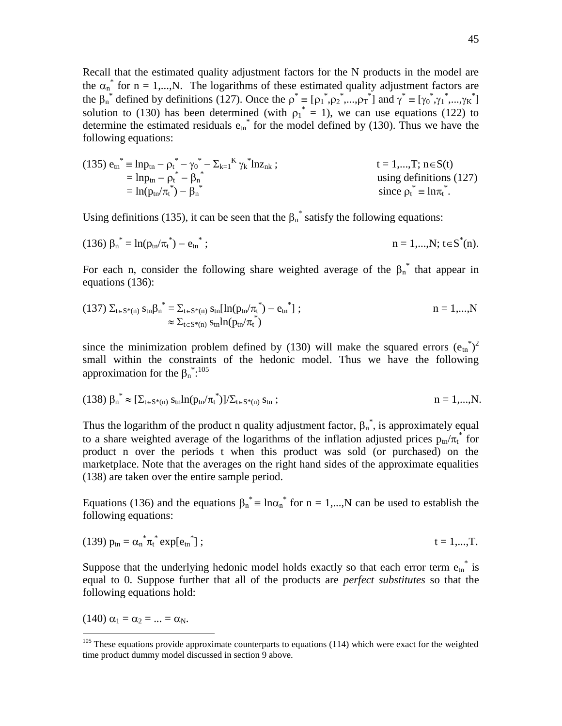Recall that the estimated quality adjustment factors for the N products in the model are the  $\alpha_n^*$  for n = 1,...,N. The logarithms of these estimated quality adjustment factors are the  $\beta_n^*$  defined by definitions (127). Once the  $\rho^* = [\rho_1^*, \rho_2^*, ..., \rho_T^*]$  and  $\gamma^* = [\gamma_0^*, \gamma_1^*, ..., \gamma_K^*]$ solution to (130) has been determined (with  $\rho_1^* = 1$ ), we can use equations (122) to determine the estimated residuals  $e_{tn}^*$  for the model defined by (130). Thus we have the following equations:

(135) 
$$
e_{tn}^* = \ln p_{tn} - \rho_t^* - \gamma_0^* - \sum_{k=1}^K \gamma_k^* \ln z_{nk}
$$
;  
\t\t\t\t $= \ln p_{tn} - \rho_t^* - \beta_n^*$   
\t\t\t\t $= 1,...,T; n \in S(t)$   
\t\t\t $= 1,...,T; n \in S(t)$   
\t\t\t $= 1,...,T; n \in S(t)$   
\t\t\t $= 1,...,T; n \in S(t)$   
\t\t\t $= 1,...,T; n \in S(t)$   
\t\t\t $= 1,...,T; n \in S(t)$   
\t\t\t $= 1,...,T; n \in S(t)$   
\t\t\t $= 1,...,T; n \in S(t)$   
\t\t\t $= 1,...,T; n \in S(t)$   
\t\t\t $= 1,...,T; n \in S(t)$ 

Using definitions (135), it can be seen that the  $\beta_n^*$  satisfy the following equations:

(136) 
$$
\beta_n^* = \ln(p_{tn}/\pi_t^*) - e_{tn}^*
$$
;  $n = 1,...,N; t \in S^*(n)$ .

For each n, consider the following share weighted average of the  $\beta_n^*$  that appear in equations (136):

(137) 
$$
\Sigma_{t \in S^*(n)} s_{tn} \beta_n^* = \Sigma_{t \in S^*(n)} s_{tn} [\ln(p_{tn}/\pi_t^*) - e_{tn}^*];
$$
   
  $n = 1,...,N$    
  $\approx \Sigma_{t \in S^*(n)} s_{tn} \ln(p_{tn}/\pi_t^*)$ 

since the minimization problem defined by (130) will make the squared errors  $(e_{tn}^*)^2$ small within the constraints of the hedonic model. Thus we have the following approximation for the  $\beta_n$ <sup>\*</sup>:<sup>105</sup>

(138) 
$$
\beta_n^* \approx [\Sigma_{t \in S^*(n)} s_{tn} ln(p_{tn}/\pi_t^*)] / \Sigma_{t \in S^*(n)} s_{tn};
$$
   
  $n = 1,...,N.$ 

Thus the logarithm of the product n quality adjustment factor,  $\beta_n^*$ , is approximately equal to a share weighted average of the logarithms of the inflation adjusted prices  $p_{tn}/\pi_t^*$  for product n over the periods t when this product was sold (or purchased) on the marketplace. Note that the averages on the right hand sides of the approximate equalities (138) are taken over the entire sample period.

Equations (136) and the equations  $\beta_n^* = \ln \alpha_n^*$  for  $n = 1,...,N$  can be used to establish the following equations:

(139) 
$$
p_{\text{tn}} = \alpha_{\text{n}}^* \pi_t^* \exp[e_{\text{tn}}^*];
$$
  $t = 1,...,T.$ 

Suppose that the underlying hedonic model holds exactly so that each error term  $e_{tn}^*$  is equal to 0. Suppose further that all of the products are *perfect substitutes* so that the following equations hold:

(140)  $\alpha_1 = \alpha_2 = ... = \alpha_N$ .

 $105$  These equations provide approximate counterparts to equations (114) which were exact for the weighted time product dummy model discussed in section 9 above.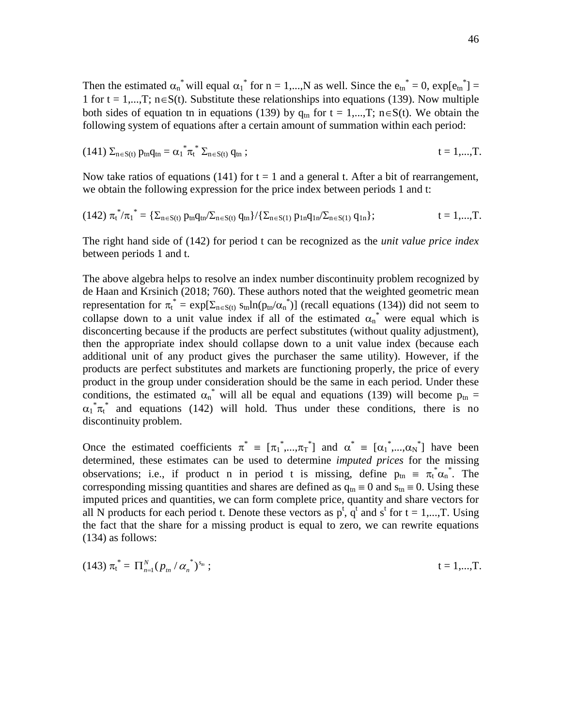Then the estimated  $\alpha_n^*$  will equal  $\alpha_1^*$  for  $n = 1,...,N$  as well. Since the  $e_n^* = 0$ ,  $\exp[e_{tn}^*] =$ 1 for  $t = 1,...,T$ ;  $n \in S(t)$ . Substitute these relationships into equations (139). Now multiple both sides of equation tn in equations (139) by  $q_{tn}$  for  $t = 1,...,T$ ;  $n \in S(t)$ . We obtain the following system of equations after a certain amount of summation within each period:

(141) 
$$
\Sigma_{n \in S(t)}
$$
  $p_{tn}q_{tn} = \alpha_1^* \pi_t^* \Sigma_{n \in S(t)}$   $q_{tn}$ ;  $t = 1,...,T$ .

Now take ratios of equations (141) for  $t = 1$  and a general t. After a bit of rearrangement, we obtain the following expression for the price index between periods 1 and t:

$$
(142) \ {\pi_t^*}'/{\pi_1}^* = \{ \Sigma_{n \in S(t)} \ p_{tn} q_{tn} / \Sigma_{n \in S(t)} \ q_{tn} \} / \{ \Sigma_{n \in S(1)} \ p_{1n} q_{1n} / \Sigma_{n \in S(1)} \ q_{1n} \}; \qquad \qquad t = 1,...,T.
$$

The right hand side of (142) for period t can be recognized as the *unit value price index* between periods 1 and t.

The above algebra helps to resolve an index number discontinuity problem recognized by de Haan and Krsinich (2018; 760). These authors noted that the weighted geometric mean representation for  $\pi_t^* = \exp[\Sigma_{n \in S(t)} s_{tn} ln(p_{tn} / \alpha_n^*)]$  (recall equations (134)) did not seem to collapse down to a unit value index if all of the estimated  $\alpha_n^*$  were equal which is disconcerting because if the products are perfect substitutes (without quality adjustment), then the appropriate index should collapse down to a unit value index (because each additional unit of any product gives the purchaser the same utility). However, if the products are perfect substitutes and markets are functioning properly, the price of every product in the group under consideration should be the same in each period. Under these conditions, the estimated  $\alpha_n^*$  will all be equal and equations (139) will become  $p_{tn} =$  $\alpha_1^* \pi_t^*$  and equations (142) will hold. Thus under these conditions, there is no discontinuity problem.

Once the estimated coefficients  $\pi^* = [\pi_1^*,...,\pi_T^*]$  and  $\alpha^* = [\alpha_1^*,...,\alpha_N^*]$  have been determined, these estimates can be used to determine *imputed prices* for the missing observations; i.e., if product n in period t is missing, define  $p_{tn} = \pi_t^* \alpha_n^*$ . The corresponding missing quantities and shares are defined as  $q_m \equiv 0$  and  $s_m \equiv 0$ . Using these imputed prices and quantities, we can form complete price, quantity and share vectors for all N products for each period t. Denote these vectors as  $p^t$ ,  $q^t$  and  $s^t$  for  $t = 1,...,T$ . Using the fact that the share for a missing product is equal to zero, we can rewrite equations (134) as follows:

(143) 
$$
\pi_t^* = \Pi_{n=1}^N (p_m / \alpha_n^*)^{s_n}
$$
;  $t = 1,...,T$ .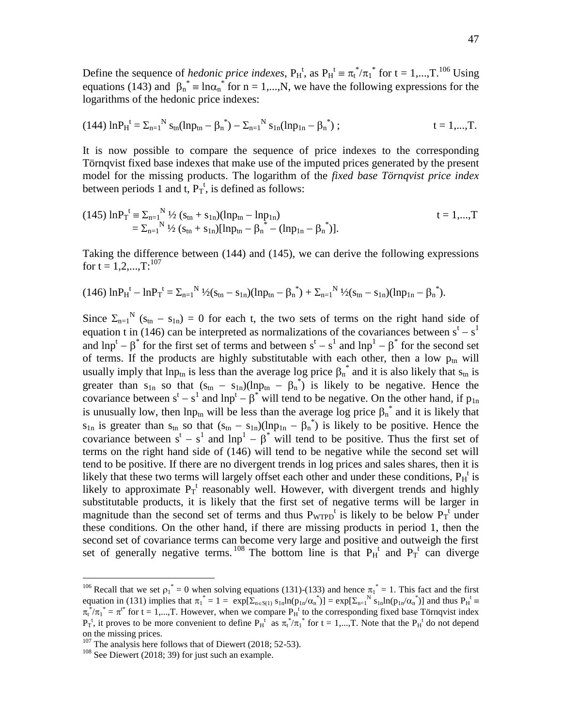Define the sequence of *hedonic price indexes*,  $P_H^t$ , as  $P_H^t \equiv \pi_t^* / \pi_1^*$  for  $t = 1,...,T$ .<sup>106</sup> Using equations (143) and  $\beta_n^* = \ln \alpha_n^*$  for  $n = 1,...,N$ , we have the following expressions for the logarithms of the hedonic price indexes:

$$
(144) \ln P_H^t = \Sigma_{n=1}^N s_{tn} (\ln p_{tn} - \beta_n^*) - \Sigma_{n=1}^N s_{1n} (\ln p_{1n} - \beta_n^*) ; \qquad t = 1,...,T.
$$

It is now possible to compare the sequence of price indexes to the corresponding Törnqvist fixed base indexes that make use of the imputed prices generated by the present model for the missing products. The logarithm of the *fixed base Törnqvist price index* between periods 1 and  $\tilde{t}$ ,  $P_T^t$ , is defined as follows:

(145) 
$$
\ln P_T^t = \sum_{n=1}^N \frac{1}{2} (s_{tn} + s_{1n})(\ln p_{tn} - \ln p_{1n})
$$
  
=  $\sum_{n=1}^N \frac{1}{2} (s_{tn} + s_{1n})(\ln p_{tn} - \beta_n^* - (\ln p_{1n} - \beta_n^*)$ .

Taking the difference between (144) and (145), we can derive the following expressions for t =  $1, 2, ..., T:$ <sup>107</sup>

$$
(146)\ \ln P_H^{\ t} - \ln P_T^{\ t} = \Sigma_{n=1}^N \sqrt[12]{(s_{tn} - s_{1n})(\ln p_{tn} - \beta_n^*)} + \Sigma_{n=1}^N \sqrt[12]{(s_{tn} - s_{1n})(\ln p_{1n} - \beta_n^*)}.
$$

Since  $\Sigma_{n=1}^{N}$  (s<sub>tn</sub> - s<sub>1n</sub>) = 0 for each t, the two sets of terms on the right hand side of equation t in (146) can be interpreted as normalizations of the covariances between  $s<sup>t</sup> - s<sup>1</sup>$ and  $lnp^{t} - \beta^{*}$  for the first set of terms and between  $s^{t} - s^{1}$  and  $lnp^{1} - \beta^{*}$  for the second set of terms. If the products are highly substitutable with each other, then a low  $p_{tn}$  will usually imply that lnp<sub>tn</sub> is less than the average log price  $\beta_n^*$  and it is also likely that s<sub>tn</sub> is greater than  $s_{1n}$  so that  $(s_{tn} - s_{1n})(ln p_{tn} - \beta_n^*)$  is likely to be negative. Hence the covariance between  $s^t - s^1$  and  $\text{lnp}^t - \beta^*$  will tend to be negative. On the other hand, if  $p_{1n}$ is unusually low, then lnp<sub>tn</sub> will be less than the average log price  $\beta_n^*$  and it is likely that  $s_{1n}$  is greater than  $s_{tn}$  so that  $(s_{tn} - s_{1n})(lnp_{1n} - \beta_n^*)$  is likely to be positive. Hence the covariance between  $s^t - s^1$  and  $\text{lnp}^1 - \beta^*$  will tend to be positive. Thus the first set of terms on the right hand side of (146) will tend to be negative while the second set will tend to be positive. If there are no divergent trends in log prices and sales shares, then it is likely that these two terms will largely offset each other and under these conditions,  $P_H^t$  is likely to approximate  $P_T^t$  reasonably well. However, with divergent trends and highly substitutable products, it is likely that the first set of negative terms will be larger in magnitude than the second set of terms and thus  $P_{WTPD}^t$  is likely to be below  $P_T^t$  under these conditions. On the other hand, if there are missing products in period 1, then the second set of covariance terms can become very large and positive and outweigh the first set of generally negative terms.  $^{108}$  The bottom line is that  $P_H^t$  and  $P_T^t$  can diverge

<sup>&</sup>lt;sup>106</sup> Recall that we set  $\rho_1^* = 0$  when solving equations (131)-(133) and hence  $\pi_1^* = 1$ . This fact and the first equation in (131) implies that  $\pi_1^* = 1 = \exp[\sum_{n \in S(1)} s_{1n} \ln(p_{1n}/\alpha_n^*)] = \exp[\sum_{n=1}^N s_{1n} \ln(p_{1n}/\alpha_n^*)]$  and thus  $P_H^t =$  $\pi_t^* / \pi_1^* = \pi^{t^*}$  for t = 1,..., T. However, when we compare  $P_H^t$  to the corresponding fixed base Törnqvist index  $P_T^t$ , it proves to be more convenient to define  $P_H^t$  as  $\pi_t^* / \pi_1^*$  for  $t = 1,...,T$ . Note that the  $P_H^t$  do not depend on the missing prices.

 $107$  The analysis here follows that of Diewert (2018; 52-53).

 $108$  See Diewert (2018; 39) for just such an example.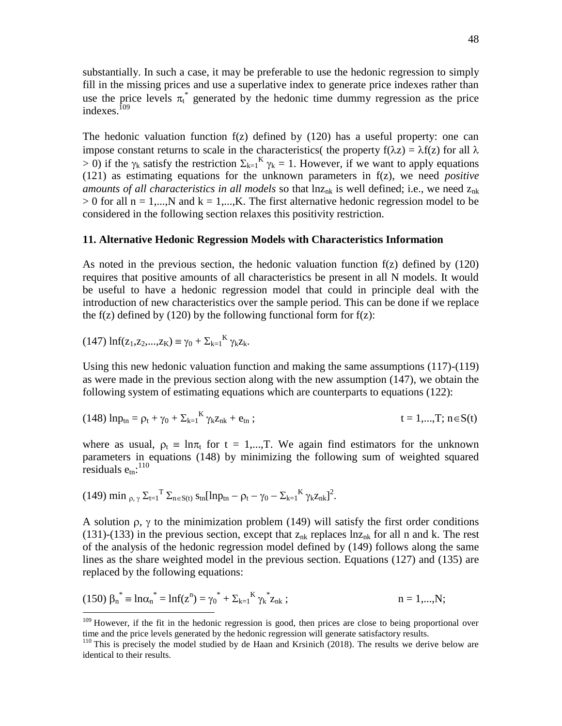substantially. In such a case, it may be preferable to use the hedonic regression to simply fill in the missing prices and use a superlative index to generate price indexes rather than use the price levels  $\pi_t^*$  generated by the hedonic time dummy regression as the price indexes. $10<sup>9</sup>$ 

The hedonic valuation function  $f(z)$  defined by  $(120)$  has a useful property: one can impose constant returns to scale in the characteristics( the property  $f(\lambda z) = \lambda f(z)$  for all  $\lambda$  $> 0$ ) if the  $\gamma_k$  satisfy the restriction  $\Sigma_{k=1}^K \gamma_k = 1$ . However, if we want to apply equations (121) as estimating equations for the unknown parameters in f(z), we need *positive amounts of all characteristics in all models* so that  $ln z_{nk}$  is well defined; i.e., we need  $z_{nk}$  $> 0$  for all n = 1,...,N and k = 1,...,K. The first alternative hedonic regression model to be considered in the following section relaxes this positivity restriction.

#### **11. Alternative Hedonic Regression Models with Characteristics Information**

As noted in the previous section, the hedonic valuation function f(z) defined by (120) requires that positive amounts of all characteristics be present in all N models. It would be useful to have a hedonic regression model that could in principle deal with the introduction of new characteristics over the sample period. This can be done if we replace the f(z) defined by (120) by the following functional form for  $f(z)$ :

$$
(147)\,\ln\!f(z_1,z_2,...,z_K)\equiv \gamma_0+\Sigma_{k=1}^K\,\gamma_k z_k.
$$

Using this new hedonic valuation function and making the same assumptions (117)-(119) as were made in the previous section along with the new assumption (147), we obtain the following system of estimating equations which are counterparts to equations (122):

(148) 
$$
ln p_{tn} = p_t + \gamma_0 + \sum_{k=1}^{K} \gamma_k z_{nk} + e_{tn}
$$
;  $t = 1,...,T; n \in S(t)$ 

where as usual,  $\rho_t = \ln \pi_t$  for  $t = 1,...,T$ . We again find estimators for the unknown parameters in equations (148) by minimizing the following sum of weighted squared  $r_{\text{residuals}} e_{\text{tn}}$ :<sup>110</sup>

(149) min 
$$
\rho
$$
,  $\gamma \Sigma_{t=1}^T \Sigma_{n \in S(t)} s_{tn} [ln p_{tn} - p_t - \gamma_0 - \Sigma_{k=1}^K \gamma_k z_{nk}]^2$ .

A solution  $\rho$ ,  $\gamma$  to the minimization problem (149) will satisfy the first order conditions (131)-(133) in the previous section, except that  $z_{nk}$  replaces  $ln z_{nk}$  for all n and k. The rest of the analysis of the hedonic regression model defined by (149) follows along the same lines as the share weighted model in the previous section. Equations (127) and (135) are replaced by the following equations:

(150) 
$$
\beta_n^* = \ln \alpha_n^* = \ln f(z^n) = \gamma_0^* + \sum_{k=1}^K \gamma_k^* z_{nk}
$$
;   
  $n = 1,...,N;$ 

<sup>&</sup>lt;sup>109</sup> However, if the fit in the hedonic regression is good, then prices are close to being proportional over time and the price levels generated by the hedonic regression will generate satisfactory results.

<sup>&</sup>lt;sup>110</sup> This is precisely the model studied by de Haan and Krsinich (2018). The results we derive below are identical to their results.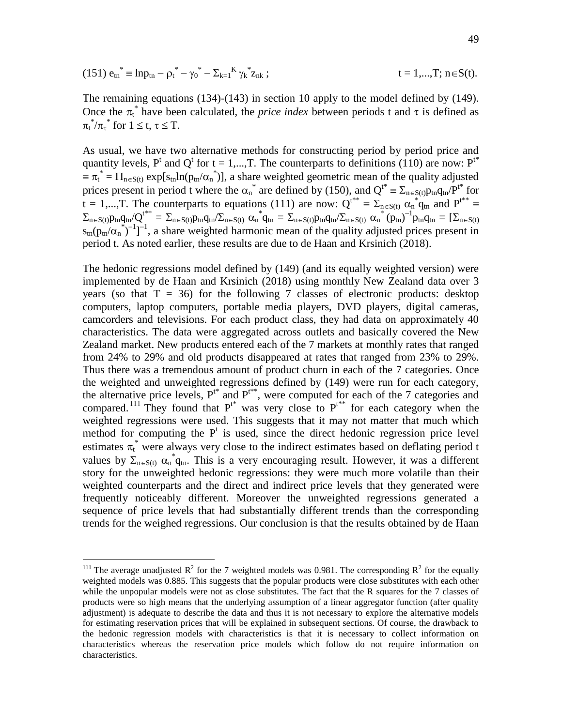(151) 
$$
e_{tn}^* = lnp_{tn} - \rho_t^* - \gamma_0^* - \sum_{k=1}^K \gamma_k^* z_{nk}
$$
;  $t = 1,...,T; n \in S(t)$ .

The remaining equations (134)-(143) in section 10 apply to the model defined by (149). Once the  $\pi_t^*$  have been calculated, the *price index* between periods t and  $\tau$  is defined as  $\pi_t^*/\pi_{\tau}^*$  for  $1 \leq t, \tau \leq T$ .

As usual, we have two alternative methods for constructing period by period price and quantity levels,  $P^t$  and  $Q^t$  for  $t = 1,...,T$ . The counterparts to definitions (110) are now:  $P^{t*}$  $\equiv \pi_t^* = \prod_{n \in S(t)} exp[s_{tn} ln(p_{tn}/\alpha_n^*)]$ , a share weighted geometric mean of the quality adjusted prices present in period t where the  $\alpha_n^*$  are defined by (150), and  $Q^{t^*} = \sum_{n \in S(t)} p_{tn} q_{tn} P^{t^*}$  for  $t = 1,...,T$ . The counterparts to equations (111) are now:  $Q^{t^{**}} \equiv \sum_{n \in S(t)} \alpha_n^* q_{tn}^*$  and  $P^{t^{**}} \equiv$  $\Sigma_{\rm n\in S(t)}p_{\rm tn}q_{\rm tn}/Q^{\rm t^{**}}=\Sigma_{\rm n\in S(t)}p_{\rm tn}q_{\rm tn}/\Sigma_{\rm n\in S(t)}\alpha_{\rm n}^*q_{\rm tn}=\Sigma_{\rm n\in S(t)}p_{\rm tn}q_{\rm tn}/\Sigma_{\rm n\in S(t)}\alpha_{\rm n}^*(p_{\rm tn})^{-1}p_{\rm tn}q_{\rm tn}=[\Sigma_{\rm n\in S(t)}p_{\rm tn}/\Sigma_{\rm n\in S(t)}q_{\rm nc}]$  $s_{tn}(p_{tn}/\alpha_n^{\ast})^{-1}]^{-1}$ , a share weighted harmonic mean of the quality adjusted prices present in period t. As noted earlier, these results are due to de Haan and Krsinich (2018).

The hedonic regressions model defined by (149) (and its equally weighted version) were implemented by de Haan and Krsinich (2018) using monthly New Zealand data over 3 years (so that  $T = 36$ ) for the following 7 classes of electronic products: desktop computers, laptop computers, portable media players, DVD players, digital cameras, camcorders and televisions. For each product class, they had data on approximately 40 characteristics. The data were aggregated across outlets and basically covered the New Zealand market. New products entered each of the 7 markets at monthly rates that ranged from 24% to 29% and old products disappeared at rates that ranged from 23% to 29%. Thus there was a tremendous amount of product churn in each of the 7 categories. Once the weighted and unweighted regressions defined by (149) were run for each category, the alternative price levels,  $P^{t*}$  and  $P^{t**}$ , were computed for each of the 7 categories and compared.<sup>111</sup> They found that  $P^{t*}$  was very close to  $P^{t**}$  for each category when the weighted regressions were used. This suggests that it may not matter that much which method for computing the  $P<sup>t</sup>$  is used, since the direct hedonic regression price level estimates  $\pi_t^*$  were always very close to the indirect estimates based on deflating period t values by  $\Sigma_{n\in S(t)} \alpha_n^* q_{tn}$ . This is a very encouraging result. However, it was a different story for the unweighted hedonic regressions: they were much more volatile than their weighted counterparts and the direct and indirect price levels that they generated were frequently noticeably different. Moreover the unweighted regressions generated a sequence of price levels that had substantially different trends than the corresponding trends for the weighed regressions. Our conclusion is that the results obtained by de Haan

<sup>&</sup>lt;sup>111</sup> The average unadjusted  $R^2$  for the 7 weighted models was 0.981. The corresponding  $R^2$  for the equally weighted models was 0.885. This suggests that the popular products were close substitutes with each other while the unpopular models were not as close substitutes. The fact that the R squares for the 7 classes of products were so high means that the underlying assumption of a linear aggregator function (after quality adjustment) is adequate to describe the data and thus it is not necessary to explore the alternative models for estimating reservation prices that will be explained in subsequent sections. Of course, the drawback to the hedonic regression models with characteristics is that it is necessary to collect information on characteristics whereas the reservation price models which follow do not require information on characteristics.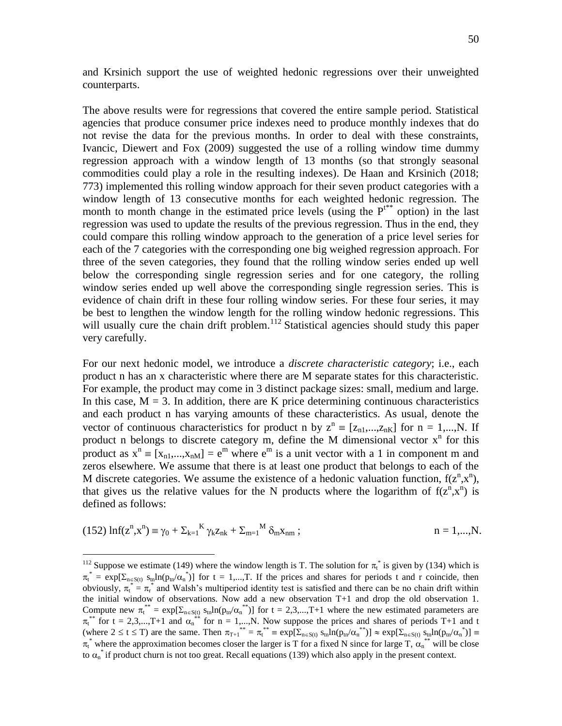and Krsinich support the use of weighted hedonic regressions over their unweighted counterparts.

The above results were for regressions that covered the entire sample period. Statistical agencies that produce consumer price indexes need to produce monthly indexes that do not revise the data for the previous months. In order to deal with these constraints, Ivancic, Diewert and Fox (2009) suggested the use of a rolling window time dummy regression approach with a window length of 13 months (so that strongly seasonal commodities could play a role in the resulting indexes). De Haan and Krsinich (2018; 773) implemented this rolling window approach for their seven product categories with a window length of 13 consecutive months for each weighted hedonic regression. The month to month change in the estimated price levels (using the  $P<sup>tr</sup>$  option) in the last regression was used to update the results of the previous regression. Thus in the end, they could compare this rolling window approach to the generation of a price level series for each of the 7 categories with the corresponding one big weighed regression approach. For three of the seven categories, they found that the rolling window series ended up well below the corresponding single regression series and for one category, the rolling window series ended up well above the corresponding single regression series. This is evidence of chain drift in these four rolling window series. For these four series, it may be best to lengthen the window length for the rolling window hedonic regressions. This will usually cure the chain drift problem.<sup>112</sup> Statistical agencies should study this paper very carefully.

For our next hedonic model, we introduce a *discrete characteristic category*; i.e., each product n has an x characteristic where there are M separate states for this characteristic. For example, the product may come in 3 distinct package sizes: small, medium and large. In this case,  $M = 3$ . In addition, there are K price determining continuous characteristics and each product n has varying amounts of these characteristics. As usual, denote the vector of continuous characteristics for product n by  $z^n = [z_{n1},...,z_{nK}]$  for  $n = 1,...,N$ . If product n belongs to discrete category m, define the M dimensional vector  $x^n$  for this product as  $x^n = [x_{n1},...,x_{nM}] = e^m$  where  $e^m$  is a unit vector with a 1 in component m and zeros elsewhere. We assume that there is at least one product that belongs to each of the M discrete categories. We assume the existence of a hedonic valuation function,  $f(z^n, x^n)$ , that gives us the relative values for the N products where the logarithm of  $f(z^n, x^n)$  is defined as follows:

(152) 
$$
\ln f(z^n, x^n) \equiv \gamma_0 + \sum_{k=1}^{K} \gamma_k z_{nk} + \sum_{m=1}^{M} \delta_m x_{nm}
$$
;   
  $n = 1,...,N.$ 

<sup>&</sup>lt;sup>112</sup> Suppose we estimate (149) where the window length is T. The solution for  $\pi_t^*$  is given by (134) which is  $\pi_t^* = \exp[\Sigma_{n \in S(t)} s_{tn} \ln(p_{tn}/\alpha_n^*)]$  for  $t = 1,...,T$ . If the prices and shares for periods t and r coincide, then obviously,  $\pi_t^* = \pi_r^*$  and Walsh's multiperiod identity test is satisfied and there can be no chain drift within the initial window of observations. Now add a new observation T+1 and drop the old observation 1. Compute new  $\pi_t^{**} = \exp[\sum_{n \in S(t)} s_{tn} ln(p_{tn}/\alpha_n^{**})]$  for  $t = 2,3,...,T+1$  where the new estimated parameters are  $\pi_t^{**}$  for t = 2,3,...,T+1 and  $\alpha_n^{**}$  for n = 1,...,N. Now suppose the prices and shares of periods T+1 and t (where  $2 \le t \le T$ ) are the same. Then  $\pi_{T+1}^{**} = \pi_t^{**} = \exp[\sum_{n \in S(t)} s_{tn} \ln(p_{tn}/\alpha_n^{**})] \approx \exp[\sum_{n \in S(t)} s_{tn} \ln(p_{tn}/\alpha_n^{*})] \equiv$  $\pi_t^*$  where the approximation becomes closer the larger is T for a fixed N since for large T,  $\alpha_n^{**}$  will be close to  $\alpha_n^*$  if product churn is not too great. Recall equations (139) which also apply in the present context.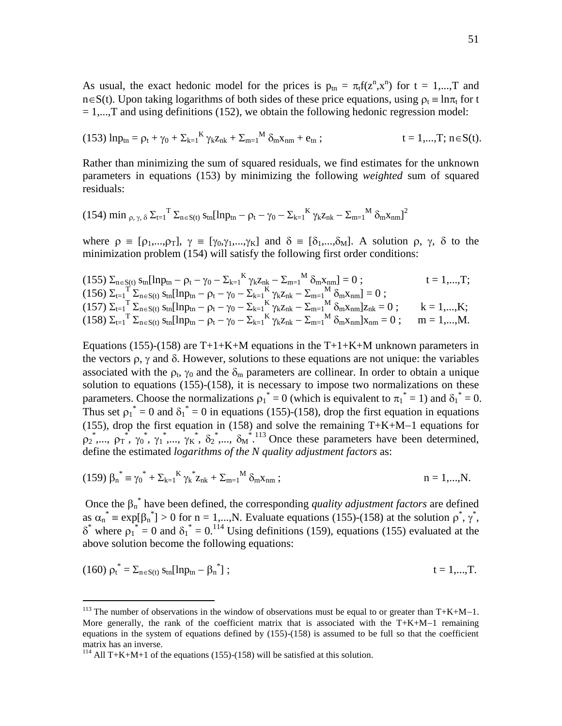As usual, the exact hedonic model for the prices is  $p_{tn} = \pi_t f(z^n, x^n)$  for  $t = 1,...,T$  and  $n\in S(t)$ . Upon taking logarithms of both sides of these price equations, using  $\rho_t = \ln \pi_t$  for t  $= 1,...,T$  and using definitions (152), we obtain the following hedonic regression model:

(153) 
$$
\ln p_{\text{tn}} = \rho_t + \gamma_0 + \sum_{k=1}^{K} \gamma_k z_{nk} + \sum_{m=1}^{M} \delta_m x_{nm} + e_{\text{tn}}
$$
;  $t = 1,...,T; n \in S(t)$ .

Rather than minimizing the sum of squared residuals, we find estimates for the unknown parameters in equations (153) by minimizing the following *weighted* sum of squared residuals:

$$
(154) \min\nolimits_{\rho, \, \gamma, \, \delta} \Sigma_{t=1}^{\phantom{1}}^{\phantom{1}}\Sigma_{n\in S(t)}\, s_{tn}[\ln p_{tn}-\rho_t-\gamma_0-\Sigma_{k=1}^{\phantom{1}}^{\phantom{1}} K\, \gamma_k z_{nk}-\Sigma_{m=1}^{\phantom{1}}^{\phantom{1}} M\, \delta_m x_{nm}]^2
$$

where  $\rho = [\rho_1,...,\rho_T], \gamma = [\gamma_0,\gamma_1,...,\gamma_K]$  and  $\delta = [\delta_1,...,\delta_M].$  A solution  $\rho, \gamma, \delta$  to the minimization problem (154) will satisfy the following first order conditions:

$$
\begin{array}{lll} & (155)\ \Sigma_{n\in S(t)}\ s_{tn}[\ln p_{tn} - \rho_t - \gamma_0 - \Sigma_{k=1}^K\gamma_k z_{nk} - \Sigma_{m=1}^M\delta_m x_{nm}] = 0\ ; & t = 1,...,T;\\ & & (156)\ \Sigma_{t=1}^T\ \Sigma_{n\in S(t)}\ s_{tn}[\ln p_{tn} - \rho_t - \gamma_0 - \Sigma_{k=1}^K\gamma_k z_{nk} - \Sigma_{m=1}^M\delta_m x_{nm}] = 0\ ; & (157)\ \Sigma_{t=1}^T\ \Sigma_{n\in S(t)}\ s_{tn}[\ln p_{tn} - \rho_t - \gamma_0 - \Sigma_{k=1}^K\gamma_k z_{nk} - \Sigma_{m=1}^M\delta_m x_{nm}]z_{nk} = 0\ ; & k = 1,...,K;\\ & & (158)\ \Sigma_{t=1}^T\ \Sigma_{n\in S(t)}\ s_{tn}[\ln p_{tn} - \rho_t - \gamma_0 - \Sigma_{k=1}^K\gamma_k z_{nk} - \Sigma_{m=1}^M\delta_m x_{nm}]x_{nm} = 0\ ; & m = 1,...,M.\end{array}
$$

Equations (155)-(158) are  $T+1+K+M$  equations in the  $T+1+K+M$  unknown parameters in the vectors  $\rho$ ,  $\gamma$  and  $\delta$ . However, solutions to these equations are not unique: the variables associated with the  $\rho_t$ ,  $\gamma_0$  and the  $\delta_m$  parameters are collinear. In order to obtain a unique solution to equations  $(155)-(158)$ , it is necessary to impose two normalizations on these parameters. Choose the normalizations  $\rho_1^* = 0$  (which is equivalent to  $\pi_1^* = 1$ ) and  $\delta_1^* = 0$ . Thus set  $\rho_1^* = 0$  and  $\delta_1^* = 0$  in equations (155)-(158), drop the first equation in equations (155), drop the first equation in (158) and solve the remaining  $T+K+M-1$  equations for  $\rho_2$ ,  $\rho_1$ ,  $\rho_1$ ,  $\gamma_0$ ,  $\gamma_1$ ,  $\gamma_2$ ,  $\gamma_3$ ,  $\gamma_5$ ,  $\delta_2$ ,  $\delta_3$ ,  $\delta_4$ ,  $\delta_5$ ,  $\delta_6$ ,  $\delta_7$ ,  $\delta_8$ ,  $\delta_8$ ,  $\delta_9$ ,  $\delta_9$ ,  $\delta_9$ ,  $\delta_9$ ,  $\delta_9$  arameters have been determined, define the estimated *logarithms of the N quality adjustment factors* as:

(159) 
$$
\beta_n^* = \gamma_0^* + \sum_{k=1}^K \gamma_k^* z_{nk} + \sum_{m=1}^M \delta_m x_{nm}
$$
;   
  $n = 1,...,N.$ 

Once the  $\beta_n^*$  have been defined, the corresponding *quality adjustment factors* are defined as  $\alpha_n^* \equiv \exp[\beta_n^*] > 0$  for  $n = 1,...,N$ . Evaluate equations (155)-(158) at the solution  $\rho^*, \gamma^*,$  $\delta^*$  where  $\rho_1^* = 0$  and  $\delta_1^* = 0$ .<sup>114</sup> Using definitions (159), equations (155) evaluated at the above solution become the following equations:

$$
(160) \rho_t^* = \sum_{n \in S(t)} s_{tn} [\ln p_{tn} - \beta_n^*]; \qquad t = 1,...,T.
$$

<sup>&</sup>lt;sup>113</sup> The number of observations in the window of observations must be equal to or greater than  $T+K+M-1$ . More generally, the rank of the coefficient matrix that is associated with the  $T+K+M-1$  remaining equations in the system of equations defined by (155)-(158) is assumed to be full so that the coefficient matrix has an inverse.

<sup>&</sup>lt;sup>114</sup> All T+K+M+1 of the equations (155)-(158) will be satisfied at this solution.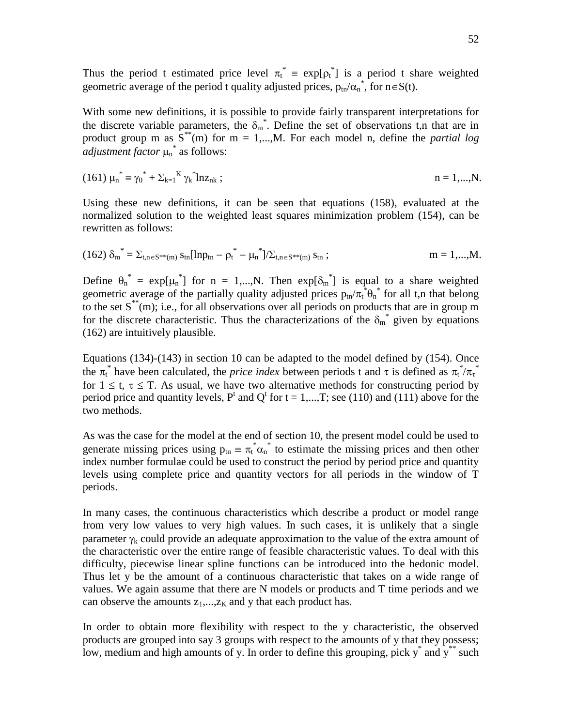Thus the period t estimated price level  $\pi_t^* = \exp[\rho_t^*]$  is a period t share weighted geometric average of the period t quality adjusted prices,  $p_{tn}/\alpha_n^*$ , for  $n \in S(t)$ .

With some new definitions, it is possible to provide fairly transparent interpretations for the discrete variable parameters, the  $\delta_m^*$ . Define the set of observations t,n that are in product group m as  $S^{**}(m)$  for  $m = 1,...,M$ . For each model n, define the *partial log adjustment factor*  $\mu_n^*$  as follows:

(161) 
$$
\mu_n^* = \gamma_0^* + \Sigma_{k=1}^K \gamma_k^* ln z_{nk}
$$
;   
  $n = 1,...,N.$ 

Using these new definitions, it can be seen that equations (158), evaluated at the normalized solution to the weighted least squares minimization problem (154), can be rewritten as follows:

$$
(162) \delta_m^* = \Sigma_{t,n \in S^{**}(m)} s_{tn} [\ln p_{tn} - {\rho_t}^* - {\mu_n}^*] / \Sigma_{t,n \in S^{**}(m)} s_{tn} ; \qquad m = 1,...,M.
$$

Define  $\theta_n^* = \exp[\mu_n^*]$  for n = 1,..., N. Then  $\exp[\delta_m^*]$  is equal to a share weighted geometric average of the partially quality adjusted prices  $p_{tn}/\pi_t^* \theta_n^*$  for all t,n that belong to the set  $S^*(m)$ ; i.e., for all observations over all periods on products that are in group m for the discrete characteristic. Thus the characterizations of the  $\delta_m^*$  given by equations (162) are intuitively plausible.

Equations (134)-(143) in section 10 can be adapted to the model defined by (154). Once the  $\pi_t^*$  have been calculated, the *price index* between periods t and  $\tau$  is defined as  $\pi_t^* / \pi_t^*$ for  $1 \le t$ ,  $\tau \le T$ . As usual, we have two alternative methods for constructing period by period price and quantity levels,  $P^t$  and  $Q^t$  for  $t = 1,...,T$ ; see (110) and (111) above for the two methods.

As was the case for the model at the end of section 10, the present model could be used to generate missing prices using  $p_{tn} = \pi_t^* \alpha_n^*$  to estimate the missing prices and then other index number formulae could be used to construct the period by period price and quantity levels using complete price and quantity vectors for all periods in the window of T periods.

In many cases, the continuous characteristics which describe a product or model range from very low values to very high values. In such cases, it is unlikely that a single parameter  $\gamma_k$  could provide an adequate approximation to the value of the extra amount of the characteristic over the entire range of feasible characteristic values. To deal with this difficulty, piecewise linear spline functions can be introduced into the hedonic model. Thus let y be the amount of a continuous characteristic that takes on a wide range of values. We again assume that there are N models or products and T time periods and we can observe the amounts  $z_1$ ,..., $z_k$  and y that each product has.

In order to obtain more flexibility with respect to the y characteristic, the observed products are grouped into say 3 groups with respect to the amounts of y that they possess; low, medium and high amounts of y. In order to define this grouping, pick  $y^*$  and  $y^*$  such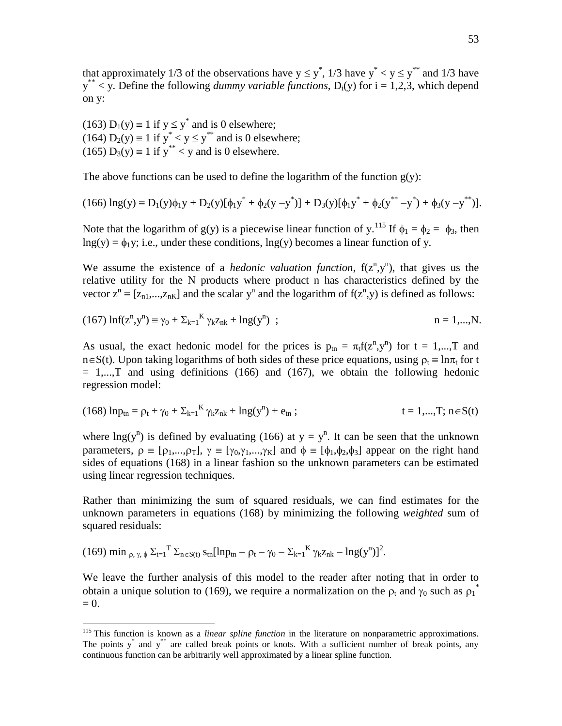that approximately 1/3 of the observations have  $y \le y^*$ , 1/3 have  $y^* < y \le y^{**}$  and 1/3 have  $y^*$  < y. Define the following *dummy variable functions*, D<sub>i</sub>(y) for i = 1,2,3, which depend on y:

(163)  $D_1(y) \equiv 1$  if  $y \le y^*$  and is 0 elsewhere; (164)  $D_2(y) \equiv 1$  if  $y^* < y \le y^{**}$  and is 0 elsewhere; (165)  $D_3(y) \equiv 1$  if  $y^{**} < y$  and is 0 elsewhere.

The above functions can be used to define the logarithm of the function  $g(y)$ :

$$
(166) \ln(g(y) \equiv D_1(y)\phi_1 y + D_2(y)[\phi_1 y^* + \phi_2(y - y^*)] + D_3(y)[\phi_1 y^* + \phi_2(y^{**} - y^*) + \phi_3(y - y^{**})].
$$

Note that the logarithm of g(y) is a piecewise linear function of y.<sup>115</sup> If  $\phi_1 = \phi_2 = \phi_3$ , then  $\ln g(y) = \phi_1 y$ ; i.e., under these conditions,  $\ln g(y)$  becomes a linear function of y.

We assume the existence of a *hedonic valuation function*,  $f(z^n, y^n)$ , that gives us the relative utility for the N products where product n has characteristics defined by the vector  $z^n \equiv [z_{n1},...,z_{nK}]$  and the scalar  $y^n$  and the logarithm of  $f(z^n,y)$  is defined as follows:

(167) 
$$
\ln f(z^n, y^n) \equiv \gamma_0 + \sum_{k=1}^{K} \gamma_k z_{nk} + \ln g(y^n)
$$
;   
  $n = 1,...,N.$ 

As usual, the exact hedonic model for the prices is  $p_{tn} = \pi_t f(z^n, y^n)$  for  $t = 1,...,T$  and  $n\in S(t)$ . Upon taking logarithms of both sides of these price equations, using  $\rho_t = \ln \pi_t$  for t  $= 1,...,T$  and using definitions (166) and (167), we obtain the following hedonic regression model:

$$
(168) \ln p_{tn} = \rho_t + \gamma_0 + \sum_{k=1}^{K} \gamma_k z_{nk} + \ln g(y^n) + e_{tn}; \qquad t = 1,...,T; n \in S(t)
$$

where  $\text{Ing}(y^n)$  is defined by evaluating (166) at  $y = y^n$ . It can be seen that the unknown parameters,  $\rho = [\rho_1,...,\rho_T], \gamma = [\gamma_0,\gamma_1,...,\gamma_K]$  and  $\phi = [\phi_1,\phi_2,\phi_3]$  appear on the right hand sides of equations (168) in a linear fashion so the unknown parameters can be estimated using linear regression techniques.

Rather than minimizing the sum of squared residuals, we can find estimates for the unknown parameters in equations (168) by minimizing the following *weighted* sum of squared residuals:

(169) min 
$$
\rho
$$
,  $\gamma$ ,  $\phi$   $\Sigma_{t=1}^T \Sigma_{n \in S(t)}$   $s_{tn}[lnp_{tn} - \rho_t - \gamma_0 - \Sigma_{k=1}^K \gamma_k z_{nk} - lng(y^n)]^2$ .

 $\overline{a}$ 

We leave the further analysis of this model to the reader after noting that in order to obtain a unique solution to (169), we require a normalization on the  $\rho_t$  and  $\gamma_0$  such as  $\rho_1^*$  $= 0.$ 

<sup>115</sup> This function is known as a *linear spline function* in the literature on nonparametric approximations. The points  $y^*$  and  $y^{**}$  are called break points or knots. With a sufficient number of break points, any continuous function can be arbitrarily well approximated by a linear spline function.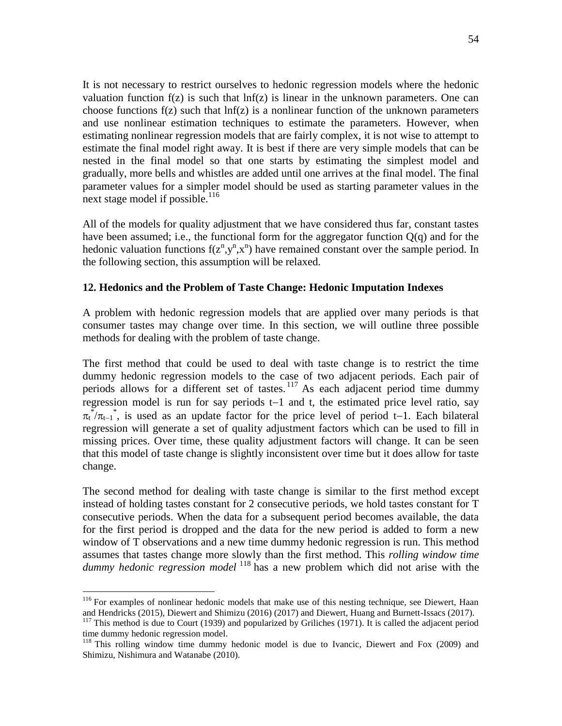It is not necessary to restrict ourselves to hedonic regression models where the hedonic valuation function  $f(z)$  is such that  $\ln f(z)$  is linear in the unknown parameters. One can choose functions  $f(z)$  such that  $\ln f(z)$  is a nonlinear function of the unknown parameters and use nonlinear estimation techniques to estimate the parameters. However, when estimating nonlinear regression models that are fairly complex, it is not wise to attempt to estimate the final model right away. It is best if there are very simple models that can be nested in the final model so that one starts by estimating the simplest model and gradually, more bells and whistles are added until one arrives at the final model. The final parameter values for a simpler model should be used as starting parameter values in the next stage model if possible. $^{116}$ 

All of the models for quality adjustment that we have considered thus far, constant tastes have been assumed; i.e., the functional form for the aggregator function  $Q(q)$  and for the hedonic valuation functions  $f(z^n, y^n, x^n)$  have remained constant over the sample period. In the following section, this assumption will be relaxed.

## **12. Hedonics and the Problem of Taste Change: Hedonic Imputation Indexes**

A problem with hedonic regression models that are applied over many periods is that consumer tastes may change over time. In this section, we will outline three possible methods for dealing with the problem of taste change.

The first method that could be used to deal with taste change is to restrict the time dummy hedonic regression models to the case of two adjacent periods. Each pair of periods allows for a different set of tastes. <sup>117</sup> As each adjacent period time dummy regression model is run for say periods  $t-1$  and t, the estimated price level ratio, say  $\pi_t^*/\pi_{t-1}^*$ , is used as an update factor for the price level of period t-1. Each bilateral regression will generate a set of quality adjustment factors which can be used to fill in missing prices. Over time, these quality adjustment factors will change. It can be seen that this model of taste change is slightly inconsistent over time but it does allow for taste change.

The second method for dealing with taste change is similar to the first method except instead of holding tastes constant for 2 consecutive periods, we hold tastes constant for T consecutive periods. When the data for a subsequent period becomes available, the data for the first period is dropped and the data for the new period is added to form a new window of T observations and a new time dummy hedonic regression is run. This method assumes that tastes change more slowly than the first method. This *rolling window time dummy hedonic regression model* <sup>118</sup> has a new problem which did not arise with the

<sup>&</sup>lt;sup>116</sup> For examples of nonlinear hedonic models that make use of this nesting technique, see Diewert, Haan and Hendricks (2015), Diewert and Shimizu (2016) (2017) and Diewert, Huang and Burnett-Issacs (2017).

 $117$  This method is due to Court (1939) and popularized by Griliches (1971). It is called the adjacent period time dummy hedonic regression model.

<sup>&</sup>lt;sup>118</sup> This rolling window time dummy hedonic model is due to Ivancic, Diewert and Fox (2009) and Shimizu, Nishimura and Watanabe (2010).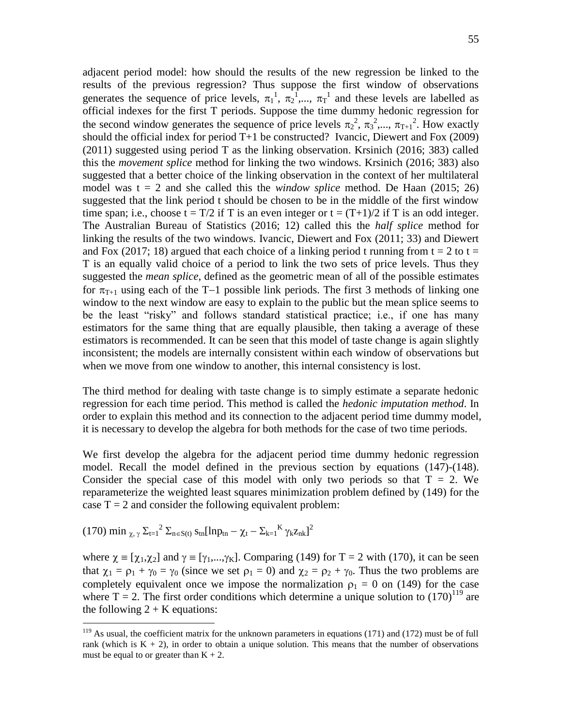adjacent period model: how should the results of the new regression be linked to the results of the previous regression? Thus suppose the first window of observations generates the sequence of price levels,  $\pi_1^1$ ,  $\pi_2^1$ ,...,  $\pi_T^1$  and these levels are labelled as official indexes for the first T periods. Suppose the time dummy hedonic regression for the second window generates the sequence of price levels  $\pi_2^2$ ,  $\pi_3^2$ ,...,  $\pi_{T+1}^2$ . How exactly should the official index for period  $T+1$  be constructed? Ivancic, Diewert and Fox (2009) (2011) suggested using period T as the linking observation. Krsinich (2016; 383) called this the *movement splice* method for linking the two windows. Krsinich (2016; 383) also suggested that a better choice of the linking observation in the context of her multilateral model was t = 2 and she called this the *window splice* method. De Haan (2015; 26) suggested that the link period t should be chosen to be in the middle of the first window time span; i.e., choose  $t = T/2$  if T is an even integer or  $t = (T+1)/2$  if T is an odd integer. The Australian Bureau of Statistics (2016; 12) called this the *half splice* method for linking the results of the two windows. Ivancic, Diewert and Fox (2011; 33) and Diewert and Fox (2017; 18) argued that each choice of a linking period t running from  $t = 2$  to  $t =$ T is an equally valid choice of a period to link the two sets of price levels. Thus they suggested the *mean splice*, defined as the geometric mean of all of the possible estimates for  $\pi_{T+1}$  using each of the T-1 possible link periods. The first 3 methods of linking one window to the next window are easy to explain to the public but the mean splice seems to be the least "risky" and follows standard statistical practice; i.e., if one has many estimators for the same thing that are equally plausible, then taking a average of these estimators is recommended. It can be seen that this model of taste change is again slightly inconsistent; the models are internally consistent within each window of observations but when we move from one window to another, this internal consistency is lost.

The third method for dealing with taste change is to simply estimate a separate hedonic regression for each time period. This method is called the *hedonic imputation method*. In order to explain this method and its connection to the adjacent period time dummy model, it is necessary to develop the algebra for both methods for the case of two time periods.

We first develop the algebra for the adjacent period time dummy hedonic regression model. Recall the model defined in the previous section by equations (147)-(148). Consider the special case of this model with only two periods so that  $T = 2$ . We reparameterize the weighted least squares minimization problem defined by (149) for the case  $T = 2$  and consider the following equivalent problem:

(170) min 
$$
\chi
$$
,  $\gamma \Sigma_{t=1}^2 \Sigma_{n \in S(t)} s_{tn} [ln p_{tn} - \chi_t - \Sigma_{k=1}^K \gamma_k z_{nk}]^2$ 

 $\overline{a}$ 

where  $\chi = [\chi_1, \chi_2]$  and  $\gamma = [\gamma_1, ..., \gamma_K]$ . Comparing (149) for T = 2 with (170), it can be seen that  $\chi_1 = \rho_1 + \gamma_0 = \gamma_0$  (since we set  $\rho_1 = 0$ ) and  $\chi_2 = \rho_2 + \gamma_0$ . Thus the two problems are completely equivalent once we impose the normalization  $\rho_1 = 0$  on (149) for the case where  $T = 2$ . The first order conditions which determine a unique solution to  $(170)^{119}$  are the following  $2 + K$  equations:

 $119$  As usual, the coefficient matrix for the unknown parameters in equations (171) and (172) must be of full rank (which is  $K + 2$ ), in order to obtain a unique solution. This means that the number of observations must be equal to or greater than  $K + 2$ .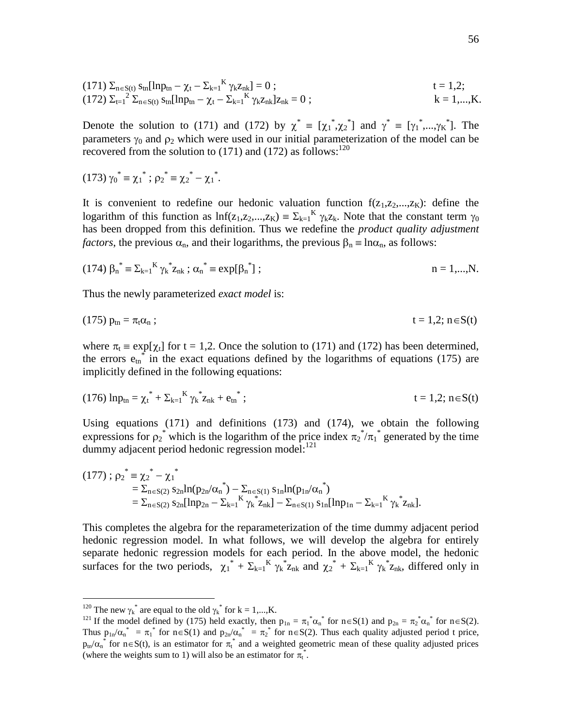(171) 
$$
\Sigma_{n \in S(t)} s_{tn} [\ln p_{tn} - \chi_t - \Sigma_{k=1}^K \gamma_k z_{nk}] = 0 ;
$$
   
\n $t = 1,2;$    
\n $(172) \Sigma_{t=1}^2 \Sigma_{n \in S(t)} s_{tn} [\ln p_{tn} - \chi_t - \Sigma_{k=1}^K \gamma_k z_{nk}] z_{nk} = 0 ;$    
\n $k = 1,...,K.$ 

Denote the solution to (171) and (172) by  $\chi^* = [\chi_1^*, \chi_2^*]$  and  $\gamma^* = [\gamma_1^*, ..., \gamma_K^*]$ . The parameters  $\gamma_0$  and  $\rho_2$  which were used in our initial parameterization of the model can be recovered from the solution to  $(171)$  and  $(172)$  as follows:<sup>120</sup>

(173) 
$$
\gamma_0^* = \chi_1^*
$$
;  $\rho_2^* = \chi_2^* - \chi_1^*$ .

It is convenient to redefine our hedonic valuation function  $f(z_1,z_2,...,z_k)$ : define the logarithm of this function as  $Inf(z_1, z_2,...,z_K) = \sum_{k=1}^K \gamma_k z_k$ . Note that the constant term  $\gamma_0$ has been dropped from this definition. Thus we redefine the *product quality adjustment factors*, the previous  $\alpha_n$ , and their logarithms, the previous  $\beta_n \equiv \ln \alpha_n$ , as follows:

(174) 
$$
\beta_n^* = \sum_{k=1}^K \gamma_k^* z_{nk} ; \alpha_n^* = \exp[\beta_n^*];
$$
   
  $n = 1,...,N.$ 

Thus the newly parameterized *exact model* is:

$$
(175) ptn = \pit \alphan ; \qquad \qquad t = 1, 2; n \in S(t)
$$

where  $\pi_t \equiv \exp[\chi_t]$  for t = 1,2. Once the solution to (171) and (172) has been determined, the errors  $e_{tn}$  in the exact equations defined by the logarithms of equations (175) are implicitly defined in the following equations:

$$
(176) \ln p_{\text{tn}} = \chi_t^* + \Sigma_{k=1}^K \gamma_k^* z_{\text{nk}} + e_{\text{tn}}^* ; \qquad t = 1, 2; \, n \in S(t)
$$

Using equations (171) and definitions (173) and (174), we obtain the following expressions for  $\rho_2^*$  which is the logarithm of the price index  $\pi_2^* / \pi_1^*$  generated by the time dummy adjacent period hedonic regression model: $^{121}$ 

$$
(177) : \rho_2^* = \chi_2^* - \chi_1^*
$$
  
=  $\Sigma_{n \in S(2)} s_{2n} ln(p_{2n}/\alpha_n^*) - \Sigma_{n \in S(1)} s_{1n} ln(p_{1n}/\alpha_n^*)$   
=  $\Sigma_{n \in S(2)} s_{2n} [lnp_{2n} - \Sigma_{k=1}^K \gamma_k^* z_{nk}] - \Sigma_{n \in S(1)} s_{1n} [lnp_{1n} - \Sigma_{k=1}^K \gamma_k^* z_{nk}].$ 

This completes the algebra for the reparameterization of the time dummy adjacent period hedonic regression model. In what follows, we will develop the algebra for entirely separate hedonic regression models for each period. In the above model, the hedonic surfaces for the two periods,  $\chi_1^* + \Sigma_{k=1}^K \gamma_k^* z_{nk}$  and  $\chi_2^* + \Sigma_{k=1}^K \gamma_k^* z_{nk}$ , differed only in

<sup>&</sup>lt;sup>120</sup> The new  $\gamma_k^*$  are equal to the old  $\gamma_k^*$  for k = 1,...,K.

<sup>&</sup>lt;sup>121</sup> If the model defined by (175) held exactly, then  $p_{1n} = \pi_1^* \alpha_n^*$  for  $n \in S(1)$  and  $p_{2n} = \pi_2^* \alpha_n^*$  for  $n \in S(2)$ . Thus  $p_{1n}/\alpha_n^* = \pi_1^*$  for  $n \in S(1)$  and  $p_{2n}/\alpha_n^* = \pi_2^*$  for  $n \in S(2)$ . Thus each quality adjusted period t price,  $p_{tn}/\alpha_n^*$  for  $n \in S(t)$ , is an estimator for  $\pi_t^*$  and a weighted geometric mean of these quality adjusted prices (where the weights sum to 1) will also be an estimator for  $\pi_t^*$ .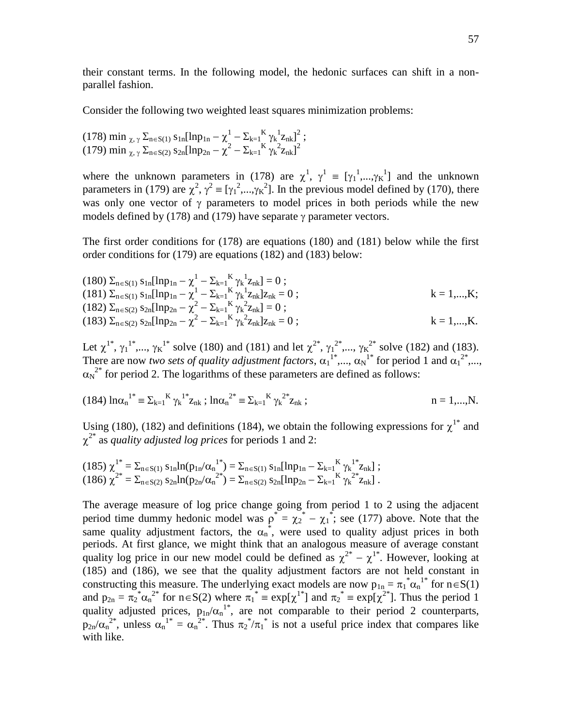their constant terms. In the following model, the hedonic surfaces can shift in a nonparallel fashion.

Consider the following two weighted least squares minimization problems:

$$
\begin{array}{l} (178) \ \min_{\ \chi,\ \gamma} \ \Sigma_{n \in S(1)} \ s_{1n} [\ln p_{1n} - \chi^1 - \Sigma_{k=1}^{\ \ K} \ \gamma_k^{-1} z_{nk}]^2 \ ; \\ (179) \ \min_{\ \chi,\ \gamma} \ \Sigma_{n \in S(2)} \ s_{2n} [\ln p_{2n} - \chi^2 - \Sigma_{k=1}^{\ \ K} \ \gamma_k^{-2} z_{nk}]^2 \end{array}
$$

where the unknown parameters in (178) are  $\chi^1$ ,  $\gamma^1 = [\gamma_1^1, ..., \gamma_K^1]$  and the unknown parameters in (179) are  $\chi^2$ ,  $\gamma^2 = [\gamma_1^2, ..., \gamma_K^2]$ . In the previous model defined by (170), there was only one vector of  $\gamma$  parameters to model prices in both periods while the new models defined by  $(178)$  and  $(179)$  have separate  $\gamma$  parameter vectors.

The first order conditions for (178) are equations (180) and (181) below while the first order conditions for (179) are equations (182) and (183) below:

(180) 
$$
\Sigma_{n \in S(1)} s_{1n}[\ln p_{1n} - \chi^1 - \Sigma_{k=1}^K \gamma_k^1 z_{nk}] = 0 ;
$$
  
\n(181)  $\Sigma_{n \in S(1)} s_{1n}[\ln p_{1n} - \chi^1 - \Sigma_{k=1}^K \gamma_k^1 z_{nk}] z_{nk} = 0 ;$   
\n(182)  $\Sigma_{n \in S(2)} s_{2n}[\ln p_{2n} - \chi^2 - \Sigma_{k=1}^K \gamma_k^2 z_{nk}] = 0 ;$   
\n(183)  $\Sigma_{n \in S(2)} s_{2n}[\ln p_{2n} - \chi^2 - \Sigma_{k=1}^K \gamma_k^2 z_{nk}] z_{nk} = 0 ;$   
\n $k = 1,...,K.$ 

Let  $\chi^{1^*}, \gamma_1^{1^*}, ..., \gamma_K^{1^*}$  solve (180) and (181) and let  $\chi^{2^*}, \gamma_1^{2^*}, ..., \gamma_K^{2^*}$  solve (182) and (183). There are now *two sets of quality adjustment factors*,  $\alpha_1^{1*},...,\alpha_N^{1*}$  for period 1 and  $\alpha_1^{2*},...$ ,  $\alpha_N^2$  for period 2. The logarithms of these parameters are defined as follows:

(184) 
$$
\ln \alpha_n^{1*} = \sum_{k=1}^K \gamma_k^{1*} z_{nk}
$$
;  $\ln \alpha_n^{2*} = \sum_{k=1}^K \gamma_k^{2*} z_{nk}$ ;   
  $n = 1,...,N.$ 

Using (180), (182) and definitions (184), we obtain the following expressions for  $\chi^{1*}$  and  $\chi^{2*}$  as *quality adjusted log prices* for periods 1 and 2:

$$
(185)\ \chi^{1^*} = \Sigma_{n \in S(1)} \ s_{1n} ln(p_{1n}/\alpha_n^{1^*}) = \Sigma_{n \in S(1)} \ s_{1n} [ln p_{1n} - \Sigma_{k=1}^K \gamma_k^{1^*} z_{nk}] \ ; \newline (186)\ \chi^{2^*} = \Sigma_{n \in S(2)} \ s_{2n} ln(p_{2n}/\alpha_n^{2^*}) = \Sigma_{n \in S(2)} \ s_{2n} [ln p_{2n} - \Sigma_{k=1}^K \gamma_k^{2^*} z_{nk}] \ .
$$

The average measure of log price change going from period 1 to 2 using the adjacent period time dummy hedonic model was  $p^* = \chi_2^* - \chi_1^*$ ; see (177) above. Note that the same quality adjustment factors, the  $\alpha_n^*$ , were used to quality adjust prices in both periods. At first glance, we might think that an analogous measure of average constant quality log price in our new model could be defined as  $\chi^{2^*} - \chi^{1^*}$ . However, looking at (185) and (186), we see that the quality adjustment factors are not held constant in constructing this measure. The underlying exact models are now  $p_{1n} = \pi_1^* \alpha_n^{1*}$  for  $n \in S(1)$ and  $p_{2n} = \pi_2^* \alpha_n^{2*}$  for  $n \in S(2)$  where  $\pi_1^* \equiv \exp[\chi^{1*}]$  and  $\pi_2^* \equiv \exp[\chi^{2*}]$ . Thus the period 1 quality adjusted prices,  $p_{1n}/\alpha_n^{1*}$ , are not comparable to their period 2 counterparts,  $p_{2n}/\alpha_n^{2^*}$ , unless  $\alpha_n^{1*} = \alpha_n^{2^*}$ . Thus  $\pi_2^*/\pi_1^*$  is not a useful price index that compares like with like.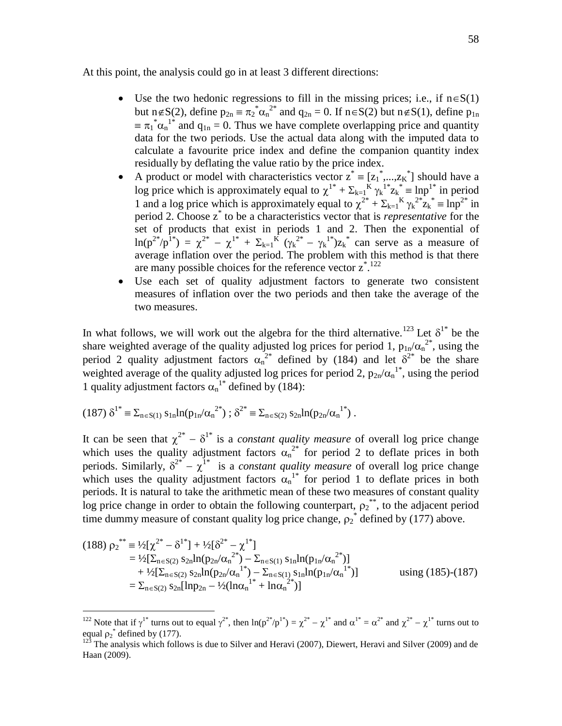At this point, the analysis could go in at least 3 different directions:

- Use the two hedonic regressions to fill in the missing prices; i.e., if  $n \in S(1)$ but n  $\notin S(2)$ , define  $p_{2n} = \pi_2^* \alpha_n^{2*}$  and  $q_{2n} = 0$ . If  $n \in S(2)$  but  $n \notin S(1)$ , define  $p_{1n}$  $\equiv \pi_1^* \alpha_n^{1*}$  and  $q_{1n} = 0$ . Thus we have complete overlapping price and quantity data for the two periods. Use the actual data along with the imputed data to calculate a favourite price index and define the companion quantity index residually by deflating the value ratio by the price index.
- A product or model with characteristics vector  $z^* = [z_1^*,...,z_K^*]$  should have a log price which is approximately equal to  $\chi^{1*} + \Sigma_{k=1}^K \gamma_k^{1*} z_k^* = \ln p^{1*}$  in period 1 and a log price which is approximately equal to  $\chi^{2^*} + \Sigma_{k=1}^K \gamma_k^{2^*} z_k^* \equiv \ln p^{2^*}$  in period 2. Choose z\* to be a characteristics vector that is *representative* for the set of products that exist in periods 1 and 2. Then the exponential of  $\ln(p^{2^*}/p^{1^*}) = \chi^{2^*} - \chi^{1^*} + \Sigma_{k=1}^K (\gamma_k^{2^*} - \gamma_k^{1^*})z_k^*$  can serve as a measure of average inflation over the period. The problem with this method is that there are many possible choices for the reference vector  $z^*$ <sup>122</sup>
- Use each set of quality adjustment factors to generate two consistent measures of inflation over the two periods and then take the average of the two measures.

In what follows, we will work out the algebra for the third alternative.<sup>123</sup> Let  $\delta^{1*}$  be the share weighted average of the quality adjusted log prices for period 1,  $p_{1n}/\alpha_n^{2*}$ , using the period 2 quality adjustment factors  $\alpha_n^{2^*}$  defined by (184) and let  $\delta^{2^*}$  be the share weighted average of the quality adjusted log prices for period 2,  $p_{2n}/\alpha_n^{1*}$ , using the period 1 quality adjustment factors  $\alpha_n^{1*}$  defined by (184):

$$
(187) \delta^{1*} \equiv \Sigma_{n \in S(1)} s_{1n} ln(p_{1n} / \alpha_n^{2*}) ; \delta^{2*} \equiv \Sigma_{n \in S(2)} s_{2n} ln(p_{2n} / \alpha_n^{1*}) .
$$

 $\overline{a}$ 

It can be seen that  $\chi^{2^*} - \delta^{1^*}$  is a *constant quality measure* of overall log price change which uses the quality adjustment factors  $\alpha_n^{2*}$  for period 2 to deflate prices in both periods. Similarly,  $\delta^{2^*} - \chi^{1^*}$  is a *constant quality measure* of overall log price change which uses the quality adjustment factors  $\alpha_n^{1*}$  for period 1 to deflate prices in both periods. It is natural to take the arithmetic mean of these two measures of constant quality log price change in order to obtain the following counterpart,  $\rho_2^{**}$ , to the adjacent period time dummy measure of constant quality log price change,  $\rho_2^*$  defined by (177) above.

$$
(188) \rho_2^{**} = \frac{1}{2} [\chi^2^* - \delta^{1*}] + \frac{1}{2} [\delta^{2*} - \chi^{1*}]
$$
  
\n
$$
= \frac{1}{2} [\Sigma_{n \in S(2)} s_{2n} \ln(p_{2n}/\alpha_n^{2*}) - \Sigma_{n \in S(1)} s_{1n} \ln(p_{1n}/\alpha_n^{2*})]
$$
  
\n
$$
+ \frac{1}{2} [\Sigma_{n \in S(2)} s_{2n} \ln(p_{2n}/\alpha_n^{1*}) - \Sigma_{n \in S(1)} s_{1n} \ln(p_{1n}/\alpha_n^{1*})]
$$
  
\n
$$
= \Sigma_{n \in S(2)} s_{2n} [\ln p_{2n} - \frac{1}{2} (\ln \alpha_n^{1*} + \ln \alpha_n^{2*})]
$$
 using (185)-(187)

<sup>&</sup>lt;sup>122</sup> Note that if  $\gamma^{1*}$  turns out to equal  $\gamma^{2*}$ , then  $\ln(p^{2*}/p^{1*}) = \chi^{2*} - \chi^{1*}$  and  $\alpha^{1*} = \alpha^{2*}$  and  $\chi^{2*} - \chi^{1*}$  turns out to equal  $\rho_2^*$  defined by (177).

 $12\overline{3}$  The analysis which follows is due to Silver and Heravi (2007), Diewert, Heravi and Silver (2009) and de Haan (2009).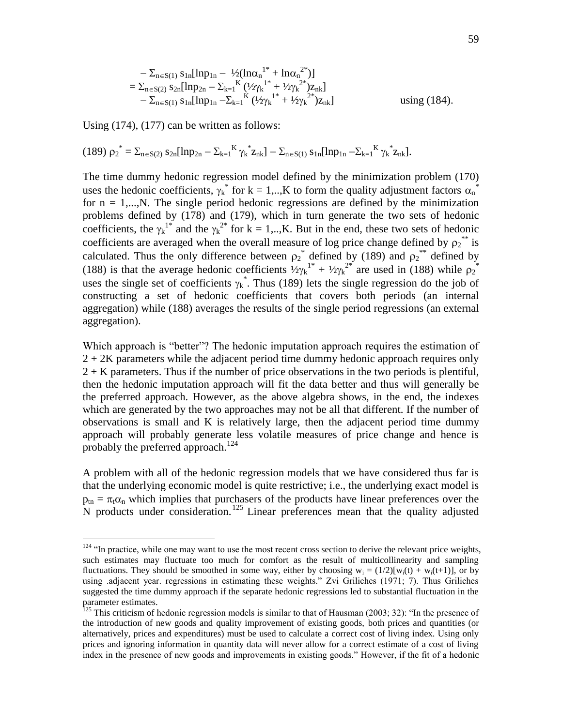$$
-\Sigma_{n\in S(1)} s_{1n}[\ln p_{1n} - \frac{1}{2}(\ln \alpha_n^{1*} + \ln \alpha_n^{2*})]
$$
  
=  $\Sigma_{n\in S(2)} s_{2n}[\ln p_{2n} - \Sigma_{k=1}^{K} (\frac{1}{2}\gamma_k^{1*} + \frac{1}{2}\gamma_k^{2*})z_{nk}]$   
 $- \Sigma_{n\in S(1)} s_{1n}[\ln p_{1n} - \Sigma_{k=1}^{K} (\frac{1}{2}\gamma_k^{1*} + \frac{1}{2}\gamma_k^{2*})z_{nk}]$  using (184).

Using (174), (177) can be written as follows:

 $\overline{a}$ 

$$
(189)\ {\rho_2}^* = \Sigma_{n \in S(2)}\ s_{2n}[\text{ln}p_{2n} - \Sigma_{k=1}^K\ {\gamma_k}^*z_{nk}]-\Sigma_{n \in S(1)}\ s_{1n}[\text{ln}p_{1n} - \Sigma_{k=1}^K\ {\gamma_k}^*z_{nk}].
$$

The time dummy hedonic regression model defined by the minimization problem (170) uses the hedonic coefficients,  $\gamma_k^*$  for k = 1,..,K to form the quality adjustment factors  $\alpha_n^*$ for  $n = 1,...,N$ . The single period hedonic regressions are defined by the minimization problems defined by (178) and (179), which in turn generate the two sets of hedonic coefficients, the  $\gamma_k^{1*}$  and the  $\gamma_k^{2*}$  for k = 1,..,K. But in the end, these two sets of hedonic coefficients are averaged when the overall measure of log price change defined by  $\rho_2^{**}$  is calculated. Thus the only difference between  $\rho_2^*$  defined by (189) and  $\rho_2^{**}$  defined by (188) is that the average hedonic coefficients  $\frac{1}{2}\gamma_k^{1*} + \frac{1}{2}\gamma_k^{2*}$  are used in (188) while  $\rho_2^{*}$ uses the single set of coefficients  $\gamma_k^*$ . Thus (189) lets the single regression do the job of constructing a set of hedonic coefficients that covers both periods (an internal aggregation) while (188) averages the results of the single period regressions (an external aggregation).

Which approach is "better"? The hedonic imputation approach requires the estimation of  $2 + 2K$  parameters while the adjacent period time dummy hedonic approach requires only 2 + K parameters. Thus if the number of price observations in the two periods is plentiful, then the hedonic imputation approach will fit the data better and thus will generally be the preferred approach. However, as the above algebra shows, in the end, the indexes which are generated by the two approaches may not be all that different. If the number of observations is small and K is relatively large, then the adjacent period time dummy approach will probably generate less volatile measures of price change and hence is probably the preferred approach.<sup>124</sup>

A problem with all of the hedonic regression models that we have considered thus far is that the underlying economic model is quite restrictive; i.e., the underlying exact model is  $p_{tn} = \pi_t \alpha_n$  which implies that purchasers of the products have linear preferences over the N products under consideration.<sup>125</sup> Linear preferences mean that the quality adjusted

 $124$  "In practice, while one may want to use the most recent cross section to derive the relevant price weights, such estimates may fluctuate too much for comfort as the result of multicollinearity and sampling fluctuations. They should be smoothed in some way, either by choosing  $w_i = (1/2)[w_i(t) + w_i(t+1)]$ , or by using .adjacent year. regressions in estimating these weights." Zvi Griliches (1971; 7). Thus Griliches suggested the time dummy approach if the separate hedonic regressions led to substantial fluctuation in the parameter estimates.

 $^{125}$  This criticism of hedonic regression models is similar to that of Hausman (2003; 32): "In the presence of the introduction of new goods and quality improvement of existing goods, both prices and quantities (or alternatively, prices and expenditures) must be used to calculate a correct cost of living index. Using only prices and ignoring information in quantity data will never allow for a correct estimate of a cost of living index in the presence of new goods and improvements in existing goods." However, if the fit of a hedonic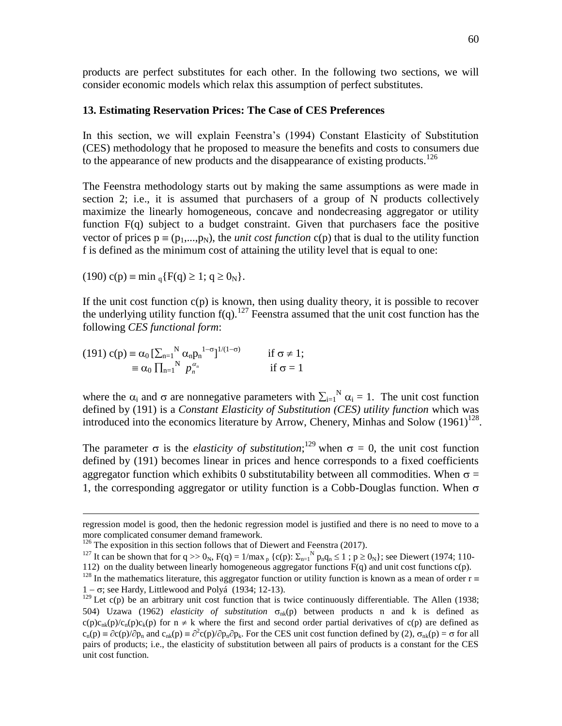products are perfect substitutes for each other. In the following two sections, we will consider economic models which relax this assumption of perfect substitutes.

## **13. Estimating Reservation Prices: The Case of CES Preferences**

In this section, we will explain Feenstra's (1994) Constant Elasticity of Substitution (CES) methodology that he proposed to measure the benefits and costs to consumers due to the appearance of new products and the disappearance of existing products.<sup>126</sup>

The Feenstra methodology starts out by making the same assumptions as were made in section 2; i.e., it is assumed that purchasers of a group of N products collectively maximize the linearly homogeneous, concave and nondecreasing aggregator or utility function  $F(q)$  subject to a budget constraint. Given that purchasers face the positive vector of prices  $p = (p_1,...,p_N)$ , the *unit cost function* c(p) that is dual to the utility function f is defined as the minimum cost of attaining the utility level that is equal to one:

(190) 
$$
c(p) \equiv \min_{q} \{ F(q) \ge 1; q \ge 0_N \}.
$$

 $\overline{a}$ 

If the unit cost function  $c(p)$  is known, then using duality theory, it is possible to recover the underlying utility function  $f(q)$ .<sup>127</sup> Feenstra assumed that the unit cost function has the following *CES functional form*:

(191) 
$$
c(p) \equiv \alpha_0 \left[ \sum_{n=1}^{N} \alpha_n p_n \right]^{1-\sigma} \left]^{1/(1-\sigma)} \quad \text{if } \sigma \neq 1; \\ \equiv \alpha_0 \prod_{n=1}^{N} p_n^{\alpha_n} \quad \text{if } \sigma = 1 \right]
$$

where the  $\alpha_i$  and  $\sigma$  are nonnegative parameters with  $\sum_{i=1}^{N} \alpha_i = 1$ . The unit cost function defined by (191) is a *Constant Elasticity of Substitution (CES) utility function* which was introduced into the economics literature by Arrow, Chenery, Minhas and Solow  $(1961)^{128}$ .

The parameter  $\sigma$  is the *elasticity of substitution*;<sup>129</sup> when  $\sigma = 0$ , the unit cost function defined by (191) becomes linear in prices and hence corresponds to a fixed coefficients aggregator function which exhibits 0 substitutability between all commodities. When  $\sigma$  = 1, the corresponding aggregator or utility function is a Cobb-Douglas function. When  $\sigma$ 

regression model is good, then the hedonic regression model is justified and there is no need to move to a more complicated consumer demand framework.

 $126$  The exposition in this section follows that of Diewert and Feenstra (2017).

<sup>&</sup>lt;sup>127</sup> It can be shown that for  $q \gg 0_N$ ,  $F(q) = 1/max_p {c(p): \sum_{n=1}^N p_n q_n \le 1 ; p \ge 0_N}$ ; see Diewert (1974; 110-

<sup>112)</sup> on the duality between linearly homogeneous aggregator functions  $\vec{F}(q)$  and unit cost functions  $c(p)$ .

<sup>&</sup>lt;sup>128</sup> In the mathematics literature, this aggregator function or utility function is known as a mean of order  $r \equiv$  $1 - \sigma$ ; see Hardy, Littlewood and Polyá (1934; 12-13).

 $129$  Let c(p) be an arbitrary unit cost function that is twice continuously differentiable. The Allen (1938; 504) Uzawa (1962) *elasticity of substitution*  $\sigma_{nk}(p)$  between products n and k is defined as  $c(p)c_{nk}(p)c_{k}(p)c_{k}(p)$  for  $n \neq k$  where the first and second order partial derivatives of  $c(p)$  are defined as  $c_n(p) \equiv \partial c(p)/\partial p_n$  and  $c_{nk}(p) \equiv \partial^2 c(p)/\partial p_n \partial p_k$ . For the CES unit cost function defined by (2),  $\sigma_{nk}(p) = \sigma$  for all pairs of products; i.e., the elasticity of substitution between all pairs of products is a constant for the CES unit cost function.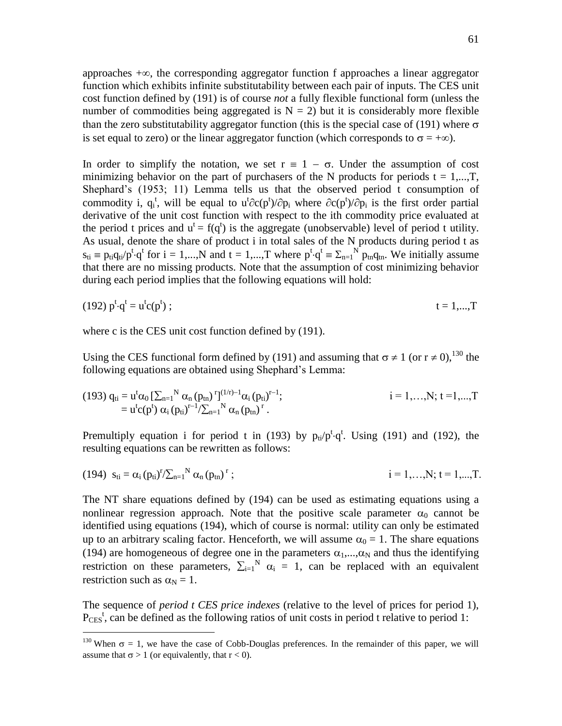approaches  $+\infty$ , the corresponding aggregator function f approaches a linear aggregator function which exhibits infinite substitutability between each pair of inputs. The CES unit cost function defined by (191) is of course *not* a fully flexible functional form (unless the number of commodities being aggregated is  $N = 2$ ) but it is considerably more flexible than the zero substitutability aggregator function (this is the special case of (191) where  $\sigma$ is set equal to zero) or the linear aggregator function (which corresponds to  $\sigma = +\infty$ ).

In order to simplify the notation, we set  $r = 1 - \sigma$ . Under the assumption of cost minimizing behavior on the part of purchasers of the N products for periods  $t = 1,...,T$ , Shephard's (1953; 11) Lemma tells us that the observed period t consumption of commodity i,  $q_i^t$ , will be equal to  $u^t \partial c(p^t)/\partial p_i$  where  $\partial c(p^t)/\partial p_i$  is the first order partial derivative of the unit cost function with respect to the ith commodity price evaluated at the period t prices and  $u^t = f(q^t)$  is the aggregate (unobservable) level of period t utility. As usual, denote the share of product i in total sales of the N products during period t as  $s_{ti} \equiv p_{ti}q_{ti}/p^t \cdot q^t$  for  $i = 1,...,N$  and  $t = 1,...,T$  where  $p^t \cdot q^t \equiv \sum_{n=1}^N p_{tn}q_{tn}$ . We initially assume that there are no missing products. Note that the assumption of cost minimizing behavior during each period implies that the following equations will hold:

$$
(192) pt \cdot qt = ut c(pt) ; \qquad \qquad t = 1,...,T
$$

where c is the CES unit cost function defined by (191).

 $\overline{a}$ 

Using the CES functional form defined by (191) and assuming that  $\sigma \neq 1$  (or  $r \neq 0$ ), <sup>130</sup> the following equations are obtained using Shephard's Lemma:

(193) 
$$
q_{ti} = u^t \alpha_0 \left[ \sum_{n=1}^N \alpha_n (p_{tn})^r \right]^{(1/r)-1} \alpha_i (p_{ti})^{r-1};
$$
  
\t\t\t
$$
= u^t c(p^t) \alpha_i (p_{ti})^{r-1} / \sum_{n=1}^N \alpha_n (p_{tn})^r.
$$
  
\t\t\t $i = 1,..., N; t = 1,..., T$ 

Premultiply equation i for period t in (193) by  $p_{ti}/p^t \cdot q^t$ . Using (191) and (192), the resulting equations can be rewritten as follows:

(194) 
$$
s_{ti} = \alpha_i (p_{ti})^r / \sum_{n=1}^N \alpha_n (p_{tn})^r
$$
;  $i = 1,...,N; t = 1,...,T$ .

The NT share equations defined by (194) can be used as estimating equations using a nonlinear regression approach. Note that the positive scale parameter  $\alpha_0$  cannot be identified using equations (194), which of course is normal: utility can only be estimated up to an arbitrary scaling factor. Henceforth, we will assume  $\alpha_0 = 1$ . The share equations (194) are homogeneous of degree one in the parameters  $\alpha_1, \dots, \alpha_N$  and thus the identifying restriction on these parameters,  $\sum_{i=1}^{N} \alpha_i = 1$ , can be replaced with an equivalent restriction such as  $\alpha_N = 1$ .

The sequence of *period t CES price indexes* (relative to the level of prices for period 1),  $P_{\text{CES}}^t$ , can be defined as the following ratios of unit costs in period t relative to period 1:

<sup>&</sup>lt;sup>130</sup> When  $\sigma = 1$ , we have the case of Cobb-Douglas preferences. In the remainder of this paper, we will assume that  $\sigma > 1$  (or equivalently, that  $r < 0$ ).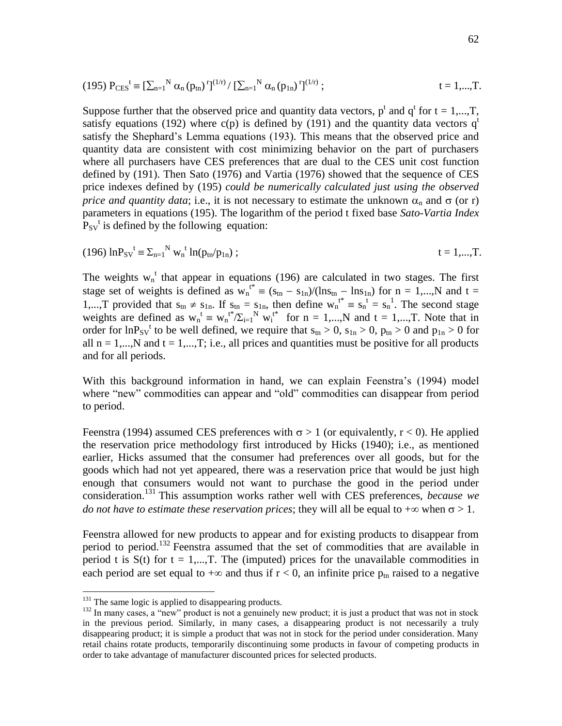(195) 
$$
P_{\text{CES}}^t \equiv \left[\sum_{n=1}^N \alpha_n (p_{tn})^r\right]^{(1/r)} / \left[\sum_{n=1}^N \alpha_n (p_{1n})^r\right]^{(1/r)};
$$
  $t = 1,...,T.$ 

Suppose further that the observed price and quantity data vectors,  $p^t$  and  $q^t$  for  $t = 1,...,T$ , satisfy equations (192) where c(p) is defined by (191) and the quantity data vectors  $q<sup>t</sup>$ satisfy the Shephard's Lemma equations (193). This means that the observed price and quantity data are consistent with cost minimizing behavior on the part of purchasers where all purchasers have CES preferences that are dual to the CES unit cost function defined by (191). Then Sato (1976) and Vartia (1976) showed that the sequence of CES price indexes defined by (195) *could be numerically calculated just using the observed price and quantity data*; i.e., it is not necessary to estimate the unknown  $\alpha_n$  and  $\sigma$  (or r) parameters in equations (195). The logarithm of the period t fixed base *Sato-Vartia Index*  $P_{SV}$ <sup>t</sup> is defined by the following equation:

(196) 
$$
\ln P_{SV}^t \equiv \sum_{n=1}^N w_n^t \ln(p_{tn}/p_{1n})
$$
;  $t = 1,...,T$ .

The weights  $w_n^t$  that appear in equations (196) are calculated in two stages. The first stage set of weights is defined as  $w_n^{t*} \equiv (s_{tn} - s_{1n})/(ln s_{tn} - ln s_{1n})$  for  $n = 1,...,N$  and  $t =$ 1,...,T provided that  $s_{tn} \neq s_{1n}$ . If  $s_{tn} = s_{1n}$ , then define  $w_n^{t*} = s_n^t = s_n^1$ . The second stage weights are defined as  $w_n^t \equiv w_n^{t*}/\Sigma_{i=1}^N w_i^{t*}$  for  $n = 1,...,N$  and  $t = 1,...,T$ . Note that in order for  $ln P_{SV}$ <sup>t</sup> to be well defined, we require that  $s_{tn} > 0$ ,  $s_{1n} > 0$ ,  $p_{tn} > 0$  and  $p_{1n} > 0$  for all  $n = 1,...,N$  and  $t = 1,...,T$ ; i.e., all prices and quantities must be positive for all products and for all periods.

With this background information in hand, we can explain Feenstra's (1994) model where "new" commodities can appear and "old" commodities can disappear from period to period.

Feenstra (1994) assumed CES preferences with  $\sigma > 1$  (or equivalently,  $r < 0$ ). He applied the reservation price methodology first introduced by Hicks (1940); i.e., as mentioned earlier, Hicks assumed that the consumer had preferences over all goods, but for the goods which had not yet appeared, there was a reservation price that would be just high enough that consumers would not want to purchase the good in the period under consideration. <sup>131</sup> This assumption works rather well with CES preferences, *because we do not have to estimate these reservation prices*; they will all be equal to  $+\infty$  when  $\sigma > 1$ .

Feenstra allowed for new products to appear and for existing products to disappear from period to period.<sup>132</sup> Feenstra assumed that the set of commodities that are available in period t is  $S(t)$  for  $t = 1,...,T$ . The (imputed) prices for the unavailable commodities in each period are set equal to  $+\infty$  and thus if  $r < 0$ , an infinite price  $p_{tn}$  raised to a negative

 $131$  The same logic is applied to disappearing products.

<sup>&</sup>lt;sup>132</sup> In many cases, a "new" product is not a genuinely new product; it is just a product that was not in stock in the previous period. Similarly, in many cases, a disappearing product is not necessarily a truly disappearing product; it is simple a product that was not in stock for the period under consideration. Many retail chains rotate products, temporarily discontinuing some products in favour of competing products in order to take advantage of manufacturer discounted prices for selected products.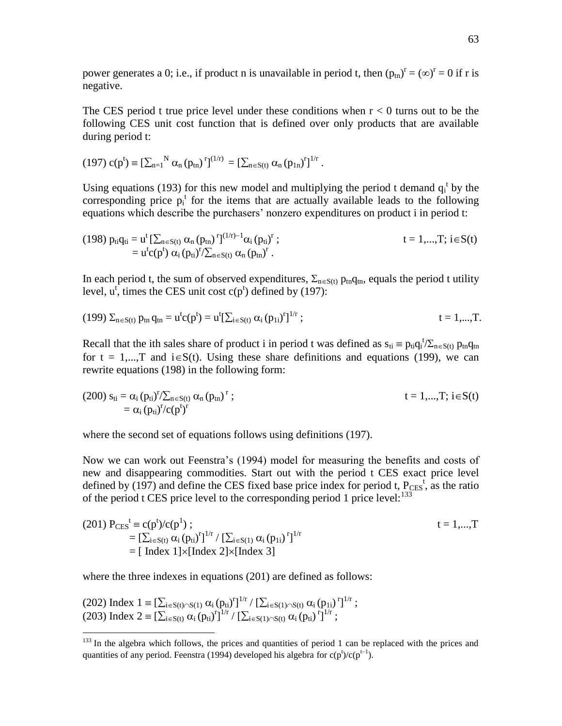power generates a 0; i.e., if product n is unavailable in period t, then  $(p_{tn})^r = (\infty)^r = 0$  if r is negative.

The CES period t true price level under these conditions when  $r < 0$  turns out to be the following CES unit cost function that is defined over only products that are available during period t:

$$
(197) \; c(p^t) \equiv \left[\sum_{n=1}^N \alpha_n (p_{tn})^r\right]^{(1/r)} = \left[\sum_{n \in S(t)} \alpha_n (p_{1n})^r\right]^{1/r}.
$$

Using equations (193) for this new model and multiplying the period t demand  $q_i^t$  by the corresponding price  $p_i^t$  for the items that are actually available leads to the following equations which describe the purchasers' nonzero expenditures on product i in period t:

(198) 
$$
p_{ti}q_{ti} = u^t \left[\sum_{n \in S(t)} \alpha_n (p_{tn})^r\right]^{(1/r)-1} \alpha_i (p_{ti})^r
$$
;  
\t\t\t\t
$$
= u^t c(p^t) \alpha_i (p_{ti})^r / \sum_{n \in S(t)} \alpha_n (p_{tn})^r
$$
.  
\t\t\t\t
$$
t = 1,...,T; i \in S(t)
$$

In each period t, the sum of observed expenditures,  $\Sigma_{n\in S(t)}$  p<sub>tn</sub>q<sub>tn</sub>, equals the period t utility level,  $u^t$ , times the CES unit cost  $c(p^t)$  defined by (197):

(199) 
$$
\Sigma_{n \in S(t)}
$$
  $p_{tn} q_{tn} = u^t c(p^t) = u^t [\Sigma_{i \in S(t)} \alpha_i (p_{1i})^r]^{1/r}$ ;  $t = 1,...,T$ .

Recall that the ith sales share of product i in period t was defined as  $s_{ti} \equiv p_{ti}q_i^{\ t}/\Sigma_{n \in S(t)} p_{tn}q_{tn}$ for  $t = 1,...,T$  and  $i \in S(t)$ . Using these share definitions and equations (199), we can rewrite equations (198) in the following form:

(200) 
$$
s_{ti} = \alpha_i (p_{ti})^r / \sum_{n \in S(t)} \alpha_n (p_{tn})^r
$$
;  
\t\t\t\t $t = 1,...,T; i \in S(t)$   
\t\t\t\t $= \alpha_i (p_{ti})^r / c(p^t)^r$ 

where the second set of equations follows using definitions (197).

Now we can work out Feenstra's (1994) model for measuring the benefits and costs of new and disappearing commodities. Start out with the period t CES exact price level defined by (197) and define the CES fixed base price index for period t,  $P_{\text{CES}}^t$ , as the ratio of the period t CES price level to the corresponding period 1 price level: $^{133}$ 

(201) 
$$
P_{CES}^t \equiv c(p^t)/c(p^1)
$$
;  
\n
$$
= [\sum_{i \in S(t)} \alpha_i (p_{ti})^r]^{1/r} / [\sum_{i \in S(1)} \alpha_i (p_{1i})^r]^{1/r}
$$
\n
$$
= [\text{ Index } 1] \times [\text{Index } 2] \times [\text{Index } 3]
$$

where the three indexes in equations (201) are defined as follows:

(202) Index 
$$
1 \equiv [\sum_{i \in S(t) \cap S(1)} \alpha_i (p_{ti})^r]^{1/r} / [\sum_{i \in S(1) \cap S(t)} \alpha_i (p_{1i})^r]^{1/r}
$$
;  $(203)$  Index  $2 \equiv [\sum_{i \in S(t)} \alpha_i (p_{ti})^r]^{1/r} / [\sum_{i \in S(1) \cap S(t)} \alpha_i (p_{ti})^r]^{1/r}$ ;

<sup>&</sup>lt;sup>133</sup> In the algebra which follows, the prices and quantities of period 1 can be replaced with the prices and quantities of any period. Feenstra (1994) developed his algebra for  $c(p^t)/c(p^{t-1})$ .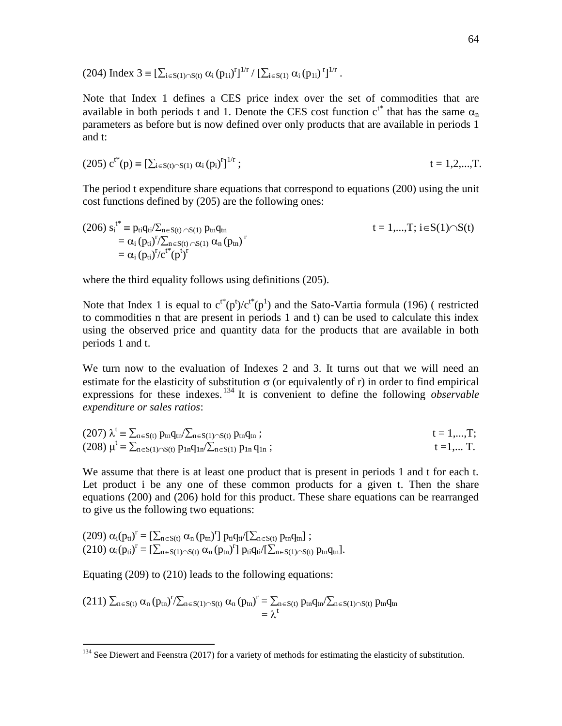(204) Index  $3 \equiv \left[ \sum_{i \in S(1) \cap S(t)} \alpha_i (p_{1i})^r \right]^{1/r} / \left[ \sum_{i \in S(1)} \alpha_i (p_{1i})^r \right]^{1/r}$ .

Note that Index 1 defines a CES price index over the set of commodities that are available in both periods t and 1. Denote the CES cost function  $c^{t^*}$  that has the same  $\alpha_n$ parameters as before but is now defined over only products that are available in periods 1 and t:

$$
(205) c^{t*}(p) = [\sum_{i \in S(t) \cap S(1)} \alpha_i (p_i)^r]^{1/r}; \qquad t = 1, 2, ..., T.
$$

The period t expenditure share equations that correspond to equations (200) using the unit cost functions defined by (205) are the following ones:

(206) 
$$
s_i^{t^*} \equiv p_{ti}q_{ti}/\sum_{n \in S(t) \cap S(1)} p_{tn}q_{tn}
$$
  
\n
$$
= \alpha_i (p_{ti})^r / \sum_{n \in S(t) \cap S(1)} \alpha_n (p_{tn})^r
$$
\n
$$
= \alpha_i (p_{ti})^r / c^{t^*} (p^t)^r
$$
\n
$$
= \alpha_i (p_{ti})^r / c^{t^*} (p^t)^r
$$

where the third equality follows using definitions (205).

Note that Index 1 is equal to  $c^{t*}(p^t)/c^{t*}(p^1)$  and the Sato-Vartia formula (196) (restricted to commodities n that are present in periods 1 and t) can be used to calculate this index using the observed price and quantity data for the products that are available in both periods 1 and t.

We turn now to the evaluation of Indexes 2 and 3. It turns out that we will need an estimate for the elasticity of substitution  $\sigma$  (or equivalently of r) in order to find empirical expressions for these indexes. <sup>134</sup> It is convenient to define the following *observable expenditure or sales ratios*:

(207) 
$$
\lambda^t \equiv \sum_{n \in S(t)} p_{tn} q_{tn} / \sum_{n \in S(1) \cap S(t)} p_{tn} q_{tn} ;
$$
   
\n(208)  $\mu^t \equiv \sum_{n \in S(1) \cap S(t)} p_{1n} q_{1n} / \sum_{n \in S(1)} p_{1n} q_{1n} ;$    
\n $t = 1,...,T;$    
\n $t = 1,...,T;$ 

We assume that there is at least one product that is present in periods 1 and t for each t. Let product i be any one of these common products for a given t. Then the share equations (200) and (206) hold for this product. These share equations can be rearranged to give us the following two equations:

$$
\begin{array}{l} (209) \ \alpha_i(p_{ti})^r = [\sum_{n \in S(t)} \alpha_n (p_{tn})^r] \ p_{ti} q_{ti}/[\sum_{n \in S(t)} p_{tn} q_{tn}] \ ; \\ (210) \ \alpha_i (p_{ti})^r = [\sum_{n \in S(1) \cap S(t)} \alpha_n (p_{tn})^r] \ p_{ti} q_{ti}/[\sum_{n \in S(1) \cap S(t)} p_{tn} q_{tn}] . \end{array}
$$

Equating (209) to (210) leads to the following equations:

$$
\begin{array}{l} (211)\ \sum_{n\in S(t)}\alpha_{n}\left(p_{tn}\right)^{r}\!/\!\sum_{n\in S(1)\cap S(t)}\alpha_{n}\left(p_{tn}\right)^{r}=\sum_{n\in S(t)}p_{tn}q_{tn}\!/\!\sum_{n\in S(1)\cap S(t)}p_{tn}q_{tn} \\ \hspace{2cm}=\lambda^{t} \end{array}
$$

 $134$  See Diewert and Feenstra (2017) for a variety of methods for estimating the elasticity of substitution.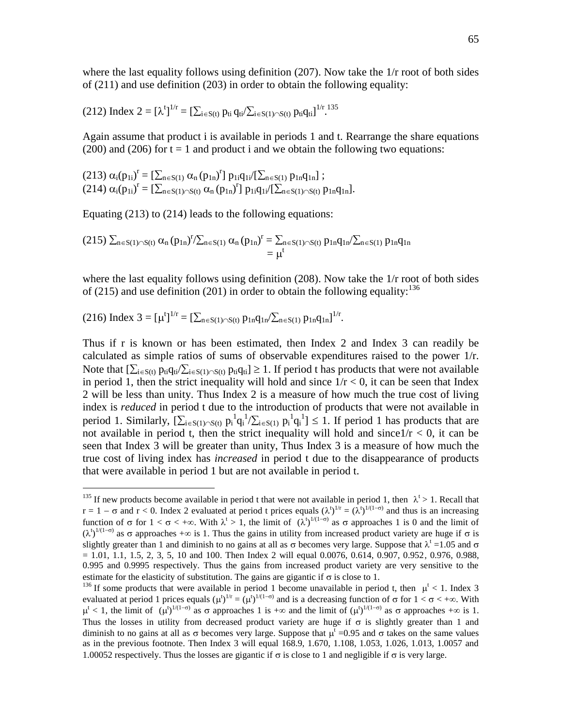where the last equality follows using definition  $(207)$ . Now take the  $1/r$  root of both sides of (211) and use definition (203) in order to obtain the following equality:

$$
(212)~Index~2=[\lambda^t]^{1/r}=[\textstyle\sum_{i\in S(t)}p_{ti}\,q_{ti}/\textstyle\sum_{i\in S(1)\cap S(t)}p_{ti}q_{ti}]^{1/r}~^{135}
$$

Again assume that product i is available in periods 1 and t. Rearrange the share equations  $(200)$  and  $(206)$  for  $t = 1$  and product i and we obtain the following two equations:

$$
(213) \alpha_i(p_{1i})^r = [\sum_{n \in S(1)} \alpha_n (p_{1n})^r] p_{1i} q_{1i}/[\sum_{n \in S(1)} p_{1n} q_{1n}] ;(214) \alpha_i(p_{1i})^r = [\sum_{n \in S(1) \cap S(t)} \alpha_n (p_{1n})^r] p_{1i} q_{1i}/[\sum_{n \in S(1) \cap S(t)} p_{1n} q_{1n}].
$$

Equating (213) to (214) leads to the following equations:

$$
(215)\ \sum_{n\in S(1)\cap S(t)}\alpha_{n}\,(p_{1n})^{r}/\sum_{n\in S(1)}\alpha_{n}\,(p_{1n})^{r}=\sum_{n\in S(1)\cap S(t)}p_{1n}q_{1n}/\sum_{n\in S(1)}p_{1n}q_{1n}\\=\mu^t
$$

where the last equality follows using definition (208). Now take the 1/r root of both sides of (215) and use definition (201) in order to obtain the following equality:  $136$ 

(216) Index 
$$
3 = [\mu^t]^{1/r} = [\sum_{n \in S(1) \cap S(t)} p_{1n}q_{1n}/\sum_{n \in S(1)} p_{1n}q_{1n}]^{1/r}
$$
.

 $\overline{a}$ 

Thus if r is known or has been estimated, then Index 2 and Index 3 can readily be calculated as simple ratios of sums of observable expenditures raised to the power 1/r. Note that  $[\sum_{i\in S(t)} p_{ti}q_{ti}/\sum_{i\in S(1)\cap S(t)} p_{ti}q_{ti}] \ge 1$ . If period t has products that were not available in period 1, then the strict inequality will hold and since  $1/r < 0$ , it can be seen that Index 2 will be less than unity. Thus Index 2 is a measure of how much the true cost of living index is *reduced* in period t due to the introduction of products that were not available in period 1. Similarly,  $[\sum_{i \in S(1) \cap S(t)} p_i^1 q_i^1 / \sum_{i \in S(1)} p_i^1 q_i^1] \le 1$ . If period 1 has products that are not available in period t, then the strict inequality will hold and since  $1/r < 0$ , it can be seen that Index 3 will be greater than unity, Thus Index 3 is a measure of how much the true cost of living index has *increased* in period t due to the disappearance of products that were available in period 1 but are not available in period t.

<sup>&</sup>lt;sup>135</sup> If new products become available in period t that were not available in period 1, then  $\lambda^t > 1$ . Recall that  $r = 1 - \sigma$  and  $r < 0$ . Index 2 evaluated at period t prices equals  $(\lambda^t)^{1/r} = (\lambda^t)^{1/(1-\sigma)}$  and thus is an increasing function of  $\sigma$  for  $1 < \sigma < +\infty$ . With  $\lambda^t > 1$ , the limit of  $(\lambda^t)^{1/(1-\sigma)}$  as  $\sigma$  approaches 1 is 0 and the limit of  $(\lambda^{t})^{1/(1-\sigma)}$  as  $\sigma$  approaches  $+\infty$  is 1. Thus the gains in utility from increased product variety are huge if  $\sigma$  is slightly greater than 1 and diminish to no gains at all as  $\sigma$  becomes very large. Suppose that  $\lambda^t = 1.05$  and  $\sigma$  $= 1.01, 1.1, 1.5, 2, 3, 5, 10$  and 100. Then Index 2 will equal 0.0076, 0.614, 0.907, 0.952, 0.976, 0.988, 0.995 and 0.9995 respectively. Thus the gains from increased product variety are very sensitive to the estimate for the elasticity of substitution. The gains are gigantic if  $\sigma$  is close to 1.

<sup>&</sup>lt;sup>136</sup> If some products that were available in period 1 become unavailable in period t, then  $\mu^t$  < 1. Index 3 evaluated at period 1 prices equals  $(\mu^t)^{1/r} = (\mu^t)^{1/(1-\sigma)}$  and is a decreasing function of  $\sigma$  for  $1 < \sigma < +\infty$ . With  $\mu^t$  < 1, the limit of  $(\mu^t)^{1/(1-\sigma)}$  as  $\sigma$  approaches 1 is  $+\infty$  and the limit of  $(\mu^t)^{1/(1-\sigma)}$  as  $\sigma$  approaches  $+\infty$  is 1. Thus the losses in utility from decreased product variety are huge if  $\sigma$  is slightly greater than 1 and diminish to no gains at all as  $\sigma$  becomes very large. Suppose that  $\mu^t = 0.95$  and  $\sigma$  takes on the same values as in the previous footnote. Then Index 3 will equal 168.9, 1.670, 1.108, 1.053, 1.026, 1.013, 1.0057 and 1.00052 respectively. Thus the losses are gigantic if  $\sigma$  is close to 1 and negligible if  $\sigma$  is very large.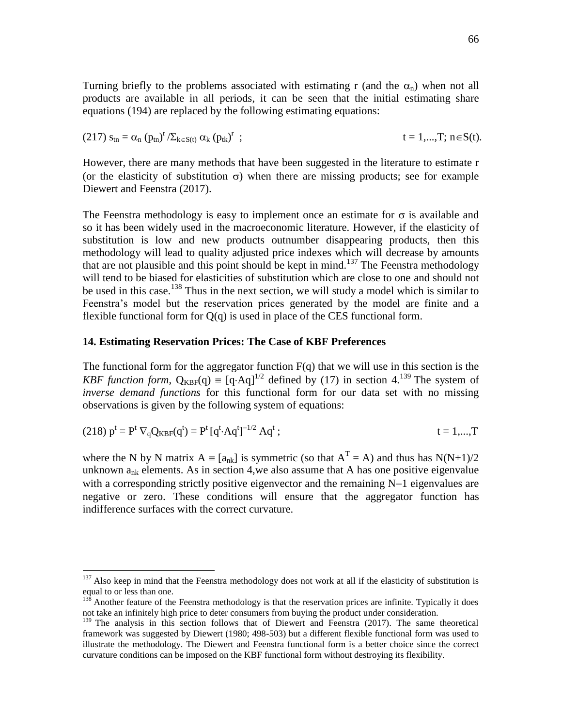Turning briefly to the problems associated with estimating r (and the  $\alpha_n$ ) when not all products are available in all periods, it can be seen that the initial estimating share equations (194) are replaced by the following estimating equations:

(217) 
$$
s_{tn} = \alpha_n (p_{tn})^r / \sum_{k \in S(t)} \alpha_k (p_{tk})^r
$$
 ;  $t = 1,...,T; n \in S(t)$ .

However, there are many methods that have been suggested in the literature to estimate r (or the elasticity of substitution  $\sigma$ ) when there are missing products; see for example Diewert and Feenstra (2017).

The Feenstra methodology is easy to implement once an estimate for  $\sigma$  is available and so it has been widely used in the macroeconomic literature. However, if the elasticity of substitution is low and new products outnumber disappearing products, then this methodology will lead to quality adjusted price indexes which will decrease by amounts that are not plausible and this point should be kept in mind.<sup>137</sup> The Feenstra methodology will tend to be biased for elasticities of substitution which are close to one and should not be used in this case.<sup>138</sup> Thus in the next section, we will study a model which is similar to Feenstra's model but the reservation prices generated by the model are finite and a flexible functional form for  $Q(q)$  is used in place of the CES functional form.

## **14. Estimating Reservation Prices: The Case of KBF Preferences**

 $\overline{a}$ 

The functional form for the aggregator function  $F(q)$  that we will use in this section is the *KBF function form*,  $Q_{KBF}(q) \equiv [q \cdot Aq]^{1/2}$  defined by (17) in section 4.<sup>139</sup> The system of *inverse demand functions* for this functional form for our data set with no missing observations is given by the following system of equations:

(218) 
$$
p^t = P^t \nabla_q Q_{KBF}(q^t) = P^t [q^t \cdot Aq^t]^{-1/2} Aq^t
$$
;  $t = 1,...,T$ 

where the N by N matrix  $A = [a_{nk}]$  is symmetric (so that  $A<sup>T</sup> = A$ ) and thus has  $N(N+1)/2$ unknown  $a_{nk}$  elements. As in section 4, we also assume that A has one positive eigenvalue with a corresponding strictly positive eigenvector and the remaining  $N-1$  eigenvalues are negative or zero. These conditions will ensure that the aggregator function has indifference surfaces with the correct curvature.

 $137$  Also keep in mind that the Feenstra methodology does not work at all if the elasticity of substitution is equal to or less than one.

 $13<sup>8</sup>$  Another feature of the Feenstra methodology is that the reservation prices are infinite. Typically it does not take an infinitely high price to deter consumers from buying the product under consideration.

<sup>&</sup>lt;sup>139</sup> The analysis in this section follows that of Diewert and Feenstra (2017). The same theoretical framework was suggested by Diewert (1980; 498-503) but a different flexible functional form was used to illustrate the methodology. The Diewert and Feenstra functional form is a better choice since the correct curvature conditions can be imposed on the KBF functional form without destroying its flexibility.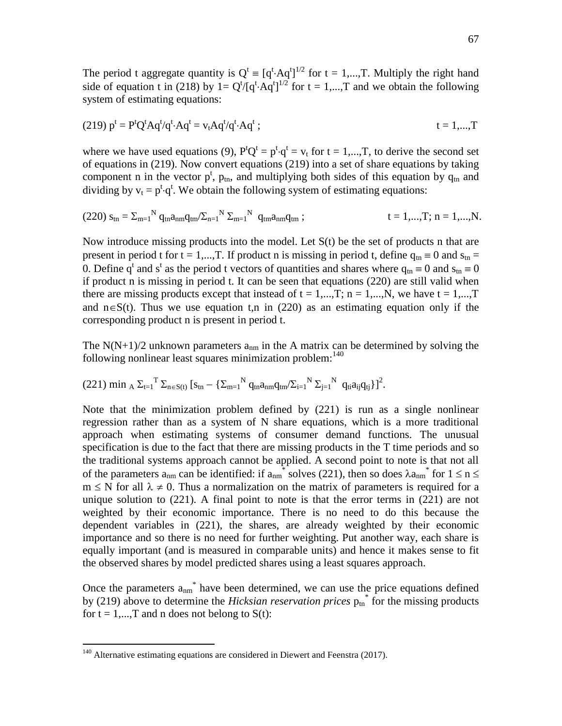The period t aggregate quantity is  $Q^t = [q^t \cdot Aq^t]^{1/2}$  for  $t = 1,...,T$ . Multiply the right hand side of equation t in (218) by  $1 = Q^{t}/[q^{t} \cdot Aq^{t}]^{1/2}$  for  $t = 1,...,T$  and we obtain the following system of estimating equations:

$$
(219) pt = PtQtAqt/qt \cdot Aqt = vtAqt/qt \cdot Aqt ; \t\t t = 1,...,T
$$

where we have used equations (9),  $P^tQ^t = p^t \cdot q^t = v_t$  for  $t = 1,...,T$ , to derive the second set of equations in (219). Now convert equations (219) into a set of share equations by taking component n in the vector  $p^t$ ,  $p_{tn}$ , and multiplying both sides of this equation by  $q_{tn}$  and dividing by  $v_t = p^t \cdot q^t$ . We obtain the following system of estimating equations:

$$
(220) s_{tn} = \Sigma_{m=1}^{N} q_{tn} a_{nm} q_{tm} / \Sigma_{n=1}^{N} \Sigma_{m=1}^{N} q_{tm} a_{nm} q_{tm} ; \qquad t = 1,...,T; n = 1,...,N.
$$

Now introduce missing products into the model. Let  $S(t)$  be the set of products n that are present in period t for t = 1,..., T. If product n is missing in period t, define  $q_{tn} \equiv 0$  and  $s_{tn} =$ 0. Define  $q^t$  and  $s^t$  as the period t vectors of quantities and shares where  $q_{tn} \equiv 0$  and  $s_{tn} \equiv 0$ if product n is missing in period t. It can be seen that equations (220) are still valid when there are missing products except that instead of  $t = 1,...,T$ ;  $n = 1,...,N$ , we have  $t = 1,...,T$ and  $n \in S(t)$ . Thus we use equation t,n in (220) as an estimating equation only if the corresponding product n is present in period t.

The  $N(N+1)/2$  unknown parameters  $a_{nm}$  in the A matrix can be determined by solving the following nonlinear least squares minimization problem: $140$ 

$$
(221) \ \text{min}\ _{A} \ \Sigma_{t=1}{}^{T} \ \Sigma_{n \in S(t)} \ [s_{tn}-\{\Sigma_{m=1}{}^{N} \ q_{tn}a_{nm}q_{tm}\!\!/\Sigma_{i=1}{}^{N} \ \Sigma_{j=1}{}^{N} \ q_{ti}a_{ij}q_{tj}\}]^{2}.
$$

Note that the minimization problem defined by (221) is run as a single nonlinear regression rather than as a system of N share equations, which is a more traditional approach when estimating systems of consumer demand functions. The unusual specification is due to the fact that there are missing products in the T time periods and so the traditional systems approach cannot be applied. A second point to note is that not all of the parameters  $a_{nm}$  can be identified: if  $a_{nm}^*$  solves (221), then so does  $\lambda a_{nm}^*$  for  $1 \le n \le n$  $m \leq N$  for all  $\lambda \neq 0$ . Thus a normalization on the matrix of parameters is required for a unique solution to  $(221)$ . A final point to note is that the error terms in  $(221)$  are not weighted by their economic importance. There is no need to do this because the dependent variables in (221), the shares, are already weighted by their economic importance and so there is no need for further weighting. Put another way, each share is equally important (and is measured in comparable units) and hence it makes sense to fit the observed shares by model predicted shares using a least squares approach.

Once the parameters  $a_{nm}$ <sup>\*</sup> have been determined, we can use the price equations defined by (219) above to determine the *Hicksian reservation prices*  $p_{tn}^*$  for the missing products for  $t = 1,...,T$  and n does not belong to  $S(t)$ :

<sup>&</sup>lt;sup>140</sup> Alternative estimating equations are considered in Diewert and Feenstra (2017).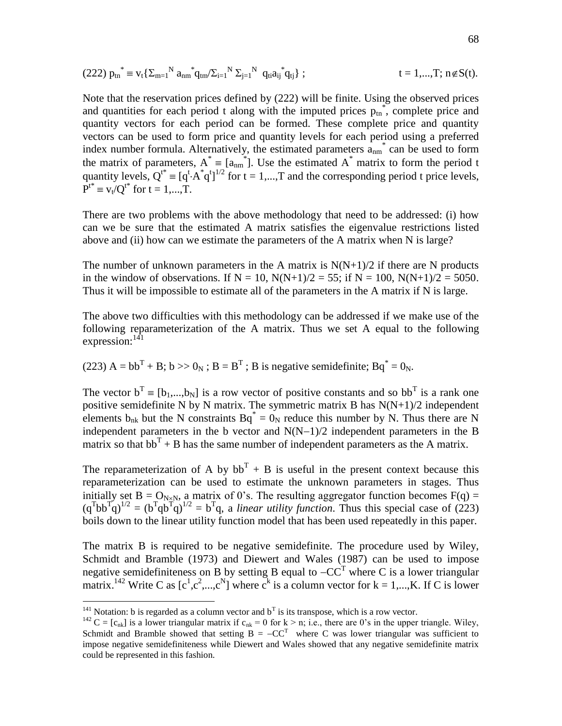$$
(222) p_{tn}^{*} = v_t \left\{ \Sigma_{m=1}^{N} a_{nm}^{*} q_{tm} / \Sigma_{i=1}^{N} \Sigma_{j=1}^{N} q_{ti} a_{ij}^{*} q_{tj} \right\};
$$
 t = 1,...,T; n \notin S(t).

Note that the reservation prices defined by (222) will be finite. Using the observed prices and quantities for each period t along with the imputed prices  $p_{\text{tn}}^*$ , complete price and quantity vectors for each period can be formed. These complete price and quantity vectors can be used to form price and quantity levels for each period using a preferred index number formula. Alternatively, the estimated parameters  $a_{nm}$ <sup>\*</sup> can be used to form the matrix of parameters,  $A^* = [a_{nm}^*]$ . Use the estimated  $A^*$  matrix to form the period t quantity levels,  $Q^{t*} \equiv [q^t \cdot A^* q^t]^{1/2}$  for  $t = 1,...,T$  and the corresponding period t price levels,  $P^{t^*} \equiv v_t / Q^{t^*}$  for  $t = 1,...,T$ .

There are two problems with the above methodology that need to be addressed: (i) how can we be sure that the estimated A matrix satisfies the eigenvalue restrictions listed above and (ii) how can we estimate the parameters of the A matrix when N is large?

The number of unknown parameters in the A matrix is  $N(N+1)/2$  if there are N products in the window of observations. If  $N = 10$ ,  $N(N+1)/2 = 55$ ; if  $N = 100$ ,  $N(N+1)/2 = 5050$ . Thus it will be impossible to estimate all of the parameters in the A matrix if N is large.

The above two difficulties with this methodology can be addressed if we make use of the following reparameterization of the A matrix. Thus we set A equal to the following expression: $^{141}$ 

(223)  $A = bb^{T} + B$ ;  $b >> 0_{N}$ ;  $B = B^{T}$ ; B is negative semidefinite;  $Bq^* = 0_{N}$ .

The vector  $b^T = [b_1,...,b_N]$  is a row vector of positive constants and so  $bb^T$  is a rank one positive semidefinite N by N matrix. The symmetric matrix B has  $N(N+1)/2$  independent elements  $b_{nk}$  but the N constraints  $Bq^* = 0_N$  reduce this number by N. Thus there are N independent parameters in the b vector and  $N(N-1)/2$  independent parameters in the B matrix so that  $bb<sup>T</sup> + B$  has the same number of independent parameters as the A matrix.

The reparameterization of A by  $bb<sup>T</sup> + B$  is useful in the present context because this reparameterization can be used to estimate the unknown parameters in stages. Thus initially set  $B = O_{N \times N}$ , a matrix of 0's. The resulting aggregator function becomes  $F(q) =$  $(q^{\text{T}}bb^{\text{T}}q)^{1/2} = (b^{\text{T}}qb^{\text{T}}q)^{1/2} = b^{\text{T}}q$ , a *linear utility function*. Thus this special case of (223) boils down to the linear utility function model that has been used repeatedly in this paper.

The matrix B is required to be negative semidefinite. The procedure used by Wiley, Schmidt and Bramble (1973) and Diewert and Wales (1987) can be used to impose negative semidefiniteness on B by setting B equal to  $-CC^T$  where C is a lower triangular matrix.<sup>142</sup> Write C as  $[c^1, c^2, ..., c^N]$  where  $c^k$  is a column vector for  $k = 1,...,K$ . If C is lower

<sup>&</sup>lt;sup>141</sup> Notation: b is regarded as a column vector and  $b<sup>T</sup>$  is its transpose, which is a row vector.

<sup>&</sup>lt;sup>142</sup> C = [c<sub>nk</sub>] is a lower triangular matrix if c<sub>nk</sub> = 0 for k > n; i.e., there are 0's in the upper triangle. Wiley, Schmidt and Bramble showed that setting  $B = -CC^T$  where C was lower triangular was sufficient to impose negative semidefiniteness while Diewert and Wales showed that any negative semidefinite matrix could be represented in this fashion.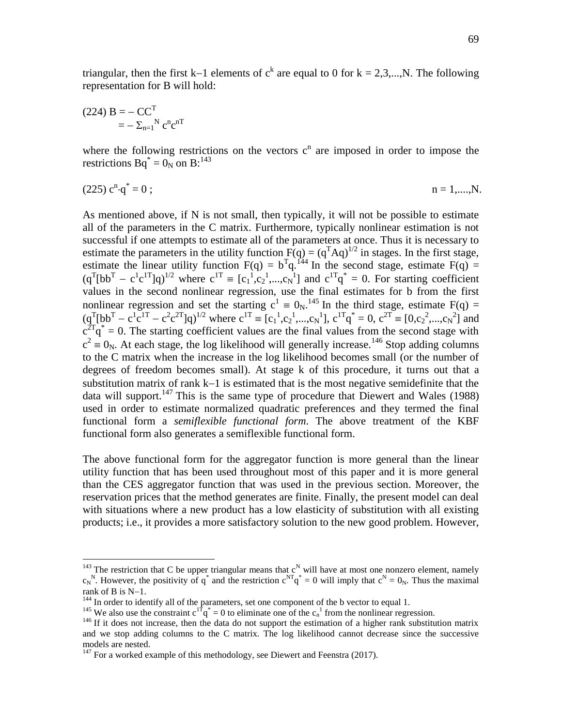triangular, then the first k–1 elements of  $c^k$  are equal to 0 for k = 2,3,...,N. The following representation for B will hold:

$$
(224) \mathbf{B} = -\mathbf{C}\mathbf{C}^{\mathrm{T}} = -\sum_{n=1}^{N} c^{n} c^{n\mathrm{T}}
$$

 $\overline{a}$ 

where the following restrictions on the vectors  $c^n$  are imposed in order to impose the restrictions  $Bq^* = 0_N$  on  $B:^{143}$ 

 $(225) c<sup>n</sup>·q<sup>*</sup>$  $n = 1, \ldots, N.$ 

As mentioned above, if N is not small, then typically, it will not be possible to estimate all of the parameters in the C matrix. Furthermore, typically nonlinear estimation is not successful if one attempts to estimate all of the parameters at once. Thus it is necessary to estimate the parameters in the utility function  $F(q) = (q^T A q)^{1/2}$  in stages. In the first stage, estimate the linear utility function  $F(q) = b^Tq$ . <sup>144</sup> In the second stage, estimate  $F(q) =$  $(q^T [bb^T - c^1 c^{1T}]q)^{1/2}$  where  $c^{1T} = [c_1^1, c_2^1, ..., c_N^T]$  and  $c^{1T}q^* = 0$ . For starting coefficient values in the second nonlinear regression, use the final estimates for b from the first nonlinear regression and set the starting  $c^1 \equiv 0_N$ .<sup>145</sup> In the third stage, estimate F(q) =  $(q^{T}[bb^{T} - c^{1}c^{1T} - c^{2}c^{2T}]q)^{1/2}$  where  $c^{1T} \equiv [c_1^{1}, c_2^{1}, ..., c_N^{1}], c^{1T}q^{*} = 0, c^{2T} \equiv [0, c_2^{2}, ..., c_N^{2}]$  and  $c^{2T}q^* = 0$ . The starting coefficient values are the final values from the second stage with  $c^2 \equiv 0_N$ . At each stage, the log likelihood will generally increase.<sup>146</sup> Stop adding columns to the C matrix when the increase in the log likelihood becomes small (or the number of degrees of freedom becomes small). At stage k of this procedure, it turns out that a substitution matrix of rank  $k-1$  is estimated that is the most negative semidefinite that the data will support.<sup>147</sup> This is the same type of procedure that Diewert and Wales (1988) used in order to estimate normalized quadratic preferences and they termed the final functional form a *semiflexible functional form*. The above treatment of the KBF functional form also generates a semiflexible functional form.

The above functional form for the aggregator function is more general than the linear utility function that has been used throughout most of this paper and it is more general than the CES aggregator function that was used in the previous section. Moreover, the reservation prices that the method generates are finite. Finally, the present model can deal with situations where a new product has a low elasticity of substitution with all existing products; i.e., it provides a more satisfactory solution to the new good problem. However,

<sup>&</sup>lt;sup>143</sup> The restriction that C be upper triangular means that  $c^N$  will have at most one nonzero element, namely  $c_N^N$ . However, the positivity of q<sup>\*</sup> and the restriction  $c^{NT}q^* = 0$  will imply that  $c^N = 0_N$ . Thus the maximal rank of  $B$  is  $N-1$ .

<sup>&</sup>lt;sup>144</sup> In order to identify all of the parameters, set one component of the b vector to equal 1.

<sup>&</sup>lt;sup>145</sup> We also use the constraint  $c^{1T}q^* = 0$  to eliminate one of the  $c_n^1$  from the nonlinear regression.

<sup>&</sup>lt;sup>146</sup> If it does not increase, then the data do not support the estimation of a higher rank substitution matrix and we stop adding columns to the C matrix. The log likelihood cannot decrease since the successive models are nested.

 $147$  For a worked example of this methodology, see Diewert and Feenstra (2017).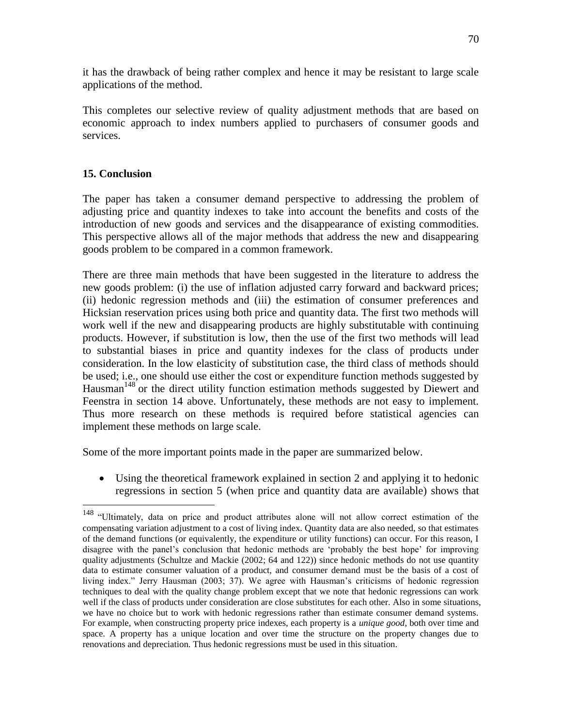it has the drawback of being rather complex and hence it may be resistant to large scale applications of the method.

This completes our selective review of quality adjustment methods that are based on economic approach to index numbers applied to purchasers of consumer goods and services.

# **15. Conclusion**

 $\overline{a}$ 

The paper has taken a consumer demand perspective to addressing the problem of adjusting price and quantity indexes to take into account the benefits and costs of the introduction of new goods and services and the disappearance of existing commodities. This perspective allows all of the major methods that address the new and disappearing goods problem to be compared in a common framework.

There are three main methods that have been suggested in the literature to address the new goods problem: (i) the use of inflation adjusted carry forward and backward prices; (ii) hedonic regression methods and (iii) the estimation of consumer preferences and Hicksian reservation prices using both price and quantity data. The first two methods will work well if the new and disappearing products are highly substitutable with continuing products. However, if substitution is low, then the use of the first two methods will lead to substantial biases in price and quantity indexes for the class of products under consideration. In the low elasticity of substitution case, the third class of methods should be used; i.e., one should use either the cost or expenditure function methods suggested by Hausman<sup>148</sup> or the direct utility function estimation methods suggested by Diewert and Feenstra in section 14 above. Unfortunately, these methods are not easy to implement. Thus more research on these methods is required before statistical agencies can implement these methods on large scale.

Some of the more important points made in the paper are summarized below.

 Using the theoretical framework explained in section 2 and applying it to hedonic regressions in section 5 (when price and quantity data are available) shows that

<sup>&</sup>lt;sup>148</sup> "Ultimately, data on price and product attributes alone will not allow correct estimation of the compensating variation adjustment to a cost of living index. Quantity data are also needed, so that estimates of the demand functions (or equivalently, the expenditure or utility functions) can occur. For this reason, I disagree with the panel's conclusion that hedonic methods are 'probably the best hope' for improving quality adjustments (Schultze and Mackie (2002; 64 and 122)) since hedonic methods do not use quantity data to estimate consumer valuation of a product, and consumer demand must be the basis of a cost of living index." Jerry Hausman (2003; 37). We agree with Hausman's criticisms of hedonic regression techniques to deal with the quality change problem except that we note that hedonic regressions can work well if the class of products under consideration are close substitutes for each other. Also in some situations, we have no choice but to work with hedonic regressions rather than estimate consumer demand systems. For example, when constructing property price indexes, each property is a *unique good*, both over time and space. A property has a unique location and over time the structure on the property changes due to renovations and depreciation. Thus hedonic regressions must be used in this situation.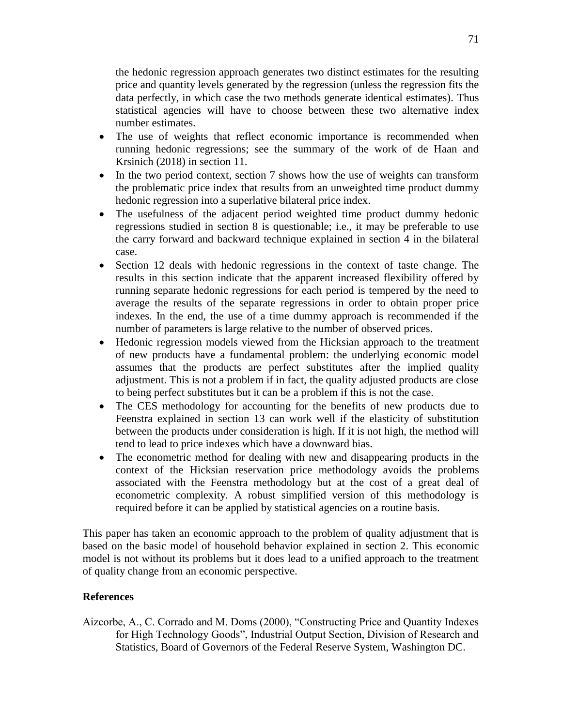the hedonic regression approach generates two distinct estimates for the resulting price and quantity levels generated by the regression (unless the regression fits the data perfectly, in which case the two methods generate identical estimates). Thus statistical agencies will have to choose between these two alternative index number estimates.

- The use of weights that reflect economic importance is recommended when running hedonic regressions; see the summary of the work of de Haan and Krsinich (2018) in section 11.
- In the two period context, section 7 shows how the use of weights can transform the problematic price index that results from an unweighted time product dummy hedonic regression into a superlative bilateral price index.
- The usefulness of the adjacent period weighted time product dummy hedonic regressions studied in section 8 is questionable; i.e., it may be preferable to use the carry forward and backward technique explained in section 4 in the bilateral case.
- Section 12 deals with hedonic regressions in the context of taste change. The results in this section indicate that the apparent increased flexibility offered by running separate hedonic regressions for each period is tempered by the need to average the results of the separate regressions in order to obtain proper price indexes. In the end, the use of a time dummy approach is recommended if the number of parameters is large relative to the number of observed prices.
- Hedonic regression models viewed from the Hicksian approach to the treatment of new products have a fundamental problem: the underlying economic model assumes that the products are perfect substitutes after the implied quality adjustment. This is not a problem if in fact, the quality adjusted products are close to being perfect substitutes but it can be a problem if this is not the case.
- The CES methodology for accounting for the benefits of new products due to Feenstra explained in section 13 can work well if the elasticity of substitution between the products under consideration is high. If it is not high, the method will tend to lead to price indexes which have a downward bias.
- The econometric method for dealing with new and disappearing products in the context of the Hicksian reservation price methodology avoids the problems associated with the Feenstra methodology but at the cost of a great deal of econometric complexity. A robust simplified version of this methodology is required before it can be applied by statistical agencies on a routine basis.

This paper has taken an economic approach to the problem of quality adjustment that is based on the basic model of household behavior explained in section 2. This economic model is not without its problems but it does lead to a unified approach to the treatment of quality change from an economic perspective.

# **References**

Aizcorbe, A., C. Corrado and M. Doms (2000), "Constructing Price and Quantity Indexes for High Technology Goods", Industrial Output Section, Division of Research and Statistics, Board of Governors of the Federal Reserve System, Washington DC.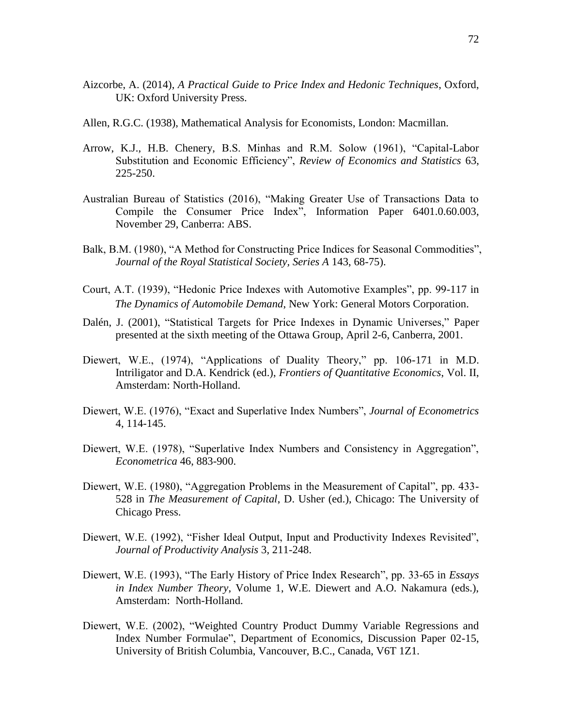- Aizcorbe, A. (2014), *A Practical Guide to Price Index and Hedonic Techniques*, Oxford, UK: Oxford University Press.
- Allen, R.G.C. (1938), Mathematical Analysis for Economists, London: Macmillan.
- Arrow, K.J., H.B. Chenery, B.S. Minhas and R.M. Solow (1961), "Capital-Labor Substitution and Economic Efficiency", *Review of Economics and Statistics* 63, 225-250.
- Australian Bureau of Statistics (2016), "Making Greater Use of Transactions Data to Compile the Consumer Price Index", Information Paper 6401.0.60.003, November 29, Canberra: ABS.
- Balk, B.M. (1980), "A Method for Constructing Price Indices for Seasonal Commodities", *Journal of the Royal Statistical Society, Series A* 143, 68-75).
- Court, A.T. (1939), "Hedonic Price Indexes with Automotive Examples", pp. 99-117 in *The Dynamics of Automobile Demand*, New York: General Motors Corporation.
- Dalén, J. (2001), "Statistical Targets for Price Indexes in Dynamic Universes," Paper presented at the sixth meeting of the Ottawa Group, April 2-6, Canberra, 2001.
- Diewert, W.E., (1974), "Applications of Duality Theory," pp. 106-171 in M.D. Intriligator and D.A. Kendrick (ed.), *Frontiers of Quantitative Economics*, Vol. II, Amsterdam: North-Holland.
- Diewert, W.E. (1976), "Exact and Superlative Index Numbers", *Journal of Econometrics* 4, 114-145.
- Diewert, W.E. (1978), "Superlative Index Numbers and Consistency in Aggregation", *Econometrica* 46, 883-900.
- Diewert, W.E. (1980), "Aggregation Problems in the Measurement of Capital", pp. 433- 528 in *The Measurement of Capital*, D. Usher (ed.), Chicago: The University of Chicago Press.
- Diewert, W.E. (1992), "Fisher Ideal Output, Input and Productivity Indexes Revisited", *Journal of Productivity Analysis* 3, 211-248.
- Diewert, W.E. (1993), "The Early History of Price Index Research", pp. 33-65 in *Essays in Index Number Theory*, Volume 1, W.E. Diewert and A.O. Nakamura (eds.), Amsterdam: North-Holland.
- Diewert, W.E. (2002), "Weighted Country Product Dummy Variable Regressions and Index Number Formulae", Department of Economics, Discussion Paper 02-15, University of British Columbia, Vancouver, B.C., Canada, V6T 1Z1.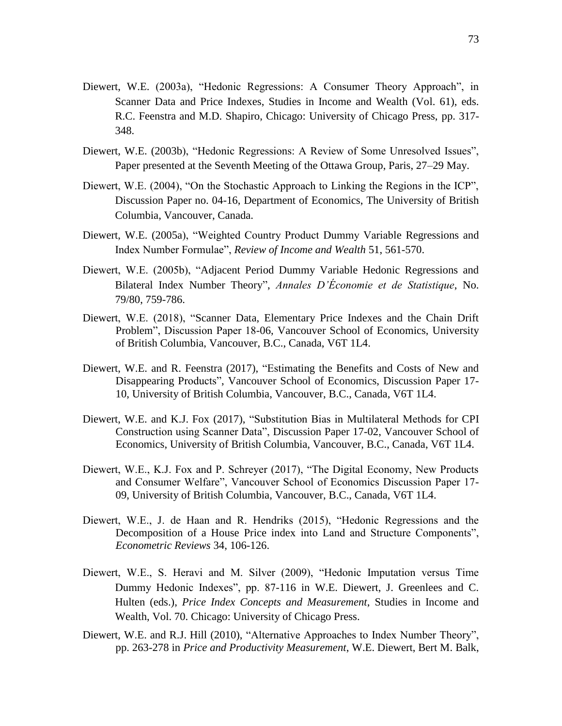- Diewert, W.E. (2003a), "Hedonic Regressions: A Consumer Theory Approach", in Scanner Data and Price Indexes, Studies in Income and Wealth (Vol. 61), eds. R.C. Feenstra and M.D. Shapiro, Chicago: University of Chicago Press, pp. 317- 348.
- Diewert, W.E. (2003b), "Hedonic Regressions: A Review of Some Unresolved Issues", Paper presented at the Seventh Meeting of the Ottawa Group, Paris, 27–29 May.
- Diewert, W.E. (2004), "On the Stochastic Approach to Linking the Regions in the ICP", Discussion Paper no. 04-16, Department of Economics, The University of British Columbia, Vancouver, Canada.
- Diewert, W.E. (2005a), "Weighted Country Product Dummy Variable Regressions and Index Number Formulae", *Review of Income and Wealth* 51, 561-570.
- Diewert, W.E. (2005b), "Adjacent Period Dummy Variable Hedonic Regressions and Bilateral Index Number Theory", *Annales D'Économie et de Statistique*, No. 79/80, 759-786.
- Diewert, W.E. (2018), "Scanner Data, Elementary Price Indexes and the Chain Drift Problem", Discussion Paper 18-06, Vancouver School of Economics, University of British Columbia, Vancouver, B.C., Canada, V6T 1L4.
- Diewert, W.E. and R. Feenstra (2017), "Estimating the Benefits and Costs of New and Disappearing Products", Vancouver School of Economics, Discussion Paper 17- 10, University of British Columbia, Vancouver, B.C., Canada, V6T 1L4.
- Diewert, W.E. and K.J. Fox (2017), "Substitution Bias in Multilateral Methods for CPI Construction using Scanner Data", Discussion Paper 17-02, Vancouver School of Economics, University of British Columbia, Vancouver, B.C., Canada, V6T 1L4.
- Diewert, W.E., K.J. Fox and P. Schreyer (2017), "The Digital Economy, New Products and Consumer Welfare", Vancouver School of Economics Discussion Paper 17- 09, University of British Columbia, Vancouver, B.C., Canada, V6T 1L4.
- Diewert, W.E., J. de Haan and R. Hendriks (2015), "Hedonic Regressions and the Decomposition of a House Price index into Land and Structure Components", *Econometric Reviews* 34, 106-126.
- Diewert, W.E., S. Heravi and M. Silver (2009), "Hedonic Imputation versus Time Dummy Hedonic Indexes", pp. 87-116 in W.E. Diewert, J. Greenlees and C. Hulten (eds.), *Price Index Concepts and Measurement*, Studies in Income and Wealth, Vol. 70. Chicago: University of Chicago Press.
- Diewert, W.E. and R.J. Hill (2010), "Alternative Approaches to Index Number Theory", pp. 263-278 in *Price and Productivity Measurement*, W.E. Diewert, Bert M. Balk,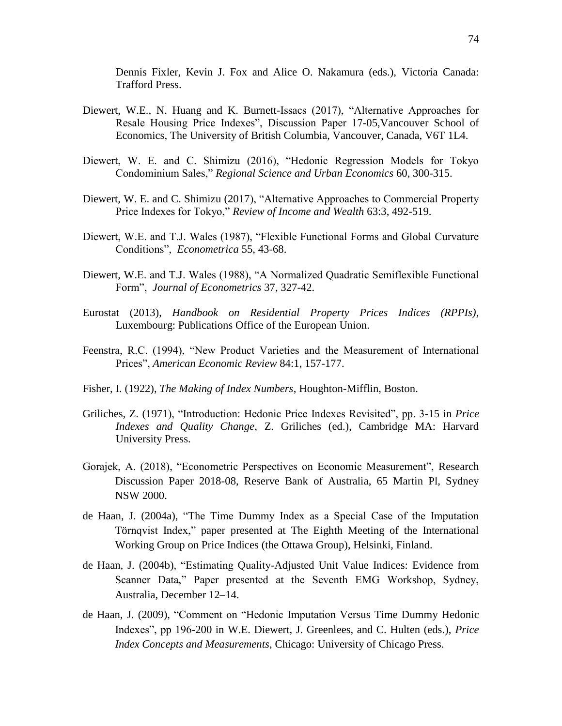Dennis Fixler, Kevin J. Fox and Alice O. Nakamura (eds.), Victoria Canada: Trafford Press.

- Diewert, W.E., N. Huang and K. Burnett-Issacs (2017), "Alternative Approaches for Resale Housing Price Indexes", Discussion Paper 17-05,Vancouver School of Economics, The University of British Columbia, Vancouver, Canada, V6T 1L4.
- Diewert, W. E. and C. Shimizu (2016), "Hedonic Regression Models for Tokyo Condominium Sales," *Regional Science and Urban Economics* 60, 300-315.
- Diewert, W. E. and C. Shimizu (2017), "Alternative Approaches to Commercial Property Price Indexes for Tokyo," *Review of Income and Wealth* 63:3, 492-519.
- Diewert, W.E. and T.J. Wales (1987), "Flexible Functional Forms and Global Curvature Conditions", *Econometrica* 55, 43-68.
- Diewert, W.E. and T.J. Wales (1988), "A Normalized Quadratic Semiflexible Functional Form", *Journal of Econometrics* 37, 327-42.
- Eurostat (2013), *Handbook on Residential Property Prices Indices (RPPIs)*, Luxembourg: Publications Office of the European Union.
- Feenstra, R.C. (1994), "New Product Varieties and the Measurement of International Prices", *American Economic Review* 84:1, 157-177.
- Fisher, I. (1922), *The Making of Index Numbers*, Houghton-Mifflin, Boston.
- Griliches, Z. (1971), "Introduction: Hedonic Price Indexes Revisited", pp. 3-15 in *Price Indexes and Quality Change*, Z. Griliches (ed.), Cambridge MA: Harvard University Press.
- Gorajek, A. (2018), "Econometric Perspectives on Economic Measurement", Research Discussion Paper 2018-08, Reserve Bank of Australia, 65 Martin Pl, Sydney NSW 2000.
- de Haan, J. (2004a), "The Time Dummy Index as a Special Case of the Imputation Törnqvist Index," paper presented at The Eighth Meeting of the International Working Group on Price Indices (the Ottawa Group), Helsinki, Finland.
- de Haan, J. (2004b), "Estimating Quality-Adjusted Unit Value Indices: Evidence from Scanner Data," Paper presented at the Seventh EMG Workshop, Sydney, Australia, December 12–14.
- de Haan, J. (2009), "Comment on "Hedonic Imputation Versus Time Dummy Hedonic Indexes", pp 196-200 in W.E. Diewert, J. Greenlees, and C. Hulten (eds.), *Price Index Concepts and Measurements*, Chicago: University of Chicago Press.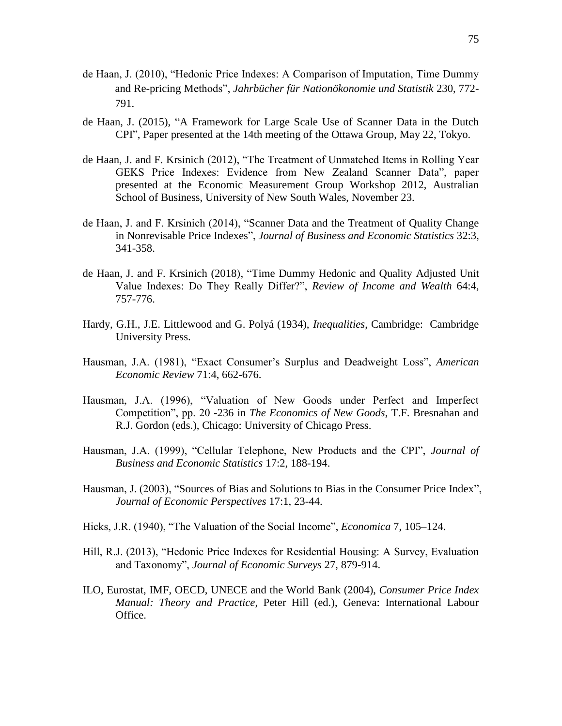- de Haan, J. (2010), "Hedonic Price Indexes: A Comparison of Imputation, Time Dummy and Re-pricing Methods", *Jahrbücher für Nationökonomie und Statistik* 230, 772- 791.
- de Haan, J. (2015), "A Framework for Large Scale Use of Scanner Data in the Dutch CPI", Paper presented at the 14th meeting of the Ottawa Group, May 22, Tokyo.
- de Haan, J. and F. Krsinich (2012), "The Treatment of Unmatched Items in Rolling Year GEKS Price Indexes: Evidence from New Zealand Scanner Data", paper presented at the Economic Measurement Group Workshop 2012, Australian School of Business, University of New South Wales, November 23.
- de Haan, J. and F. Krsinich (2014), "Scanner Data and the Treatment of Quality Change in Nonrevisable Price Indexes", *Journal of Business and Economic Statistics* 32:3, 341-358.
- de Haan, J. and F. Krsinich (2018), "Time Dummy Hedonic and Quality Adjusted Unit Value Indexes: Do They Really Differ?", *Review of Income and Wealth* 64:4, 757-776.
- Hardy, G.H., J.E. Littlewood and G. Polyá (1934), *Inequalities*, Cambridge: Cambridge University Press.
- Hausman, J.A. (1981), "Exact Consumer's Surplus and Deadweight Loss", *American Economic Review* 71:4, 662-676.
- Hausman, J.A. (1996), "Valuation of New Goods under Perfect and Imperfect Competition", pp. 20 -236 in *The Economics of New Goods*, T.F. Bresnahan and R.J. Gordon (eds.), Chicago: University of Chicago Press.
- Hausman, J.A. (1999), "Cellular Telephone, New Products and the CPI", *Journal of Business and Economic Statistics* 17:2, 188-194.
- Hausman, J. (2003), "Sources of Bias and Solutions to Bias in the Consumer Price Index", *Journal of Economic Perspectives* 17:1, 23-44.
- Hicks, J.R. (1940), "The Valuation of the Social Income", *Economica* 7, 105–124.
- Hill, R.J. (2013), "Hedonic Price Indexes for Residential Housing: A Survey, Evaluation and Taxonomy", *Journal of Economic Surveys* 27, 879-914.
- ILO, Eurostat, IMF, OECD, UNECE and the World Bank (2004), *Consumer Price Index Manual: Theory and Practice*, Peter Hill (ed.), Geneva: International Labour Office.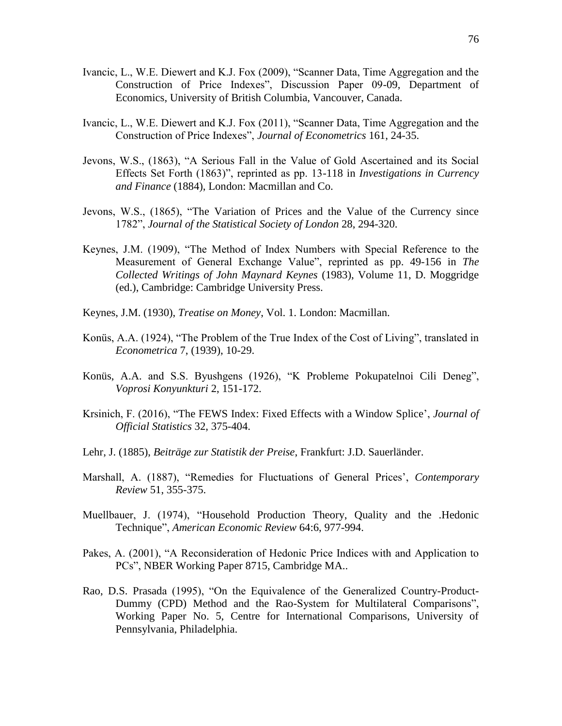- Ivancic, L., W.E. Diewert and K.J. Fox (2009), "Scanner Data, Time Aggregation and the Construction of Price Indexes", Discussion Paper 09-09, Department of Economics, University of British Columbia, Vancouver, Canada.
- Ivancic, L., W.E. Diewert and K.J. Fox (2011), "Scanner Data, Time Aggregation and the Construction of Price Indexes", *Journal of Econometrics* 161, 24-35.
- Jevons, W.S., (1863), "A Serious Fall in the Value of Gold Ascertained and its Social Effects Set Forth (1863)", reprinted as pp. 13-118 in *Investigations in Currency and Finance* (1884), London: Macmillan and Co.
- Jevons, W.S., (1865), "The Variation of Prices and the Value of the Currency since 1782", *Journal of the Statistical Society of London* 28, 294-320.
- Keynes, J.M. (1909), "The Method of Index Numbers with Special Reference to the Measurement of General Exchange Value", reprinted as pp. 49-156 in *The Collected Writings of John Maynard Keynes* (1983), Volume 11, D. Moggridge (ed.), Cambridge: Cambridge University Press.
- Keynes, J.M. (1930), *Treatise on Money*, Vol. 1. London: Macmillan.
- Konüs, A.A. (1924), "The Problem of the True Index of the Cost of Living", translated in *Econometrica* 7, (1939), 10-29.
- Konüs, A.A. and S.S. Byushgens (1926), "K Probleme Pokupatelnoi Cili Deneg", *Voprosi Konyunkturi* 2, 151-172.
- Krsinich, F. (2016), "The FEWS Index: Fixed Effects with a Window Splice', *Journal of Official Statistics* 32, 375-404.
- Lehr, J. (1885), *Beiträge zur Statistik der Preise*, Frankfurt: J.D. Sauerländer.
- Marshall, A. (1887), "Remedies for Fluctuations of General Prices', *Contemporary Review* 51, 355-375.
- Muellbauer, J. (1974), "Household Production Theory, Quality and the .Hedonic Technique", *American Economic Review* 64:6, 977-994.
- Pakes, A. (2001), "A Reconsideration of Hedonic Price Indices with and Application to PCs", NBER Working Paper 8715, Cambridge MA..
- Rao, D.S. Prasada (1995), "On the Equivalence of the Generalized Country-Product-Dummy (CPD) Method and the Rao-System for Multilateral Comparisons", Working Paper No. 5, Centre for International Comparisons, University of Pennsylvania, Philadelphia.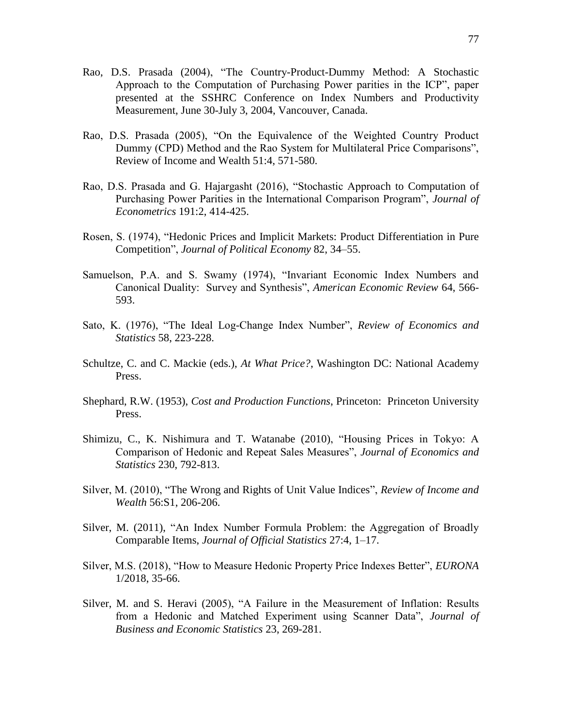- Rao, D.S. Prasada (2004), "The Country-Product-Dummy Method: A Stochastic Approach to the Computation of Purchasing Power parities in the ICP", paper presented at the SSHRC Conference on Index Numbers and Productivity Measurement, June 30-July 3, 2004, Vancouver, Canada.
- Rao, D.S. Prasada (2005), "On the Equivalence of the Weighted Country Product Dummy (CPD) Method and the Rao System for Multilateral Price Comparisons", Review of Income and Wealth 51:4, 571-580.
- Rao, D.S. Prasada and G. Hajargasht (2016), "Stochastic Approach to Computation of Purchasing Power Parities in the International Comparison Program", *Journal of Econometrics* 191:2, 414-425.
- Rosen, S. (1974), "Hedonic Prices and Implicit Markets: Product Differentiation in Pure Competition", *Journal of Political Economy* 82, 34–55.
- Samuelson, P.A. and S. Swamy (1974), "Invariant Economic Index Numbers and Canonical Duality: Survey and Synthesis", *American Economic Review* 64, 566- 593.
- Sato, K. (1976), "The Ideal Log-Change Index Number", *Review of Economics and Statistics* 58, 223-228.
- Schultze, C. and C. Mackie (eds.), *At What Price?*, Washington DC: National Academy Press.
- Shephard, R.W. (1953), *Cost and Production Functions*, Princeton: Princeton University Press.
- Shimizu, C., K. Nishimura and T. Watanabe (2010), "Housing Prices in Tokyo: A Comparison of Hedonic and Repeat Sales Measures", *Journal of Economics and Statistics* 230, 792-813.
- Silver, M. (2010), "The Wrong and Rights of Unit Value Indices", *Review of Income and Wealth* 56:S1, 206-206.
- Silver, M. (2011), "An Index Number Formula Problem: the Aggregation of Broadly Comparable Items, *Journal of Official Statistics* 27:4, 1–17.
- Silver, M.S. (2018), "How to Measure Hedonic Property Price Indexes Better", *EURONA* 1/2018, 35-66.
- Silver, M. and S. Heravi (2005), "A Failure in the Measurement of Inflation: Results from a Hedonic and Matched Experiment using Scanner Data", *Journal of Business and Economic Statistics* 23, 269-281.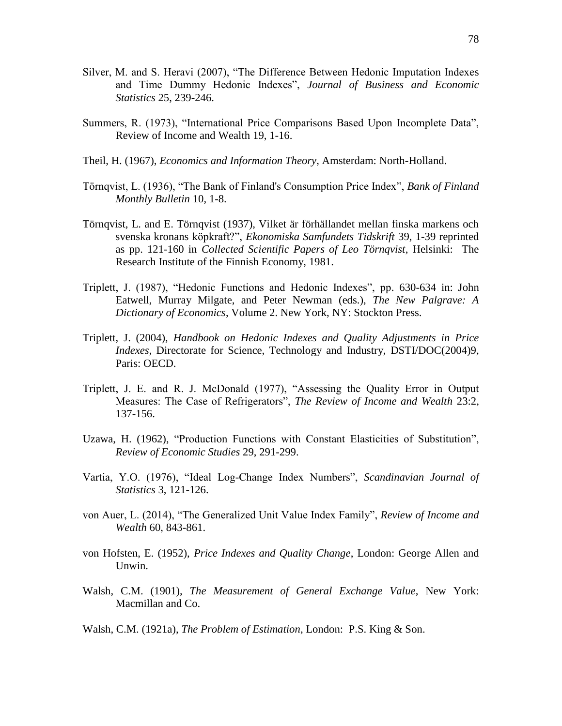- Silver, M. and S. Heravi (2007), "The Difference Between Hedonic Imputation Indexes and Time Dummy Hedonic Indexes", *Journal of Business and Economic Statistics* 25, 239-246.
- Summers, R. (1973), "International Price Comparisons Based Upon Incomplete Data", Review of Income and Wealth 19, 1-16.
- Theil, H. (1967), *Economics and Information Theory*, Amsterdam: North-Holland.
- Törnqvist, L. (1936), "The Bank of Finland's Consumption Price Index", *Bank of Finland Monthly Bulletin* 10, 1-8.
- Törnqvist, L. and E. Törnqvist (1937), Vilket är förhällandet mellan finska markens och svenska kronans köpkraft?", *Ekonomiska Samfundets Tidskrift* 39, 1-39 reprinted as pp. 121-160 in *Collected Scientific Papers of Leo Törnqvist*, Helsinki: The Research Institute of the Finnish Economy, 1981.
- Triplett, J. (1987), "Hedonic Functions and Hedonic Indexes", pp. 630-634 in: John Eatwell, Murray Milgate, and Peter Newman (eds.), *The New Palgrave: A Dictionary of Economics*, Volume 2. New York, NY: Stockton Press.
- Triplett, J. (2004), *Handbook on Hedonic Indexes and Quality Adjustments in Price Indexes*, Directorate for Science, Technology and Industry, DSTI/DOC(2004)9, Paris: OECD.
- Triplett, J. E. and R. J. McDonald (1977), "Assessing the Quality Error in Output Measures: The Case of Refrigerators", *The Review of Income and Wealth* 23:2, 137-156.
- Uzawa, H. (1962), "Production Functions with Constant Elasticities of Substitution", *Review of Economic Studies* 29, 291-299.
- Vartia, Y.O. (1976), "Ideal Log-Change Index Numbers", *Scandinavian Journal of Statistics* 3, 121-126.
- von Auer, L. (2014), "The Generalized Unit Value Index Family", *Review of Income and Wealth* 60, 843-861.
- von Hofsten, E. (1952), *Price Indexes and Quality Change*, London: George Allen and Unwin.
- Walsh, C.M. (1901), *The Measurement of General Exchange Value*, New York: Macmillan and Co.
- Walsh, C.M. (1921a), *The Problem of Estimation*, London: P.S. King & Son.